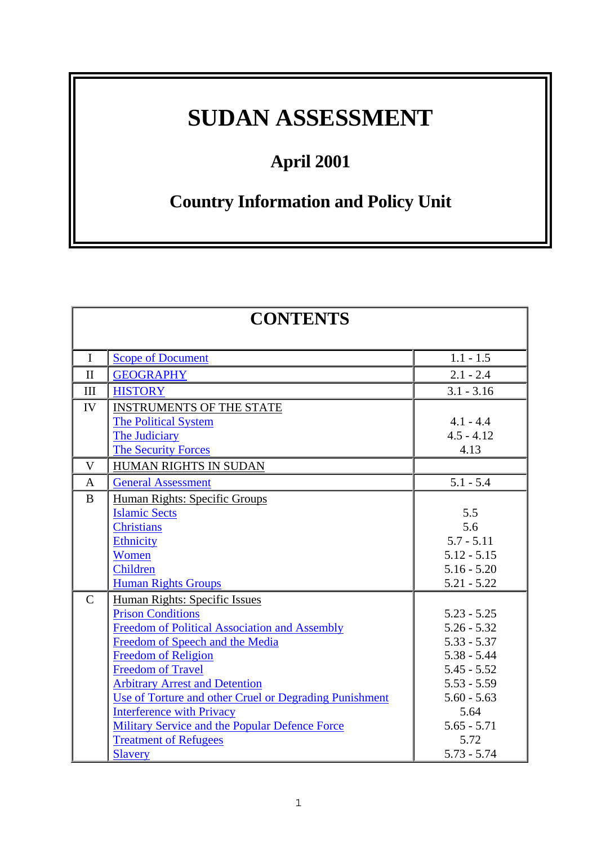# **SUDAN ASSESSMENT**

## **April 2001**

## **Country Information and Policy Unit**

| <b>CONTENTS</b> |                                                        |               |  |
|-----------------|--------------------------------------------------------|---------------|--|
| $\bf{I}$        | <b>Scope of Document</b>                               | $1.1 - 1.5$   |  |
| $\mathbf{I}$    | <b>GEOGRAPHY</b>                                       | $2.1 - 2.4$   |  |
| III             | <b>HISTORY</b>                                         | $3.1 - 3.16$  |  |
| IV              | <b>INSTRUMENTS OF THE STATE</b>                        |               |  |
|                 | <b>The Political System</b>                            | $4.1 - 4.4$   |  |
|                 | The Judiciary                                          | $4.5 - 4.12$  |  |
|                 | <b>The Security Forces</b>                             | 4.13          |  |
| $\mathbf{V}$    | HUMAN RIGHTS IN SUDAN                                  |               |  |
| $\mathbf{A}$    | <b>General Assessment</b>                              | $5.1 - 5.4$   |  |
| $\bf{B}$        | Human Rights: Specific Groups                          |               |  |
|                 | <b>Islamic Sects</b>                                   | 5.5           |  |
|                 | <b>Christians</b>                                      | 5.6           |  |
|                 | <b>Ethnicity</b>                                       | $5.7 - 5.11$  |  |
|                 | Women                                                  | $5.12 - 5.15$ |  |
|                 | Children                                               | $5.16 - 5.20$ |  |
|                 | <b>Human Rights Groups</b>                             | $5.21 - 5.22$ |  |
| $\mathbf C$     | Human Rights: Specific Issues                          |               |  |
|                 | <b>Prison Conditions</b>                               | $5.23 - 5.25$ |  |
|                 | <b>Freedom of Political Association and Assembly</b>   | $5.26 - 5.32$ |  |
|                 | Freedom of Speech and the Media                        | $5.33 - 5.37$ |  |
|                 | <b>Freedom of Religion</b>                             | $5.38 - 5.44$ |  |
|                 | <b>Freedom of Travel</b>                               | $5.45 - 5.52$ |  |
|                 | <b>Arbitrary Arrest and Detention</b>                  | $5.53 - 5.59$ |  |
|                 | Use of Torture and other Cruel or Degrading Punishment | $5.60 - 5.63$ |  |
|                 | <b>Interference with Privacy</b>                       | 5.64          |  |
|                 | Military Service and the Popular Defence Force         | $5.65 - 5.71$ |  |
|                 | <b>Treatment of Refugees</b>                           | 5.72          |  |
|                 | <b>Slavery</b>                                         | $5.73 - 5.74$ |  |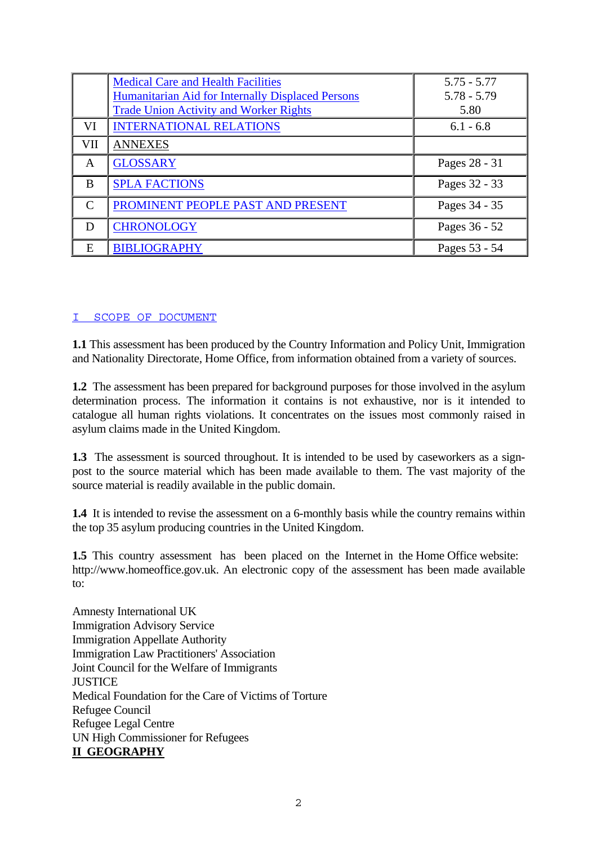<span id="page-1-0"></span>

|               | <b>Medical Care and Health Facilities</b><br>Humanitarian Aid for Internally Displaced Persons<br><b>Trade Union Activity and Worker Rights</b> | $5.75 - 5.77$<br>$5.78 - 5.79$<br>5.80 |
|---------------|-------------------------------------------------------------------------------------------------------------------------------------------------|----------------------------------------|
| VI            | <b>INTERNATIONAL RELATIONS</b>                                                                                                                  | $6.1 - 6.8$                            |
| VII           | <b>ANNEXES</b>                                                                                                                                  |                                        |
| A             | <b>GLOSSARY</b>                                                                                                                                 | Pages 28 - 31                          |
| B             | <b>SPLA FACTIONS</b>                                                                                                                            | Pages 32 - 33                          |
| $\mathcal{C}$ | PROMINENT PEOPLE PAST AND PRESENT                                                                                                               | Pages 34 - 35                          |
| D             | <b>CHRONOLOGY</b>                                                                                                                               | Pages 36 - 52                          |
| Е             | <b>BIBLIOGRAPHY</b>                                                                                                                             | Pages 53 - 54                          |

#### [I SCOPE OF DOCUMENT](#page-1-0)

**1.1** This assessment has been produced by the Country Information and Policy Unit, Immigration and Nationality Directorate, Home Office, from information obtained from a variety of sources.

**1.2** The assessment has been prepared for background purposes for those involved in the asylum determination process. The information it contains is not exhaustive, nor is it intended to catalogue all human rights violations. It concentrates on the issues most commonly raised in asylum claims made in the United Kingdom.

**1.3** The assessment is sourced throughout. It is intended to be used by caseworkers as a signpost to the source material which has been made available to them. The vast majority of the source material is readily available in the public domain.

**1.4** It is intended to revise the assessment on a 6-monthly basis while the country remains within the top 35 asylum producing countries in the United Kingdom.

**1.5** This country assessment has been placed on the Internet in the Home Office website: http://www.homeoffice.gov.uk. An electronic copy of the assessment has been made available to:

Amnesty International UK Immigration Advisory Service Immigration Appellate Authority Immigration Law Practitioners' Association Joint Council for the Welfare of Immigrants **JUSTICE** Medical Foundation for the Care of Victims of Torture Refugee Council Refugee Legal Centre UN High Commissioner for Refugees **II GEOGRAPHY**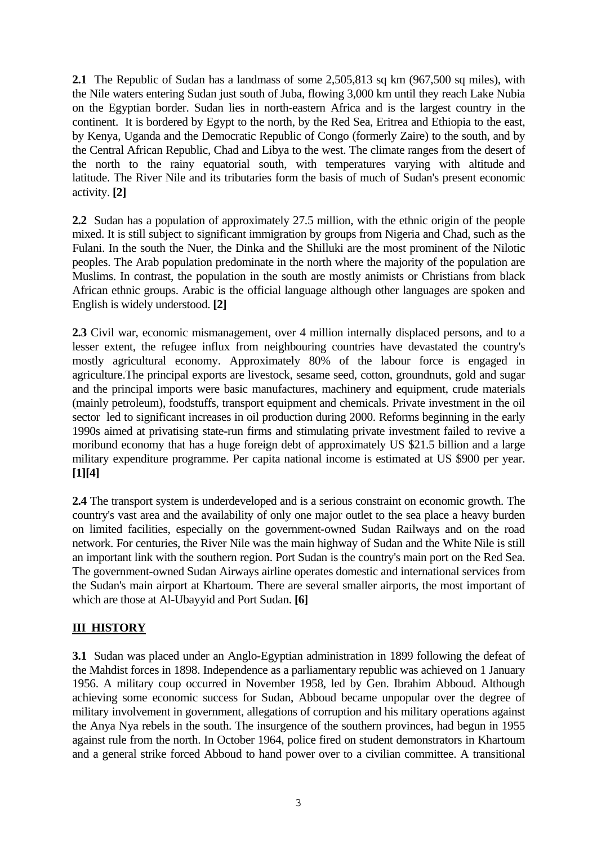<span id="page-2-0"></span>**2.1** The Republic of Sudan has a landmass of some 2,505,813 sq km (967,500 sq miles), with the Nile waters entering Sudan just south of Juba, flowing 3,000 km until they reach Lake Nubia on the Egyptian border. Sudan lies in north-eastern Africa and is the largest country in the continent. It is bordered by Egypt to the north, by the Red Sea, Eritrea and Ethiopia to the east, by Kenya, Uganda and the Democratic Republic of Congo (formerly Zaire) to the south, and by the Central African Republic, Chad and Libya to the west. The climate ranges from the desert of the north to the rainy equatorial south, with temperatures varying with altitude and latitude. The River Nile and its tributaries form the basis of much of Sudan's present economic activity. **[2]** 

**2.2** Sudan has a population of approximately 27.5 million, with the ethnic origin of the people mixed. It is still subject to significant immigration by groups from Nigeria and Chad, such as the Fulani. In the south the Nuer, the Dinka and the Shilluki are the most prominent of the Nilotic peoples. The Arab population predominate in the north where the majority of the population are Muslims. In contrast, the population in the south are mostly animists or Christians from black African ethnic groups. Arabic is the official language although other languages are spoken and English is widely understood. **[2]** 

**2.3** Civil war, economic mismanagement, over 4 million internally displaced persons, and to a lesser extent, the refugee influx from neighbouring countries have devastated the country's mostly agricultural economy. Approximately 80% of the labour force is engaged in agriculture.The principal exports are livestock, sesame seed, cotton, groundnuts, gold and sugar and the principal imports were basic manufactures, machinery and equipment, crude materials (mainly petroleum), foodstuffs, transport equipment and chemicals. Private investment in the oil sector led to significant increases in oil production during 2000. Reforms beginning in the early 1990s aimed at privatising state-run firms and stimulating private investment failed to revive a moribund economy that has a huge foreign debt of approximately US \$21.5 billion and a large military expenditure programme. Per capita national income is estimated at US \$900 per year. **[1][4]** 

**2.4** The transport system is underdeveloped and is a serious constraint on economic growth. The country's vast area and the availability of only one major outlet to the sea place a heavy burden on limited facilities, especially on the government-owned Sudan Railways and on the road network. For centuries, the River Nile was the main highway of Sudan and the White Nile is still an important link with the southern region. Port Sudan is the country's main port on the Red Sea. The government-owned Sudan Airways airline operates domestic and international services from the Sudan's main airport at Khartoum. There are several smaller airports, the most important of which are those at Al-Ubayyid and Port Sudan. **[6]** 

## **III HISTORY**

**3.1** Sudan was placed under an Anglo-Egyptian administration in 1899 following the defeat of the Mahdist forces in 1898. Independence as a parliamentary republic was achieved on 1 January 1956. A military coup occurred in November 1958, led by Gen. Ibrahim Abboud. Although achieving some economic success for Sudan, Abboud became unpopular over the degree of military involvement in government, allegations of corruption and his military operations against the Anya Nya rebels in the south. The insurgence of the southern provinces, had begun in 1955 against rule from the north. In October 1964, police fired on student demonstrators in Khartoum and a general strike forced Abboud to hand power over to a civilian committee. A transitional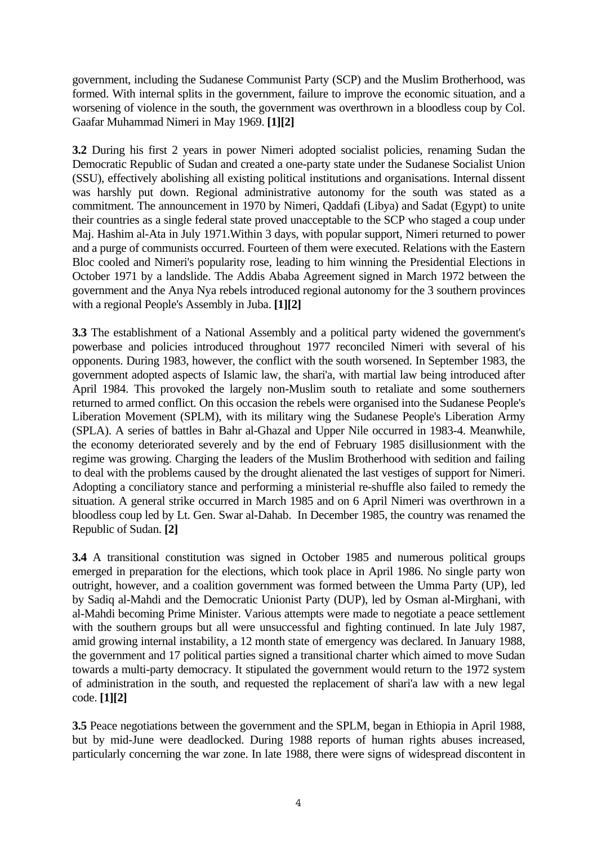government, including the Sudanese Communist Party (SCP) and the Muslim Brotherhood, was formed. With internal splits in the government, failure to improve the economic situation, and a worsening of violence in the south, the government was overthrown in a bloodless coup by Col. Gaafar Muhammad Nimeri in May 1969. **[1][2]**

**3.2** During his first 2 years in power Nimeri adopted socialist policies, renaming Sudan the Democratic Republic of Sudan and created a one-party state under the Sudanese Socialist Union (SSU), effectively abolishing all existing political institutions and organisations. Internal dissent was harshly put down. Regional administrative autonomy for the south was stated as a commitment. The announcement in 1970 by Nimeri, Qaddafi (Libya) and Sadat (Egypt) to unite their countries as a single federal state proved unacceptable to the SCP who staged a coup under Maj. Hashim al-Ata in July 1971.Within 3 days, with popular support, Nimeri returned to power and a purge of communists occurred. Fourteen of them were executed. Relations with the Eastern Bloc cooled and Nimeri's popularity rose, leading to him winning the Presidential Elections in October 1971 by a landslide. The Addis Ababa Agreement signed in March 1972 between the government and the Anya Nya rebels introduced regional autonomy for the 3 southern provinces with a regional People's Assembly in Juba. **[1][2]**

**3.3** The establishment of a National Assembly and a political party widened the government's powerbase and policies introduced throughout 1977 reconciled Nimeri with several of his opponents. During 1983, however, the conflict with the south worsened. In September 1983, the government adopted aspects of Islamic law, the shari'a, with martial law being introduced after April 1984. This provoked the largely non-Muslim south to retaliate and some southerners returned to armed conflict. On this occasion the rebels were organised into the Sudanese People's Liberation Movement (SPLM), with its military wing the Sudanese People's Liberation Army (SPLA). A series of battles in Bahr al-Ghazal and Upper Nile occurred in 1983-4. Meanwhile, the economy deteriorated severely and by the end of February 1985 disillusionment with the regime was growing. Charging the leaders of the Muslim Brotherhood with sedition and failing to deal with the problems caused by the drought alienated the last vestiges of support for Nimeri. Adopting a conciliatory stance and performing a ministerial re-shuffle also failed to remedy the situation. A general strike occurred in March 1985 and on 6 April Nimeri was overthrown in a bloodless coup led by Lt. Gen. Swar al-Dahab. In December 1985, the country was renamed the Republic of Sudan. **[2]**

**3.4** A transitional constitution was signed in October 1985 and numerous political groups emerged in preparation for the elections, which took place in April 1986. No single party won outright, however, and a coalition government was formed between the Umma Party (UP), led by Sadiq al-Mahdi and the Democratic Unionist Party (DUP), led by Osman al-Mirghani, with al-Mahdi becoming Prime Minister. Various attempts were made to negotiate a peace settlement with the southern groups but all were unsuccessful and fighting continued. In late July 1987, amid growing internal instability, a 12 month state of emergency was declared. In January 1988, the government and 17 political parties signed a transitional charter which aimed to move Sudan towards a multi-party democracy. It stipulated the government would return to the 1972 system of administration in the south, and requested the replacement of shari'a law with a new legal code. **[1][2]**

**3.5** Peace negotiations between the government and the SPLM, began in Ethiopia in April 1988, but by mid-June were deadlocked. During 1988 reports of human rights abuses increased, particularly concerning the war zone. In late 1988, there were signs of widespread discontent in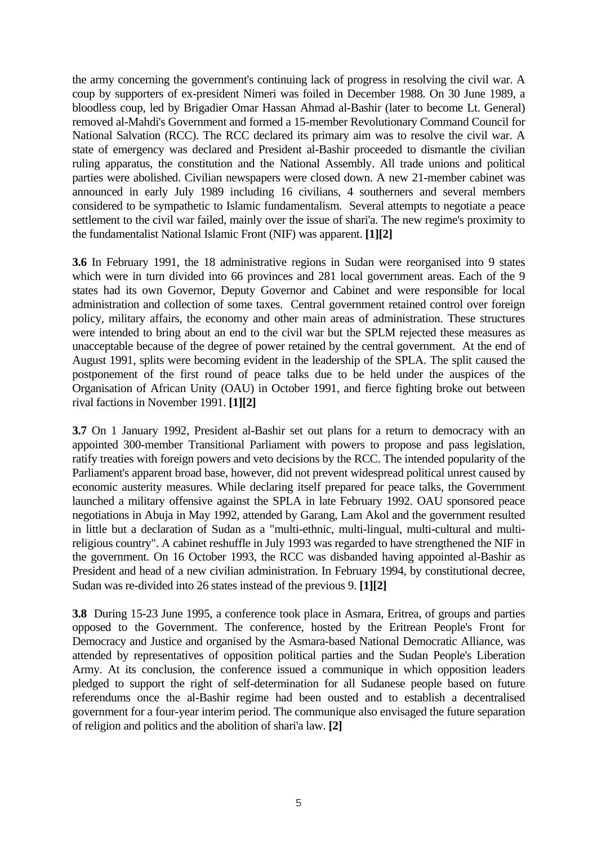the army concerning the government's continuing lack of progress in resolving the civil war. A coup by supporters of ex-president Nimeri was foiled in December 1988. On 30 June 1989, a bloodless coup, led by Brigadier Omar Hassan Ahmad al-Bashir (later to become Lt. General) removed al-Mahdi's Government and formed a 15-member Revolutionary Command Council for National Salvation (RCC). The RCC declared its primary aim was to resolve the civil war. A state of emergency was declared and President al-Bashir proceeded to dismantle the civilian ruling apparatus, the constitution and the National Assembly. All trade unions and political parties were abolished. Civilian newspapers were closed down. A new 21-member cabinet was announced in early July 1989 including 16 civilians, 4 southerners and several members considered to be sympathetic to Islamic fundamentalism. Several attempts to negotiate a peace settlement to the civil war failed, mainly over the issue of shari'a. The new regime's proximity to the fundamentalist National Islamic Front (NIF) was apparent. **[1][2]**

**3.6** In February 1991, the 18 administrative regions in Sudan were reorganised into 9 states which were in turn divided into 66 provinces and 281 local government areas. Each of the 9 states had its own Governor, Deputy Governor and Cabinet and were responsible for local administration and collection of some taxes. Central government retained control over foreign policy, military affairs, the economy and other main areas of administration. These structures were intended to bring about an end to the civil war but the SPLM rejected these measures as unacceptable because of the degree of power retained by the central government. At the end of August 1991, splits were becoming evident in the leadership of the SPLA. The split caused the postponement of the first round of peace talks due to be held under the auspices of the Organisation of African Unity (OAU) in October 1991, and fierce fighting broke out between rival factions in November 1991. **[1][2]**

**3.7** On 1 January 1992, President al-Bashir set out plans for a return to democracy with an appointed 300-member Transitional Parliament with powers to propose and pass legislation, ratify treaties with foreign powers and veto decisions by the RCC. The intended popularity of the Parliament's apparent broad base, however, did not prevent widespread political unrest caused by economic austerity measures. While declaring itself prepared for peace talks, the Government launched a military offensive against the SPLA in late February 1992. OAU sponsored peace negotiations in Abuja in May 1992, attended by Garang, Lam Akol and the government resulted in little but a declaration of Sudan as a "multi-ethnic, multi-lingual, multi-cultural and multireligious country". A cabinet reshuffle in July 1993 was regarded to have strengthened the NIF in the government. On 16 October 1993, the RCC was disbanded having appointed al-Bashir as President and head of a new civilian administration. In February 1994, by constitutional decree, Sudan was re-divided into 26 states instead of the previous 9. **[1][2]**

**3.8** During 15-23 June 1995, a conference took place in Asmara, Eritrea, of groups and parties opposed to the Government. The conference, hosted by the Eritrean People's Front for Democracy and Justice and organised by the Asmara-based National Democratic Alliance, was attended by representatives of opposition political parties and the Sudan People's Liberation Army. At its conclusion, the conference issued a communique in which opposition leaders pledged to support the right of self-determination for all Sudanese people based on future referendums once the al-Bashir regime had been ousted and to establish a decentralised government for a four-year interim period. The communique also envisaged the future separation of religion and politics and the abolition of shari'a law. **[2]**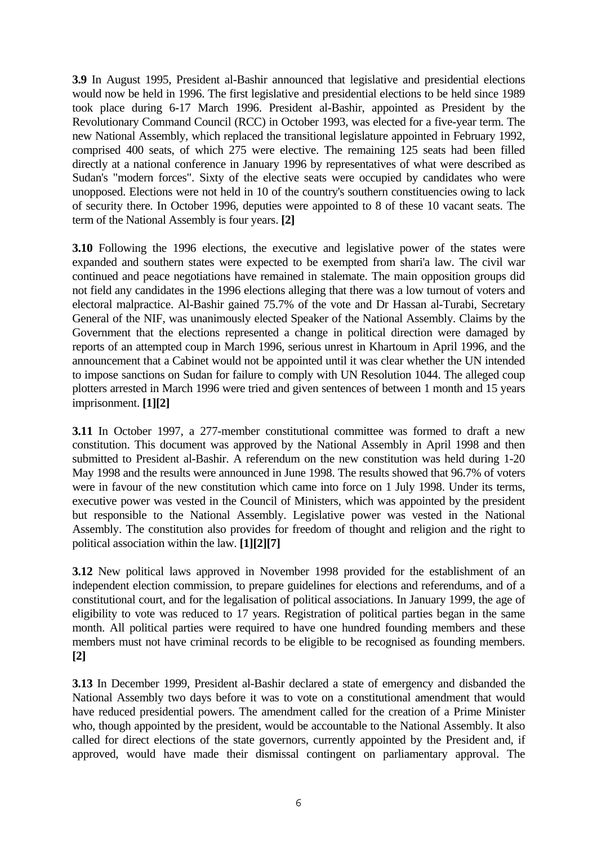**3.9** In August 1995, President al-Bashir announced that legislative and presidential elections would now be held in 1996. The first legislative and presidential elections to be held since 1989 took place during 6-17 March 1996. President al-Bashir, appointed as President by the Revolutionary Command Council (RCC) in October 1993, was elected for a five-year term. The new National Assembly, which replaced the transitional legislature appointed in February 1992, comprised 400 seats, of which 275 were elective. The remaining 125 seats had been filled directly at a national conference in January 1996 by representatives of what were described as Sudan's "modern forces". Sixty of the elective seats were occupied by candidates who were unopposed. Elections were not held in 10 of the country's southern constituencies owing to lack of security there. In October 1996, deputies were appointed to 8 of these 10 vacant seats. The term of the National Assembly is four years. **[2]**

**3.10** Following the 1996 elections, the executive and legislative power of the states were expanded and southern states were expected to be exempted from shari'a law. The civil war continued and peace negotiations have remained in stalemate. The main opposition groups did not field any candidates in the 1996 elections alleging that there was a low turnout of voters and electoral malpractice. Al-Bashir gained 75.7% of the vote and Dr Hassan al-Turabi, Secretary General of the NIF, was unanimously elected Speaker of the National Assembly. Claims by the Government that the elections represented a change in political direction were damaged by reports of an attempted coup in March 1996, serious unrest in Khartoum in April 1996, and the announcement that a Cabinet would not be appointed until it was clear whether the UN intended to impose sanctions on Sudan for failure to comply with UN Resolution 1044. The alleged coup plotters arrested in March 1996 were tried and given sentences of between 1 month and 15 years imprisonment. **[1][2]** 

**3.11** In October 1997, a 277-member constitutional committee was formed to draft a new constitution. This document was approved by the National Assembly in April 1998 and then submitted to President al-Bashir. A referendum on the new constitution was held during 1-20 May 1998 and the results were announced in June 1998. The results showed that 96.7% of voters were in favour of the new constitution which came into force on 1 July 1998. Under its terms, executive power was vested in the Council of Ministers, which was appointed by the president but responsible to the National Assembly. Legislative power was vested in the National Assembly. The constitution also provides for freedom of thought and religion and the right to political association within the law. **[1][2][7]** 

**3.12** New political laws approved in November 1998 provided for the establishment of an independent election commission, to prepare guidelines for elections and referendums, and of a constitutional court, and for the legalisation of political associations. In January 1999, the age of eligibility to vote was reduced to 17 years. Registration of political parties began in the same month. All political parties were required to have one hundred founding members and these members must not have criminal records to be eligible to be recognised as founding members. **[2]**

**3.13** In December 1999, President al-Bashir declared a state of emergency and disbanded the National Assembly two days before it was to vote on a constitutional amendment that would have reduced presidential powers. The amendment called for the creation of a Prime Minister who, though appointed by the president, would be accountable to the National Assembly. It also called for direct elections of the state governors, currently appointed by the President and, if approved, would have made their dismissal contingent on parliamentary approval. The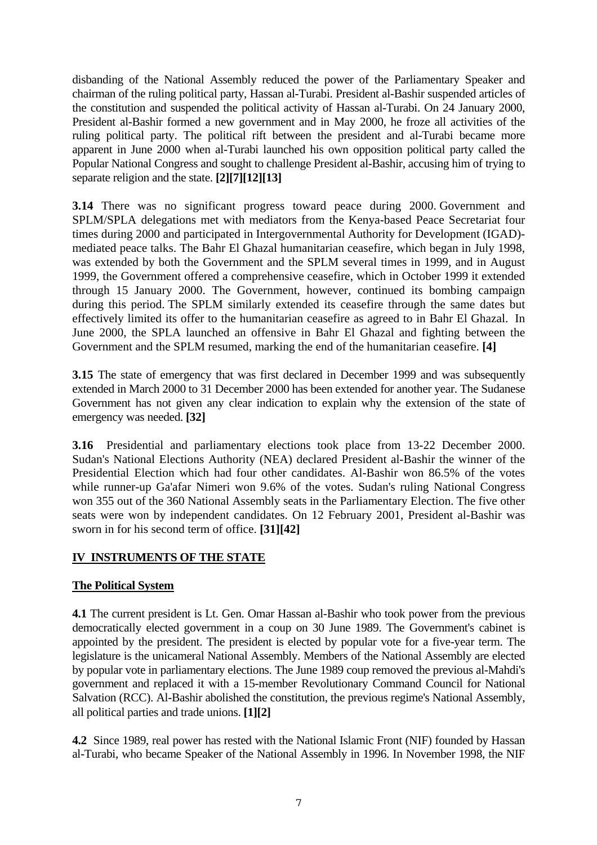<span id="page-6-0"></span>disbanding of the National Assembly reduced the power of the Parliamentary Speaker and chairman of the ruling political party, Hassan al-Turabi. President al-Bashir suspended articles of the constitution and suspended the political activity of Hassan al-Turabi. On 24 January 2000, President al-Bashir formed a new government and in May 2000, he froze all activities of the ruling political party. The political rift between the president and al-Turabi became more apparent in June 2000 when al-Turabi launched his own opposition political party called the Popular National Congress and sought to challenge President al-Bashir, accusing him of trying to separate religion and the state. **[2][7][12][13]** 

**3.14** There was no significant progress toward peace during 2000. Government and SPLM/SPLA delegations met with mediators from the Kenya-based Peace Secretariat four times during 2000 and participated in Intergovernmental Authority for Development (IGAD) mediated peace talks. The Bahr El Ghazal humanitarian ceasefire, which began in July 1998, was extended by both the Government and the SPLM several times in 1999, and in August 1999, the Government offered a comprehensive ceasefire, which in October 1999 it extended through 15 January 2000. The Government, however, continued its bombing campaign during this period. The SPLM similarly extended its ceasefire through the same dates but effectively limited its offer to the humanitarian ceasefire as agreed to in Bahr El Ghazal. In June 2000, the SPLA launched an offensive in Bahr El Ghazal and fighting between the Government and the SPLM resumed, marking the end of the humanitarian ceasefire. **[4]** 

**3.15** The state of emergency that was first declared in December 1999 and was subsequently extended in March 2000 to 31 December 2000 has been extended for another year. The Sudanese Government has not given any clear indication to explain why the extension of the state of emergency was needed. **[32]** 

**3.16** Presidential and parliamentary elections took place from 13-22 December 2000. Sudan's National Elections Authority (NEA) declared President al-Bashir the winner of the Presidential Election which had four other candidates. Al-Bashir won 86.5% of the votes while runner-up Ga'afar Nimeri won 9.6% of the votes. Sudan's ruling National Congress won 355 out of the 360 National Assembly seats in the Parliamentary Election. The five other seats were won by independent candidates. On 12 February 2001, President al-Bashir was sworn in for his second term of office. **[31][42]** 

## **IV INSTRUMENTS OF THE STATE**

## **The Political System**

**4.1** The current president is Lt. Gen. Omar Hassan al-Bashir who took power from the previous democratically elected government in a coup on 30 June 1989. The Government's cabinet is appointed by the president. The president is elected by popular vote for a five-year term. The legislature is the unicameral National Assembly. Members of the National Assembly are elected by popular vote in parliamentary elections. The June 1989 coup removed the previous al-Mahdi's government and replaced it with a 15-member Revolutionary Command Council for National Salvation (RCC). Al-Bashir abolished the constitution, the previous regime's National Assembly, all political parties and trade unions. **[1][2]**

**4.2** Since 1989, real power has rested with the National Islamic Front (NIF) founded by Hassan al-Turabi, who became Speaker of the National Assembly in 1996. In November 1998, the NIF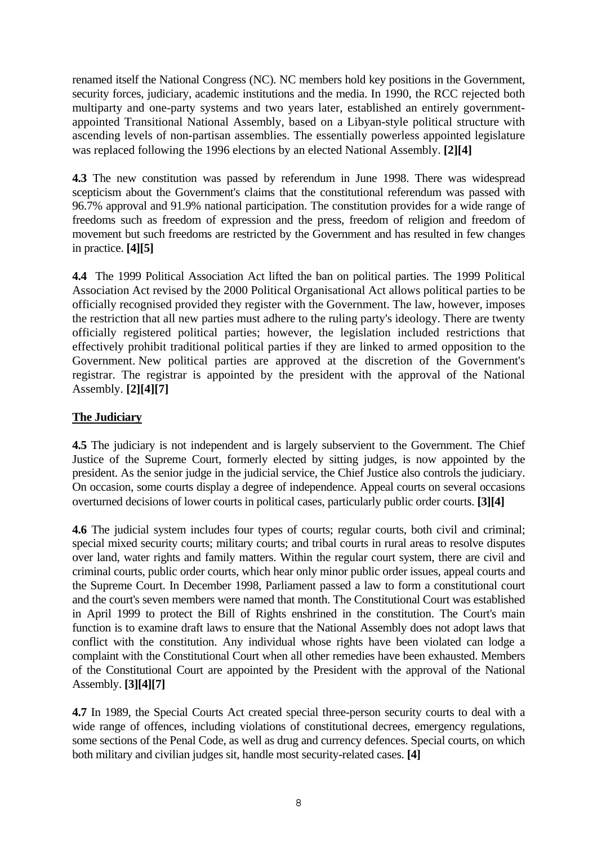<span id="page-7-0"></span>renamed itself the National Congress (NC). NC members hold key positions in the Government, security forces, judiciary, academic institutions and the media. In 1990, the RCC rejected both multiparty and one-party systems and two years later, established an entirely governmentappointed Transitional National Assembly, based on a Libyan-style political structure with ascending levels of non-partisan assemblies. The essentially powerless appointed legislature was replaced following the 1996 elections by an elected National Assembly. **[2][4]** 

**4.3** The new constitution was passed by referendum in June 1998. There was widespread scepticism about the Government's claims that the constitutional referendum was passed with 96.7% approval and 91.9% national participation. The constitution provides for a wide range of freedoms such as freedom of expression and the press, freedom of religion and freedom of movement but such freedoms are restricted by the Government and has resulted in few changes in practice. **[4][5]** 

**4.4** The 1999 Political Association Act lifted the ban on political parties. The 1999 Political Association Act revised by the 2000 Political Organisational Act allows political parties to be officially recognised provided they register with the Government. The law, however, imposes the restriction that all new parties must adhere to the ruling party's ideology. There are twenty officially registered political parties; however, the legislation included restrictions that effectively prohibit traditional political parties if they are linked to armed opposition to the Government. New political parties are approved at the discretion of the Government's registrar. The registrar is appointed by the president with the approval of the National Assembly. **[2][4][7]** 

## **The Judiciary**

**4.5** The judiciary is not independent and is largely subservient to the Government. The Chief Justice of the Supreme Court, formerly elected by sitting judges, is now appointed by the president. As the senior judge in the judicial service, the Chief Justice also controls the judiciary. On occasion, some courts display a degree of independence. Appeal courts on several occasions overturned decisions of lower courts in political cases, particularly public order courts. **[3][4]** 

**4.6** The judicial system includes four types of courts; regular courts, both civil and criminal; special mixed security courts; military courts; and tribal courts in rural areas to resolve disputes over land, water rights and family matters. Within the regular court system, there are civil and criminal courts, public order courts, which hear only minor public order issues, appeal courts and the Supreme Court. In December 1998, Parliament passed a law to form a constitutional court and the court's seven members were named that month. The Constitutional Court was established in April 1999 to protect the Bill of Rights enshrined in the constitution. The Court's main function is to examine draft laws to ensure that the National Assembly does not adopt laws that conflict with the constitution. Any individual whose rights have been violated can lodge a complaint with the Constitutional Court when all other remedies have been exhausted. Members of the Constitutional Court are appointed by the President with the approval of the National Assembly. **[3][4][7]**

**4.7** In 1989, the Special Courts Act created special three-person security courts to deal with a wide range of offences, including violations of constitutional decrees, emergency regulations, some sections of the Penal Code, as well as drug and currency defences. Special courts, on which both military and civilian judges sit, handle most security-related cases. **[4]**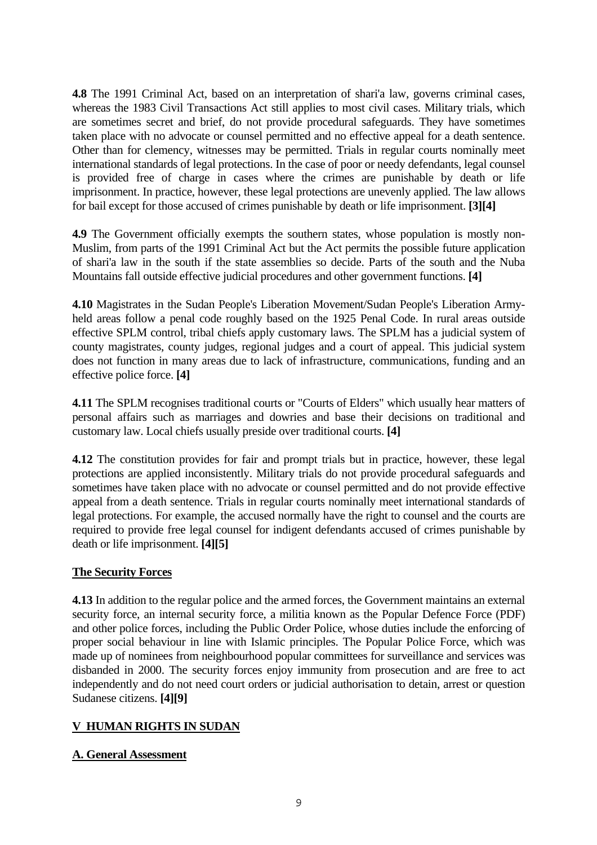<span id="page-8-0"></span>**4.8** The 1991 Criminal Act, based on an interpretation of shari'a law, governs criminal cases, whereas the 1983 Civil Transactions Act still applies to most civil cases. Military trials, which are sometimes secret and brief, do not provide procedural safeguards. They have sometimes taken place with no advocate or counsel permitted and no effective appeal for a death sentence. Other than for clemency, witnesses may be permitted. Trials in regular courts nominally meet international standards of legal protections. In the case of poor or needy defendants, legal counsel is provided free of charge in cases where the crimes are punishable by death or life imprisonment. In practice, however, these legal protections are unevenly applied. The law allows for bail except for those accused of crimes punishable by death or life imprisonment. **[3][4]** 

**4.9** The Government officially exempts the southern states, whose population is mostly non-Muslim, from parts of the 1991 Criminal Act but the Act permits the possible future application of shari'a law in the south if the state assemblies so decide. Parts of the south and the Nuba Mountains fall outside effective judicial procedures and other government functions. **[4]** 

**4.10** Magistrates in the Sudan People's Liberation Movement/Sudan People's Liberation Armyheld areas follow a penal code roughly based on the 1925 Penal Code. In rural areas outside effective SPLM control, tribal chiefs apply customary laws. The SPLM has a judicial system of county magistrates, county judges, regional judges and a court of appeal. This judicial system does not function in many areas due to lack of infrastructure, communications, funding and an effective police force. **[4]** 

**4.11** The SPLM recognises traditional courts or "Courts of Elders" which usually hear matters of personal affairs such as marriages and dowries and base their decisions on traditional and customary law. Local chiefs usually preside over traditional courts. **[4]** 

**4.12** The constitution provides for fair and prompt trials but in practice, however, these legal protections are applied inconsistently. Military trials do not provide procedural safeguards and sometimes have taken place with no advocate or counsel permitted and do not provide effective appeal from a death sentence. Trials in regular courts nominally meet international standards of legal protections. For example, the accused normally have the right to counsel and the courts are required to provide free legal counsel for indigent defendants accused of crimes punishable by death or life imprisonment. **[4][5]** 

## **The Security Forces**

**4.13** In addition to the regular police and the armed forces, the Government maintains an external security force, an internal security force, a militia known as the Popular Defence Force (PDF) and other police forces, including the Public Order Police, whose duties include the enforcing of proper social behaviour in line with Islamic principles. The Popular Police Force, which was made up of nominees from neighbourhood popular committees for surveillance and services was disbanded in 2000. The security forces enjoy immunity from prosecution and are free to act independently and do not need court orders or judicial authorisation to detain, arrest or question Sudanese citizens. **[4][9]** 

## **V HUMAN RIGHTS IN SUDAN**

## **A. General Assessment**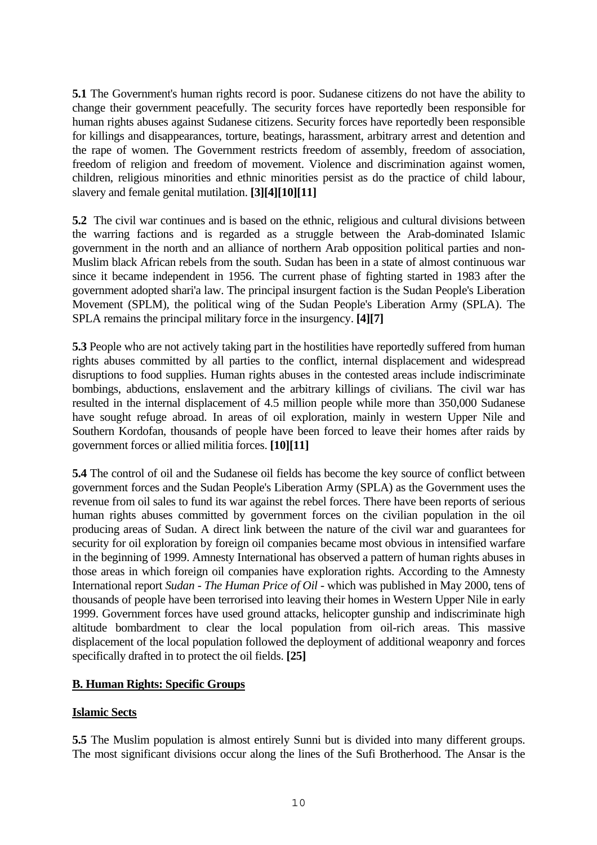<span id="page-9-0"></span>**5.1** The Government's human rights record is poor. Sudanese citizens do not have the ability to change their government peacefully. The security forces have reportedly been responsible for human rights abuses against Sudanese citizens. Security forces have reportedly been responsible for killings and disappearances, torture, beatings, harassment, arbitrary arrest and detention and the rape of women. The Government restricts freedom of assembly, freedom of association, freedom of religion and freedom of movement. Violence and discrimination against women, children, religious minorities and ethnic minorities persist as do the practice of child labour, slavery and female genital mutilation. **[3][4][10][11]** 

**5.2** The civil war continues and is based on the ethnic, religious and cultural divisions between the warring factions and is regarded as a struggle between the Arab-dominated Islamic government in the north and an alliance of northern Arab opposition political parties and non-Muslim black African rebels from the south. Sudan has been in a state of almost continuous war since it became independent in 1956. The current phase of fighting started in 1983 after the government adopted shari'a law. The principal insurgent faction is the Sudan People's Liberation Movement (SPLM), the political wing of the Sudan People's Liberation Army (SPLA). The SPLA remains the principal military force in the insurgency. **[4][7]**

**5.3** People who are not actively taking part in the hostilities have reportedly suffered from human rights abuses committed by all parties to the conflict, internal displacement and widespread disruptions to food supplies. Human rights abuses in the contested areas include indiscriminate bombings, abductions, enslavement and the arbitrary killings of civilians. The civil war has resulted in the internal displacement of 4.5 million people while more than 350,000 Sudanese have sought refuge abroad. In areas of oil exploration, mainly in western Upper Nile and Southern Kordofan, thousands of people have been forced to leave their homes after raids by government forces or allied militia forces. **[10][11]**

**5.4** The control of oil and the Sudanese oil fields has become the key source of conflict between government forces and the Sudan People's Liberation Army (SPLA) as the Government uses the revenue from oil sales to fund its war against the rebel forces. There have been reports of serious human rights abuses committed by government forces on the civilian population in the oil producing areas of Sudan. A direct link between the nature of the civil war and guarantees for security for oil exploration by foreign oil companies became most obvious in intensified warfare in the beginning of 1999. Amnesty International has observed a pattern of human rights abuses in those areas in which foreign oil companies have exploration rights. According to the Amnesty International report *Sudan - The Human Price of Oil* - which was published in May 2000, tens of thousands of people have been terrorised into leaving their homes in Western Upper Nile in early 1999. Government forces have used ground attacks, helicopter gunship and indiscriminate high altitude bombardment to clear the local population from oil-rich areas. This massive displacement of the local population followed the deployment of additional weaponry and forces specifically drafted in to protect the oil fields. **[25]** 

## **B. Human Rights: Specific Groups**

## **Islamic Sects**

**5.5** The Muslim population is almost entirely Sunni but is divided into many different groups. The most significant divisions occur along the lines of the Sufi Brotherhood. The Ansar is the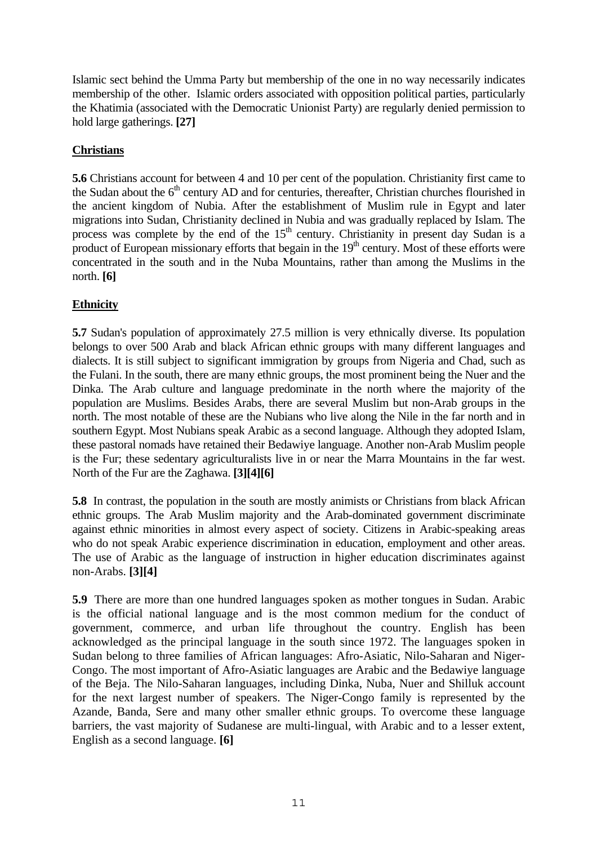<span id="page-10-0"></span>Islamic sect behind the Umma Party but membership of the one in no way necessarily indicates membership of the other. Islamic orders associated with opposition political parties, particularly the Khatimia (associated with the Democratic Unionist Party) are regularly denied permission to hold large gatherings. **[27]**

## **Christians**

**5.6** Christians account for between 4 and 10 per cent of the population. Christianity first came to the Sudan about the  $6<sup>th</sup>$  century AD and for centuries, thereafter, Christian churches flourished in the ancient kingdom of Nubia. After the establishment of Muslim rule in Egypt and later migrations into Sudan, Christianity declined in Nubia and was gradually replaced by Islam. The process was complete by the end of the  $15<sup>th</sup>$  century. Christianity in present day Sudan is a product of European missionary efforts that begain in the  $19<sup>th</sup>$  century. Most of these efforts were concentrated in the south and in the Nuba Mountains, rather than among the Muslims in the north. **[6]** 

## **Ethnicity**

**5.7** Sudan's population of approximately 27.5 million is very ethnically diverse. Its population belongs to over 500 Arab and black African ethnic groups with many different languages and dialects. It is still subject to significant immigration by groups from Nigeria and Chad, such as the Fulani. In the south, there are many ethnic groups, the most prominent being the Nuer and the Dinka. The Arab culture and language predominate in the north where the majority of the population are Muslims. Besides Arabs, there are several Muslim but non-Arab groups in the north. The most notable of these are the Nubians who live along the Nile in the far north and in southern Egypt. Most Nubians speak Arabic as a second language. Although they adopted Islam, these pastoral nomads have retained their Bedawiye language. Another non-Arab Muslim people is the Fur; these sedentary agriculturalists live in or near the Marra Mountains in the far west. North of the Fur are the Zaghawa. **[3][4][6]** 

**5.8** In contrast, the population in the south are mostly animists or Christians from black African ethnic groups. The Arab Muslim majority and the Arab-dominated government discriminate against ethnic minorities in almost every aspect of society. Citizens in Arabic-speaking areas who do not speak Arabic experience discrimination in education, employment and other areas. The use of Arabic as the language of instruction in higher education discriminates against non-Arabs. **[3][4]** 

**5.9** There are more than one hundred languages spoken as mother tongues in Sudan. Arabic is the official national language and is the most common medium for the conduct of government, commerce, and urban life throughout the country. English has been acknowledged as the principal language in the south since 1972. The languages spoken in Sudan belong to three families of African languages: Afro-Asiatic, Nilo-Saharan and Niger-Congo. The most important of Afro-Asiatic languages are Arabic and the Bedawiye language of the Beja. The Nilo-Saharan languages, including Dinka, Nuba, Nuer and Shilluk account for the next largest number of speakers. The Niger-Congo family is represented by the Azande, Banda, Sere and many other smaller ethnic groups. To overcome these language barriers, the vast majority of Sudanese are multi-lingual, with Arabic and to a lesser extent, English as a second language. **[6]**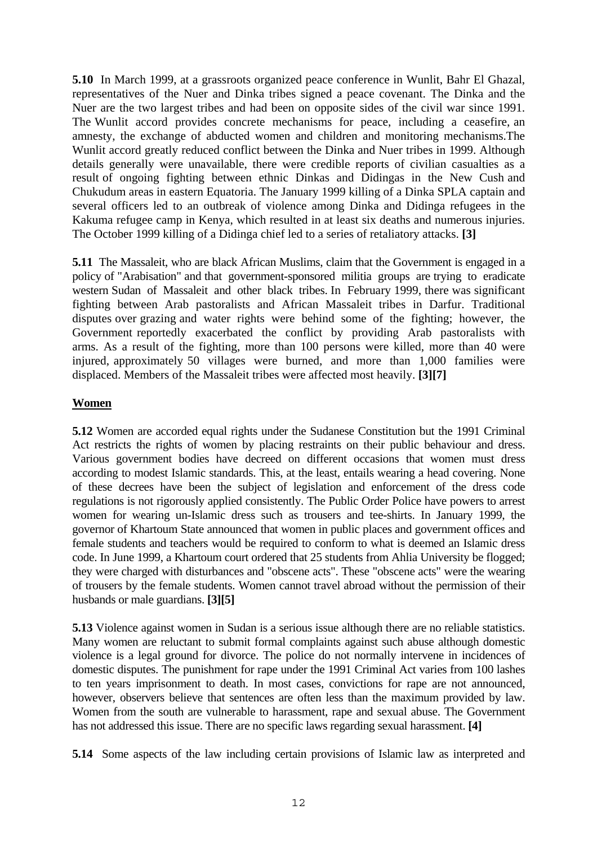<span id="page-11-0"></span>**5.10** In March 1999, at a grassroots organized peace conference in Wunlit, Bahr El Ghazal, representatives of the Nuer and Dinka tribes signed a peace covenant. The Dinka and the Nuer are the two largest tribes and had been on opposite sides of the civil war since 1991. The Wunlit accord provides concrete mechanisms for peace, including a ceasefire, an amnesty, the exchange of abducted women and children and monitoring mechanisms.The Wunlit accord greatly reduced conflict between the Dinka and Nuer tribes in 1999. Although details generally were unavailable, there were credible reports of civilian casualties as a result of ongoing fighting between ethnic Dinkas and Didingas in the New Cush and Chukudum areas in eastern Equatoria. The January 1999 killing of a Dinka SPLA captain and several officers led to an outbreak of violence among Dinka and Didinga refugees in the Kakuma refugee camp in Kenya, which resulted in at least six deaths and numerous injuries. The October 1999 killing of a Didinga chief led to a series of retaliatory attacks. **[3]** 

**5.11** The Massaleit, who are black African Muslims, claim that the Government is engaged in a policy of "Arabisation" and that government-sponsored militia groups are trying to eradicate western Sudan of Massaleit and other black tribes. In February 1999, there was significant fighting between Arab pastoralists and African Massaleit tribes in Darfur. Traditional disputes over grazing and water rights were behind some of the fighting; however, the Government reportedly exacerbated the conflict by providing Arab pastoralists with arms. As a result of the fighting, more than 100 persons were killed, more than 40 were injured, approximately 50 villages were burned, and more than 1,000 families were displaced. Members of the Massaleit tribes were affected most heavily. **[3][7]** 

## **Women**

**5.12** Women are accorded equal rights under the Sudanese Constitution but the 1991 Criminal Act restricts the rights of women by placing restraints on their public behaviour and dress. Various government bodies have decreed on different occasions that women must dress according to modest Islamic standards. This, at the least, entails wearing a head covering. None of these decrees have been the subject of legislation and enforcement of the dress code regulations is not rigorously applied consistently. The Public Order Police have powers to arrest women for wearing un-Islamic dress such as trousers and tee-shirts. In January 1999, the governor of Khartoum State announced that women in public places and government offices and female students and teachers would be required to conform to what is deemed an Islamic dress code. In June 1999, a Khartoum court ordered that 25 students from Ahlia University be flogged; they were charged with disturbances and "obscene acts". These "obscene acts" were the wearing of trousers by the female students. Women cannot travel abroad without the permission of their husbands or male guardians. **[3][5]** 

**5.13** Violence against women in Sudan is a serious issue although there are no reliable statistics. Many women are reluctant to submit formal complaints against such abuse although domestic violence is a legal ground for divorce. The police do not normally intervene in incidences of domestic disputes. The punishment for rape under the 1991 Criminal Act varies from 100 lashes to ten years imprisonment to death. In most cases, convictions for rape are not announced, however, observers believe that sentences are often less than the maximum provided by law. Women from the south are vulnerable to harassment, rape and sexual abuse. The Government has not addressed this issue. There are no specific laws regarding sexual harassment. **[4]** 

**5.14** Some aspects of the law including certain provisions of Islamic law as interpreted and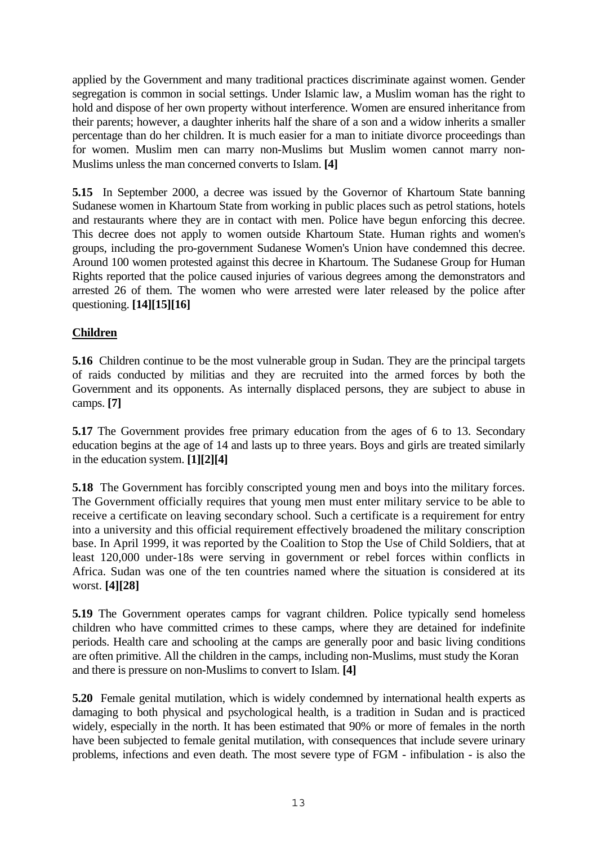<span id="page-12-0"></span>applied by the Government and many traditional practices discriminate against women. Gender segregation is common in social settings. Under Islamic law, a Muslim woman has the right to hold and dispose of her own property without interference. Women are ensured inheritance from their parents; however, a daughter inherits half the share of a son and a widow inherits a smaller percentage than do her children. It is much easier for a man to initiate divorce proceedings than for women. Muslim men can marry non-Muslims but Muslim women cannot marry non-Muslims unless the man concerned converts to Islam. **[4]** 

**5.15** In September 2000, a decree was issued by the Governor of Khartoum State banning Sudanese women in Khartoum State from working in public places such as petrol stations, hotels and restaurants where they are in contact with men. Police have begun enforcing this decree. This decree does not apply to women outside Khartoum State. Human rights and women's groups, including the pro-government Sudanese Women's Union have condemned this decree. Around 100 women protested against this decree in Khartoum. The Sudanese Group for Human Rights reported that the police caused injuries of various degrees among the demonstrators and arrested 26 of them. The women who were arrested were later released by the police after questioning. **[14][15][16]**

## **Children**

**5.16** Children continue to be the most vulnerable group in Sudan. They are the principal targets of raids conducted by militias and they are recruited into the armed forces by both the Government and its opponents. As internally displaced persons, they are subject to abuse in camps. **[7]** 

**5.17** The Government provides free primary education from the ages of 6 to 13. Secondary education begins at the age of 14 and lasts up to three years. Boys and girls are treated similarly in the education system. **[1][2][4]**

**5.18** The Government has forcibly conscripted young men and boys into the military forces. The Government officially requires that young men must enter military service to be able to receive a certificate on leaving secondary school. Such a certificate is a requirement for entry into a university and this official requirement effectively broadened the military conscription base. In April 1999, it was reported by the Coalition to Stop the Use of Child Soldiers, that at least 120,000 under-18s were serving in government or rebel forces within conflicts in Africa. Sudan was one of the ten countries named where the situation is considered at its worst. **[4][28]**

**5.19** The Government operates camps for vagrant children. Police typically send homeless children who have committed crimes to these camps, where they are detained for indefinite periods. Health care and schooling at the camps are generally poor and basic living conditions are often primitive. All the children in the camps, including non-Muslims, must study the Koran and there is pressure on non-Muslims to convert to Islam. **[4]**

**5.20** Female genital mutilation, which is widely condemned by international health experts as damaging to both physical and psychological health, is a tradition in Sudan and is practiced widely, especially in the north. It has been estimated that 90% or more of females in the north have been subjected to female genital mutilation, with consequences that include severe urinary problems, infections and even death. The most severe type of FGM - infibulation - is also the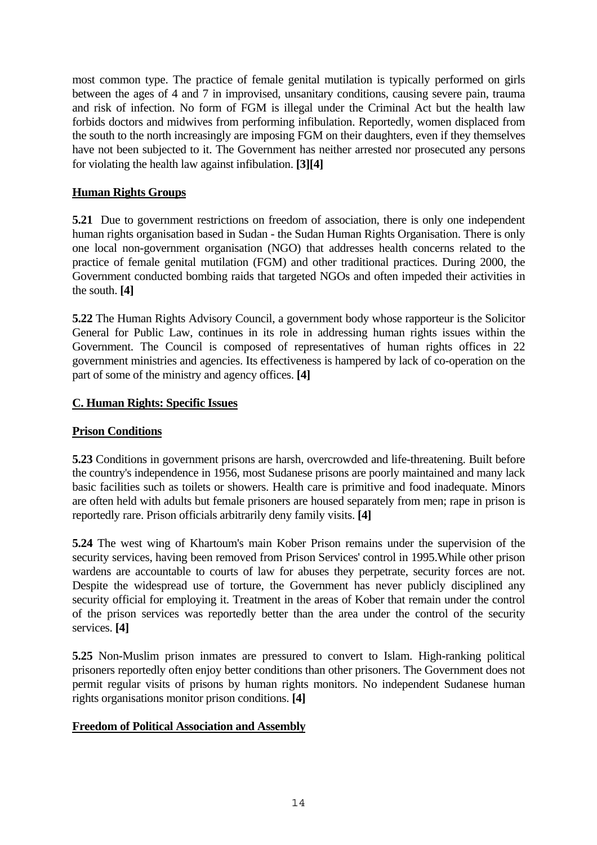<span id="page-13-0"></span>most common type. The practice of female genital mutilation is typically performed on girls between the ages of 4 and 7 in improvised, unsanitary conditions, causing severe pain, trauma and risk of infection. No form of FGM is illegal under the Criminal Act but the health law forbids doctors and midwives from performing infibulation. Reportedly, women displaced from the south to the north increasingly are imposing FGM on their daughters, even if they themselves have not been subjected to it. The Government has neither arrested nor prosecuted any persons for violating the health law against infibulation. **[3][4]**

## **Human Rights Groups**

**5.21** Due to government restrictions on freedom of association, there is only one independent human rights organisation based in Sudan - the Sudan Human Rights Organisation. There is only one local non-government organisation (NGO) that addresses health concerns related to the practice of female genital mutilation (FGM) and other traditional practices. During 2000, the Government conducted bombing raids that targeted NGOs and often impeded their activities in the south. **[4]** 

**5.22** The Human Rights Advisory Council, a government body whose rapporteur is the Solicitor General for Public Law, continues in its role in addressing human rights issues within the Government. The Council is composed of representatives of human rights offices in 22 government ministries and agencies. Its effectiveness is hampered by lack of co-operation on the part of some of the ministry and agency offices. **[4]**

## **C. Human Rights: Specific Issues**

## **Prison Conditions**

**5.23** Conditions in government prisons are harsh, overcrowded and life-threatening. Built before the country's independence in 1956, most Sudanese prisons are poorly maintained and many lack basic facilities such as toilets or showers. Health care is primitive and food inadequate. Minors are often held with adults but female prisoners are housed separately from men; rape in prison is reportedly rare. Prison officials arbitrarily deny family visits. **[4]**

**5.24** The west wing of Khartoum's main Kober Prison remains under the supervision of the security services, having been removed from Prison Services' control in 1995.While other prison wardens are accountable to courts of law for abuses they perpetrate, security forces are not. Despite the widespread use of torture, the Government has never publicly disciplined any security official for employing it. Treatment in the areas of Kober that remain under the control of the prison services was reportedly better than the area under the control of the security services. **[4]**

**5.25** Non-Muslim prison inmates are pressured to convert to Islam. High-ranking political prisoners reportedly often enjoy better conditions than other prisoners. The Government does not permit regular visits of prisons by human rights monitors. No independent Sudanese human rights organisations monitor prison conditions. **[4]**

## **Freedom of Political Association and Assembly**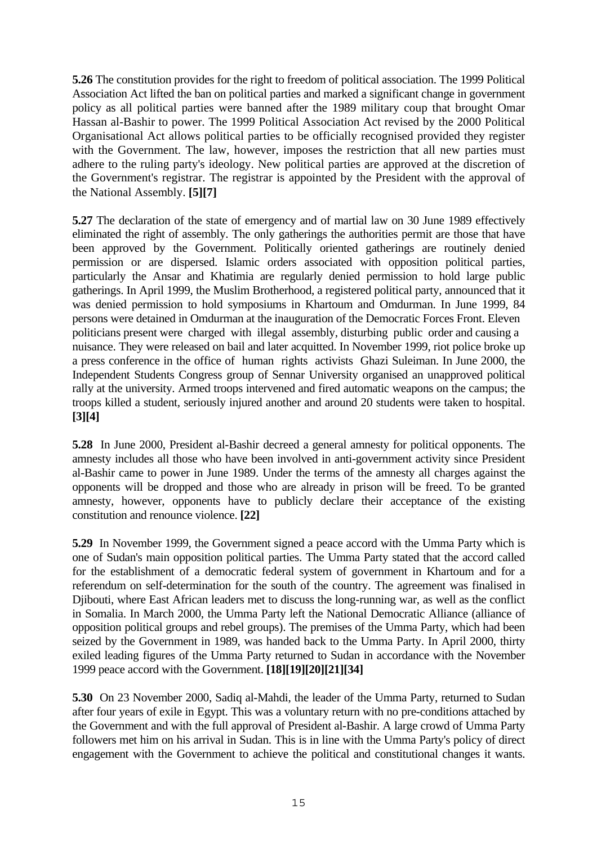**5.26** The constitution provides for the right to freedom of political association. The 1999 Political Association Act lifted the ban on political parties and marked a significant change in government policy as all political parties were banned after the 1989 military coup that brought Omar Hassan al-Bashir to power. The 1999 Political Association Act revised by the 2000 Political Organisational Act allows political parties to be officially recognised provided they register with the Government. The law, however, imposes the restriction that all new parties must adhere to the ruling party's ideology. New political parties are approved at the discretion of the Government's registrar. The registrar is appointed by the President with the approval of the National Assembly. **[5][7]** 

**5.27** The declaration of the state of emergency and of martial law on 30 June 1989 effectively eliminated the right of assembly. The only gatherings the authorities permit are those that have been approved by the Government. Politically oriented gatherings are routinely denied permission or are dispersed. Islamic orders associated with opposition political parties, particularly the Ansar and Khatimia are regularly denied permission to hold large public gatherings. In April 1999, the Muslim Brotherhood, a registered political party, announced that it was denied permission to hold symposiums in Khartoum and Omdurman. In June 1999, 84 persons were detained in Omdurman at the inauguration of the Democratic Forces Front. Eleven politicians present were charged with illegal assembly, disturbing public order and causing a nuisance. They were released on bail and later acquitted. In November 1999, riot police broke up a press conference in the office of human rights activists Ghazi Suleiman. In June 2000, the Independent Students Congress group of Sennar University organised an unapproved political rally at the university. Armed troops intervened and fired automatic weapons on the campus; the troops killed a student, seriously injured another and around 20 students were taken to hospital. **[3][4]** 

**5.28** In June 2000, President al-Bashir decreed a general amnesty for political opponents. The amnesty includes all those who have been involved in anti-government activity since President al-Bashir came to power in June 1989. Under the terms of the amnesty all charges against the opponents will be dropped and those who are already in prison will be freed. To be granted amnesty, however, opponents have to publicly declare their acceptance of the existing constitution and renounce violence. **[22]** 

**5.29** In November 1999, the Government signed a peace accord with the Umma Party which is one of Sudan's main opposition political parties. The Umma Party stated that the accord called for the establishment of a democratic federal system of government in Khartoum and for a referendum on self-determination for the south of the country. The agreement was finalised in Djibouti, where East African leaders met to discuss the long-running war, as well as the conflict in Somalia. In March 2000, the Umma Party left the National Democratic Alliance (alliance of opposition political groups and rebel groups). The premises of the Umma Party, which had been seized by the Government in 1989, was handed back to the Umma Party. In April 2000, thirty exiled leading figures of the Umma Party returned to Sudan in accordance with the November 1999 peace accord with the Government. **[18][19][20][21][34]** 

**5.30** On 23 November 2000, Sadiq al-Mahdi, the leader of the Umma Party, returned to Sudan after four years of exile in Egypt. This was a voluntary return with no pre-conditions attached by the Government and with the full approval of President al-Bashir. A large crowd of Umma Party followers met him on his arrival in Sudan. This is in line with the Umma Party's policy of direct engagement with the Government to achieve the political and constitutional changes it wants.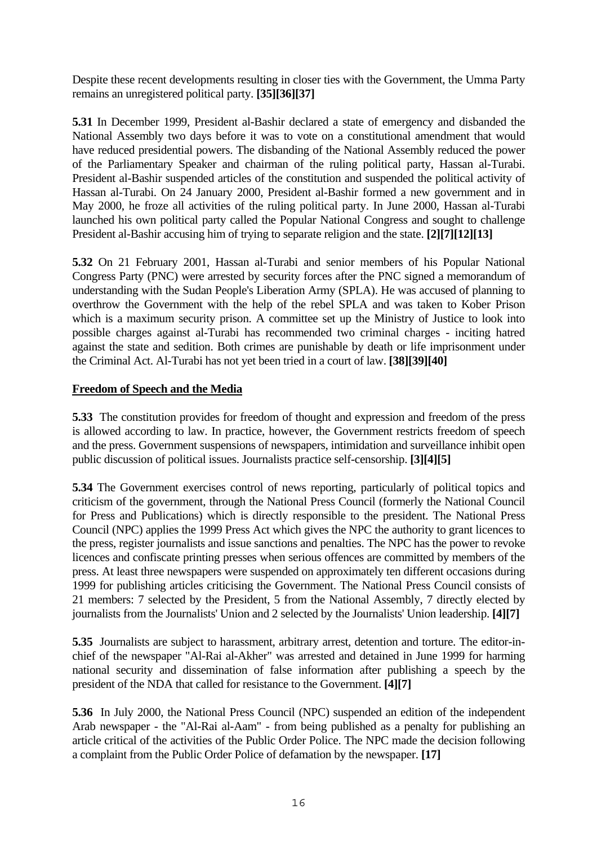<span id="page-15-0"></span>Despite these recent developments resulting in closer ties with the Government, the Umma Party remains an unregistered political party. **[35][36][37]** 

**5.31** In December 1999, President al-Bashir declared a state of emergency and disbanded the National Assembly two days before it was to vote on a constitutional amendment that would have reduced presidential powers. The disbanding of the National Assembly reduced the power of the Parliamentary Speaker and chairman of the ruling political party, Hassan al-Turabi. President al-Bashir suspended articles of the constitution and suspended the political activity of Hassan al-Turabi. On 24 January 2000, President al-Bashir formed a new government and in May 2000, he froze all activities of the ruling political party. In June 2000, Hassan al-Turabi launched his own political party called the Popular National Congress and sought to challenge President al-Bashir accusing him of trying to separate religion and the state. **[2][7][12][13]** 

**5.32** On 21 February 2001, Hassan al-Turabi and senior members of his Popular National Congress Party (PNC) were arrested by security forces after the PNC signed a memorandum of understanding with the Sudan People's Liberation Army (SPLA). He was accused of planning to overthrow the Government with the help of the rebel SPLA and was taken to Kober Prison which is a maximum security prison. A committee set up the Ministry of Justice to look into possible charges against al-Turabi has recommended two criminal charges - inciting hatred against the state and sedition. Both crimes are punishable by death or life imprisonment under the Criminal Act. Al-Turabi has not yet been tried in a court of law. **[38][39][40]** 

## **Freedom of Speech and the Media**

**5.33** The constitution provides for freedom of thought and expression and freedom of the press is allowed according to law. In practice, however, the Government restricts freedom of speech and the press. Government suspensions of newspapers, intimidation and surveillance inhibit open public discussion of political issues. Journalists practice self-censorship. **[3][4][5]** 

**5.34** The Government exercises control of news reporting, particularly of political topics and criticism of the government, through the National Press Council (formerly the National Council for Press and Publications) which is directly responsible to the president. The National Press Council (NPC) applies the 1999 Press Act which gives the NPC the authority to grant licences to the press, register journalists and issue sanctions and penalties. The NPC has the power to revoke licences and confiscate printing presses when serious offences are committed by members of the press. At least three newspapers were suspended on approximately ten different occasions during 1999 for publishing articles criticising the Government. The National Press Council consists of 21 members: 7 selected by the President, 5 from the National Assembly, 7 directly elected by journalists from the Journalists' Union and 2 selected by the Journalists' Union leadership. **[4][7]** 

**5.35** Journalists are subject to harassment, arbitrary arrest, detention and torture. The editor-inchief of the newspaper "Al-Rai al-Akher" was arrested and detained in June 1999 for harming national security and dissemination of false information after publishing a speech by the president of the NDA that called for resistance to the Government. **[4][7]** 

**5.36** In July 2000, the National Press Council (NPC) suspended an edition of the independent Arab newspaper - the "Al-Rai al-Aam" - from being published as a penalty for publishing an article critical of the activities of the Public Order Police. The NPC made the decision following a complaint from the Public Order Police of defamation by the newspaper. **[17]**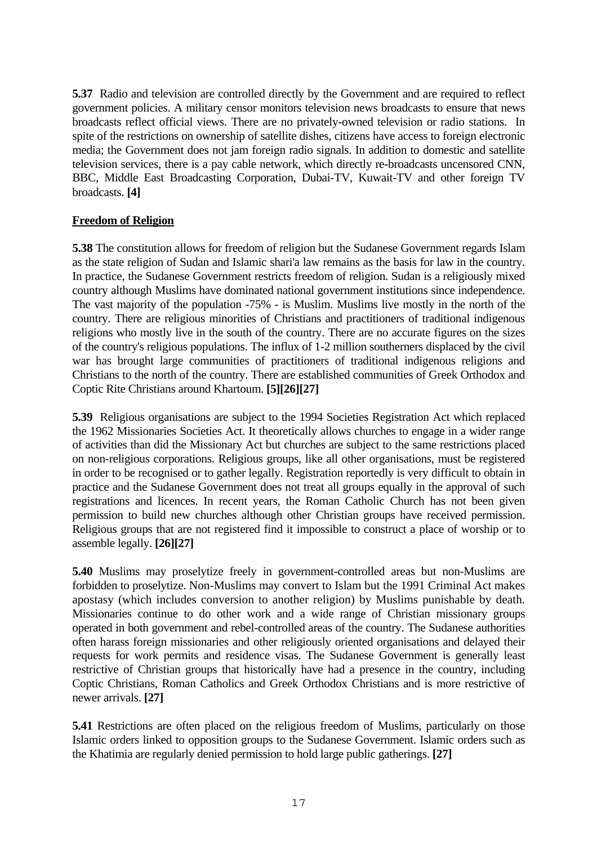<span id="page-16-0"></span>**5.37** Radio and television are controlled directly by the Government and are required to reflect government policies. A military censor monitors television news broadcasts to ensure that news broadcasts reflect official views. There are no privately-owned television or radio stations. In spite of the restrictions on ownership of satellite dishes, citizens have access to foreign electronic media; the Government does not jam foreign radio signals. In addition to domestic and satellite television services, there is a pay cable network, which directly re-broadcasts uncensored CNN, BBC, Middle East Broadcasting Corporation, Dubai-TV, Kuwait-TV and other foreign TV broadcasts. **[4]**

## **Freedom of Religion**

**5.38** The constitution allows for freedom of religion but the Sudanese Government regards Islam as the state religion of Sudan and Islamic shari'a law remains as the basis for law in the country. In practice, the Sudanese Government restricts freedom of religion. Sudan is a religiously mixed country although Muslims have dominated national government institutions since independence. The vast majority of the population -75% - is Muslim. Muslims live mostly in the north of the country. There are religious minorities of Christians and practitioners of traditional indigenous religions who mostly live in the south of the country. There are no accurate figures on the sizes of the country's religious populations. The influx of 1-2 million southerners displaced by the civil war has brought large communities of practitioners of traditional indigenous religions and Christians to the north of the country. There are established communities of Greek Orthodox and Coptic Rite Christians around Khartoum. **[5][26][27]** 

**5.39** Religious organisations are subject to the 1994 Societies Registration Act which replaced the 1962 Missionaries Societies Act. It theoretically allows churches to engage in a wider range of activities than did the Missionary Act but churches are subject to the same restrictions placed on non-religious corporations. Religious groups, like all other organisations, must be registered in order to be recognised or to gather legally. Registration reportedly is very difficult to obtain in practice and the Sudanese Government does not treat all groups equally in the approval of such registrations and licences. In recent years, the Roman Catholic Church has not been given permission to build new churches although other Christian groups have received permission. Religious groups that are not registered find it impossible to construct a place of worship or to assemble legally. **[26][27]** 

**5.40** Muslims may proselytize freely in government-controlled areas but non-Muslims are forbidden to proselytize. Non-Muslims may convert to Islam but the 1991 Criminal Act makes apostasy (which includes conversion to another religion) by Muslims punishable by death. Missionaries continue to do other work and a wide range of Christian missionary groups operated in both government and rebel-controlled areas of the country. The Sudanese authorities often harass foreign missionaries and other religiously oriented organisations and delayed their requests for work permits and residence visas. The Sudanese Government is generally least restrictive of Christian groups that historically have had a presence in the country, including Coptic Christians, Roman Catholics and Greek Orthodox Christians and is more restrictive of newer arrivals. **[27]**

**5.41** Restrictions are often placed on the religious freedom of Muslims, particularly on those Islamic orders linked to opposition groups to the Sudanese Government. Islamic orders such as the Khatimia are regularly denied permission to hold large public gatherings. **[27]**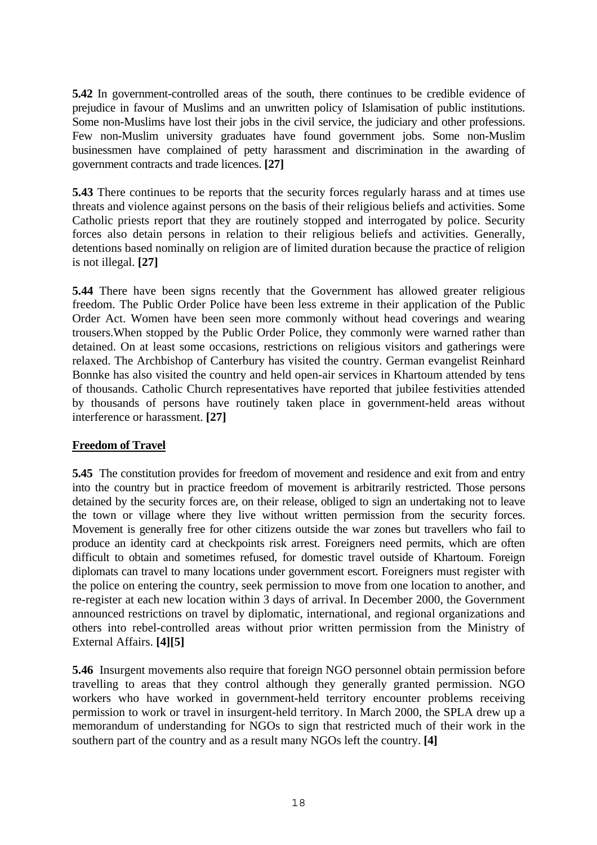<span id="page-17-0"></span>**5.42** In government-controlled areas of the south, there continues to be credible evidence of prejudice in favour of Muslims and an unwritten policy of Islamisation of public institutions. Some non-Muslims have lost their jobs in the civil service, the judiciary and other professions. Few non-Muslim university graduates have found government jobs. Some non-Muslim businessmen have complained of petty harassment and discrimination in the awarding of government contracts and trade licences. **[27]** 

**5.43** There continues to be reports that the security forces regularly harass and at times use threats and violence against persons on the basis of their religious beliefs and activities. Some Catholic priests report that they are routinely stopped and interrogated by police. Security forces also detain persons in relation to their religious beliefs and activities. Generally, detentions based nominally on religion are of limited duration because the practice of religion is not illegal. **[27]**

**5.44** There have been signs recently that the Government has allowed greater religious freedom. The Public Order Police have been less extreme in their application of the Public Order Act. Women have been seen more commonly without head coverings and wearing trousers.When stopped by the Public Order Police, they commonly were warned rather than detained. On at least some occasions, restrictions on religious visitors and gatherings were relaxed. The Archbishop of Canterbury has visited the country. German evangelist Reinhard Bonnke has also visited the country and held open-air services in Khartoum attended by tens of thousands. Catholic Church representatives have reported that jubilee festivities attended by thousands of persons have routinely taken place in government-held areas without interference or harassment. **[27]**

## **Freedom of Travel**

**5.45** The constitution provides for freedom of movement and residence and exit from and entry into the country but in practice freedom of movement is arbitrarily restricted. Those persons detained by the security forces are, on their release, obliged to sign an undertaking not to leave the town or village where they live without written permission from the security forces. Movement is generally free for other citizens outside the war zones but travellers who fail to produce an identity card at checkpoints risk arrest. Foreigners need permits, which are often difficult to obtain and sometimes refused, for domestic travel outside of Khartoum. Foreign diplomats can travel to many locations under government escort. Foreigners must register with the police on entering the country, seek permission to move from one location to another, and re-register at each new location within 3 days of arrival. In December 2000, the Government announced restrictions on travel by diplomatic, international, and regional organizations and others into rebel-controlled areas without prior written permission from the Ministry of External Affairs. **[4][5]** 

**5.46** Insurgent movements also require that foreign NGO personnel obtain permission before travelling to areas that they control although they generally granted permission. NGO workers who have worked in government-held territory encounter problems receiving permission to work or travel in insurgent-held territory. In March 2000, the SPLA drew up a memorandum of understanding for NGOs to sign that restricted much of their work in the southern part of the country and as a result many NGOs left the country. **[4]**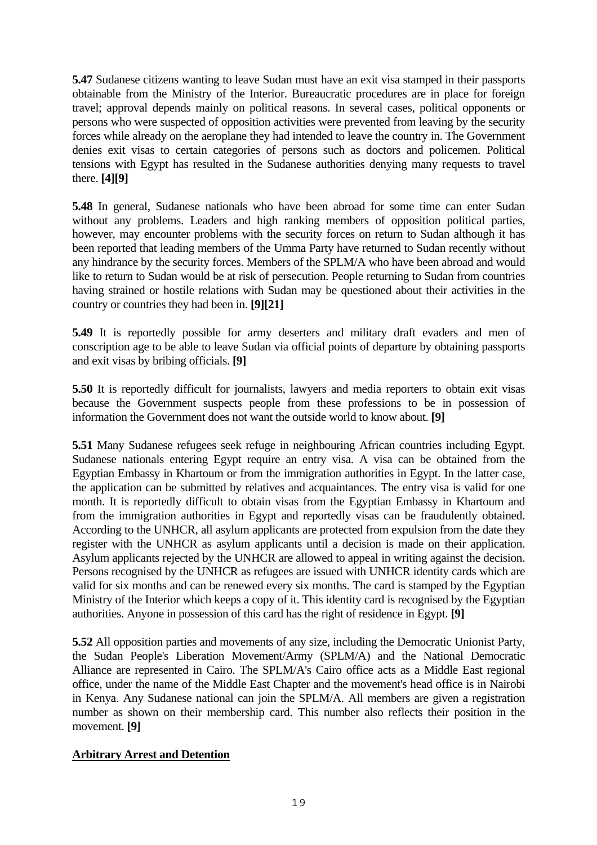<span id="page-18-0"></span>**5.47** Sudanese citizens wanting to leave Sudan must have an exit visa stamped in their passports obtainable from the Ministry of the Interior. Bureaucratic procedures are in place for foreign travel; approval depends mainly on political reasons. In several cases, political opponents or persons who were suspected of opposition activities were prevented from leaving by the security forces while already on the aeroplane they had intended to leave the country in. The Government denies exit visas to certain categories of persons such as doctors and policemen. Political tensions with Egypt has resulted in the Sudanese authorities denying many requests to travel there. **[4][9]** 

**5.48** In general, Sudanese nationals who have been abroad for some time can enter Sudan without any problems. Leaders and high ranking members of opposition political parties, however, may encounter problems with the security forces on return to Sudan although it has been reported that leading members of the Umma Party have returned to Sudan recently without any hindrance by the security forces. Members of the SPLM/A who have been abroad and would like to return to Sudan would be at risk of persecution. People returning to Sudan from countries having strained or hostile relations with Sudan may be questioned about their activities in the country or countries they had been in. **[9][21]** 

**5.49** It is reportedly possible for army deserters and military draft evaders and men of conscription age to be able to leave Sudan via official points of departure by obtaining passports and exit visas by bribing officials. **[9]** 

**5.50** It is reportedly difficult for journalists, lawyers and media reporters to obtain exit visas because the Government suspects people from these professions to be in possession of information the Government does not want the outside world to know about. **[9]** 

**5.51** Many Sudanese refugees seek refuge in neighbouring African countries including Egypt. Sudanese nationals entering Egypt require an entry visa. A visa can be obtained from the Egyptian Embassy in Khartoum or from the immigration authorities in Egypt. In the latter case, the application can be submitted by relatives and acquaintances. The entry visa is valid for one month. It is reportedly difficult to obtain visas from the Egyptian Embassy in Khartoum and from the immigration authorities in Egypt and reportedly visas can be fraudulently obtained. According to the UNHCR, all asylum applicants are protected from expulsion from the date they register with the UNHCR as asylum applicants until a decision is made on their application. Asylum applicants rejected by the UNHCR are allowed to appeal in writing against the decision. Persons recognised by the UNHCR as refugees are issued with UNHCR identity cards which are valid for six months and can be renewed every six months. The card is stamped by the Egyptian Ministry of the Interior which keeps a copy of it. This identity card is recognised by the Egyptian authorities. Anyone in possession of this card has the right of residence in Egypt. **[9]**

**5.52** All opposition parties and movements of any size, including the Democratic Unionist Party, the Sudan People's Liberation Movement/Army (SPLM/A) and the National Democratic Alliance are represented in Cairo. The SPLM/A's Cairo office acts as a Middle East regional office, under the name of the Middle East Chapter and the movement's head office is in Nairobi in Kenya. Any Sudanese national can join the SPLM/A. All members are given a registration number as shown on their membership card. This number also reflects their position in the movement. **[9]** 

## **Arbitrary Arrest and Detention**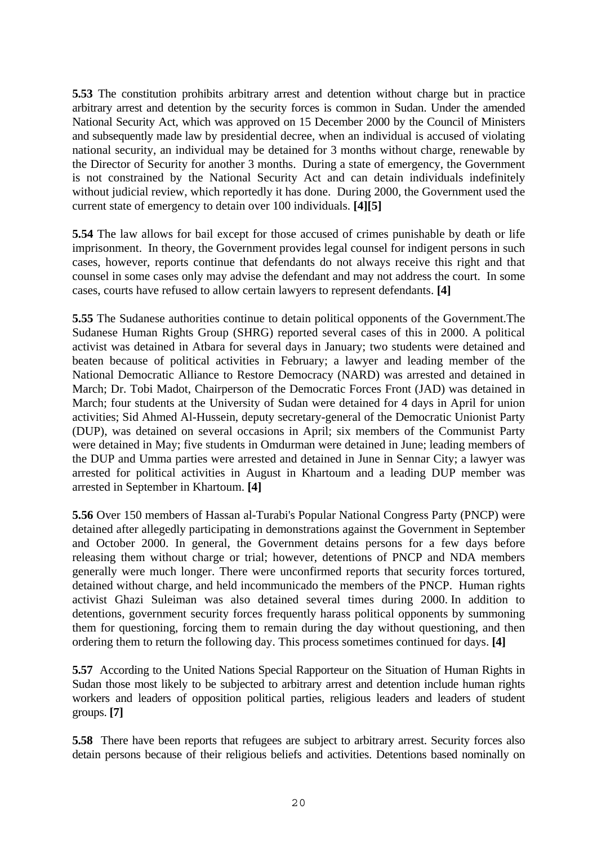**5.53** The constitution prohibits arbitrary arrest and detention without charge but in practice arbitrary arrest and detention by the security forces is common in Sudan. Under the amended National Security Act, which was approved on 15 December 2000 by the Council of Ministers and subsequently made law by presidential decree, when an individual is accused of violating national security, an individual may be detained for 3 months without charge, renewable by the Director of Security for another 3 months. During a state of emergency, the Government is not constrained by the National Security Act and can detain individuals indefinitely without judicial review, which reportedly it has done. During 2000, the Government used the current state of emergency to detain over 100 individuals. **[4][5]** 

**5.54** The law allows for bail except for those accused of crimes punishable by death or life imprisonment. In theory, the Government provides legal counsel for indigent persons in such cases, however, reports continue that defendants do not always receive this right and that counsel in some cases only may advise the defendant and may not address the court. In some cases, courts have refused to allow certain lawyers to represent defendants. **[4]** 

**5.55** The Sudanese authorities continue to detain political opponents of the Government.The Sudanese Human Rights Group (SHRG) reported several cases of this in 2000. A political activist was detained in Atbara for several days in January; two students were detained and beaten because of political activities in February; a lawyer and leading member of the National Democratic Alliance to Restore Democracy (NARD) was arrested and detained in March; Dr. Tobi Madot, Chairperson of the Democratic Forces Front (JAD) was detained in March; four students at the University of Sudan were detained for 4 days in April for union activities; Sid Ahmed Al-Hussein, deputy secretary-general of the Democratic Unionist Party (DUP), was detained on several occasions in April; six members of the Communist Party were detained in May; five students in Omdurman were detained in June; leading members of the DUP and Umma parties were arrested and detained in June in Sennar City; a lawyer was arrested for political activities in August in Khartoum and a leading DUP member was arrested in September in Khartoum. **[4]**

**5.56** Over 150 members of Hassan al-Turabi's Popular National Congress Party (PNCP) were detained after allegedly participating in demonstrations against the Government in September and October 2000. In general, the Government detains persons for a few days before releasing them without charge or trial; however, detentions of PNCP and NDA members generally were much longer. There were unconfirmed reports that security forces tortured, detained without charge, and held incommunicado the members of the PNCP. Human rights activist Ghazi Suleiman was also detained several times during 2000. In addition to detentions, government security forces frequently harass political opponents by summoning them for questioning, forcing them to remain during the day without questioning, and then ordering them to return the following day. This process sometimes continued for days. **[4]** 

**5.57** According to the United Nations Special Rapporteur on the Situation of Human Rights in Sudan those most likely to be subjected to arbitrary arrest and detention include human rights workers and leaders of opposition political parties, religious leaders and leaders of student groups. **[7]** 

**5.58** There have been reports that refugees are subject to arbitrary arrest. Security forces also detain persons because of their religious beliefs and activities. Detentions based nominally on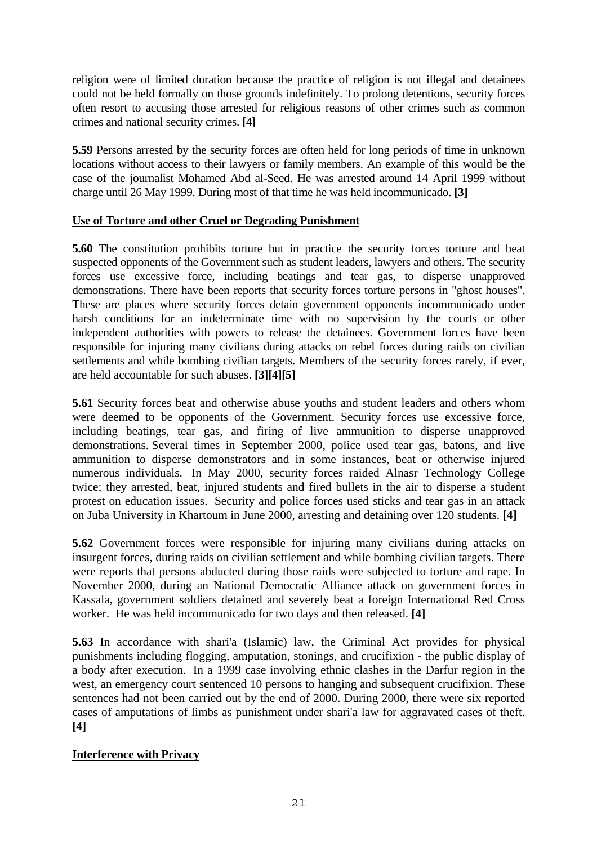<span id="page-20-0"></span>religion were of limited duration because the practice of religion is not illegal and detainees could not be held formally on those grounds indefinitely. To prolong detentions, security forces often resort to accusing those arrested for religious reasons of other crimes such as common crimes and national security crimes. **[4]** 

**5.59** Persons arrested by the security forces are often held for long periods of time in unknown locations without access to their lawyers or family members. An example of this would be the case of the journalist Mohamed Abd al-Seed. He was arrested around 14 April 1999 without charge until 26 May 1999. During most of that time he was held incommunicado. **[3]**

## **Use of Torture and other Cruel or Degrading Punishment**

**5.60** The constitution prohibits torture but in practice the security forces torture and beat suspected opponents of the Government such as student leaders, lawyers and others. The security forces use excessive force, including beatings and tear gas, to disperse unapproved demonstrations. There have been reports that security forces torture persons in "ghost houses". These are places where security forces detain government opponents incommunicado under harsh conditions for an indeterminate time with no supervision by the courts or other independent authorities with powers to release the detainees. Government forces have been responsible for injuring many civilians during attacks on rebel forces during raids on civilian settlements and while bombing civilian targets. Members of the security forces rarely, if ever, are held accountable for such abuses. **[3][4][5]**

**5.61** Security forces beat and otherwise abuse youths and student leaders and others whom were deemed to be opponents of the Government. Security forces use excessive force, including beatings, tear gas, and firing of live ammunition to disperse unapproved demonstrations. Several times in September 2000, police used tear gas, batons, and live ammunition to disperse demonstrators and in some instances, beat or otherwise injured numerous individuals. In May 2000, security forces raided Alnasr Technology College twice; they arrested, beat, injured students and fired bullets in the air to disperse a student protest on education issues. Security and police forces used sticks and tear gas in an attack on Juba University in Khartoum in June 2000, arresting and detaining over 120 students. **[4]**

**5.62** Government forces were responsible for injuring many civilians during attacks on insurgent forces, during raids on civilian settlement and while bombing civilian targets. There were reports that persons abducted during those raids were subjected to torture and rape. In November 2000, during an National Democratic Alliance attack on government forces in Kassala, government soldiers detained and severely beat a foreign International Red Cross worker. He was held incommunicado for two days and then released. **[4]** 

**5.63** In accordance with shari'a (Islamic) law, the Criminal Act provides for physical punishments including flogging, amputation, stonings, and crucifixion - the public display of a body after execution. In a 1999 case involving ethnic clashes in the Darfur region in the west, an emergency court sentenced 10 persons to hanging and subsequent crucifixion. These sentences had not been carried out by the end of 2000. During 2000, there were six reported cases of amputations of limbs as punishment under shari'a law for aggravated cases of theft. **[4]** 

## **Interference with Privacy**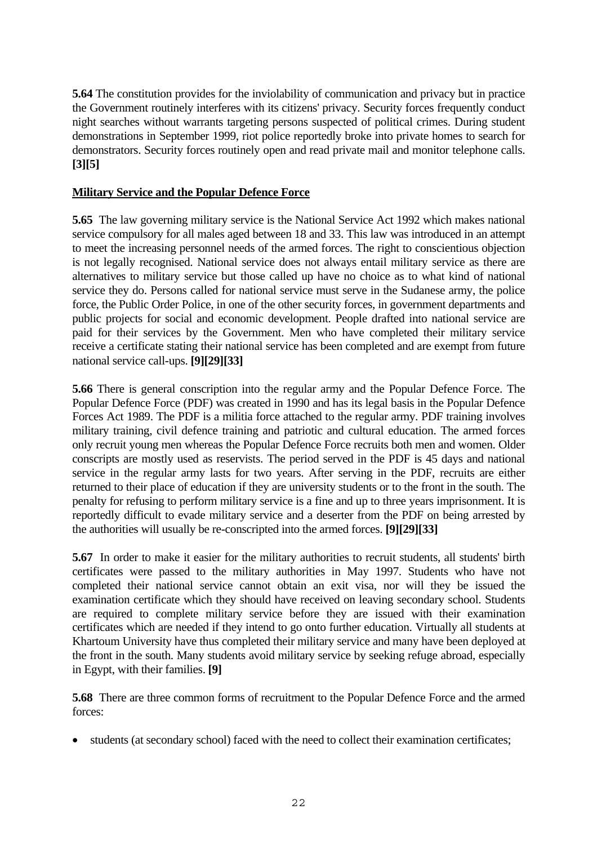<span id="page-21-0"></span>**5.64** The constitution provides for the inviolability of communication and privacy but in practice the Government routinely interferes with its citizens' privacy. Security forces frequently conduct night searches without warrants targeting persons suspected of political crimes. During student demonstrations in September 1999, riot police reportedly broke into private homes to search for demonstrators. Security forces routinely open and read private mail and monitor telephone calls. **[3][5]** 

## **Military Service and the Popular Defence Force**

**5.65** The law governing military service is the National Service Act 1992 which makes national service compulsory for all males aged between 18 and 33. This law was introduced in an attempt to meet the increasing personnel needs of the armed forces. The right to conscientious objection is not legally recognised. National service does not always entail military service as there are alternatives to military service but those called up have no choice as to what kind of national service they do. Persons called for national service must serve in the Sudanese army, the police force, the Public Order Police, in one of the other security forces, in government departments and public projects for social and economic development. People drafted into national service are paid for their services by the Government. Men who have completed their military service receive a certificate stating their national service has been completed and are exempt from future national service call-ups. **[9][29][33]**

**5.66** There is general conscription into the regular army and the Popular Defence Force. The Popular Defence Force (PDF) was created in 1990 and has its legal basis in the Popular Defence Forces Act 1989. The PDF is a militia force attached to the regular army. PDF training involves military training, civil defence training and patriotic and cultural education. The armed forces only recruit young men whereas the Popular Defence Force recruits both men and women. Older conscripts are mostly used as reservists. The period served in the PDF is 45 days and national service in the regular army lasts for two years. After serving in the PDF, recruits are either returned to their place of education if they are university students or to the front in the south. The penalty for refusing to perform military service is a fine and up to three years imprisonment. It is reportedly difficult to evade military service and a deserter from the PDF on being arrested by the authorities will usually be re-conscripted into the armed forces. **[9][29][33]**

**5.67** In order to make it easier for the military authorities to recruit students, all students' birth certificates were passed to the military authorities in May 1997. Students who have not completed their national service cannot obtain an exit visa, nor will they be issued the examination certificate which they should have received on leaving secondary school. Students are required to complete military service before they are issued with their examination certificates which are needed if they intend to go onto further education. Virtually all students at Khartoum University have thus completed their military service and many have been deployed at the front in the south. Many students avoid military service by seeking refuge abroad, especially in Egypt, with their families. **[9]**

**5.68** There are three common forms of recruitment to the Popular Defence Force and the armed forces:

• students (at secondary school) faced with the need to collect their examination certificates;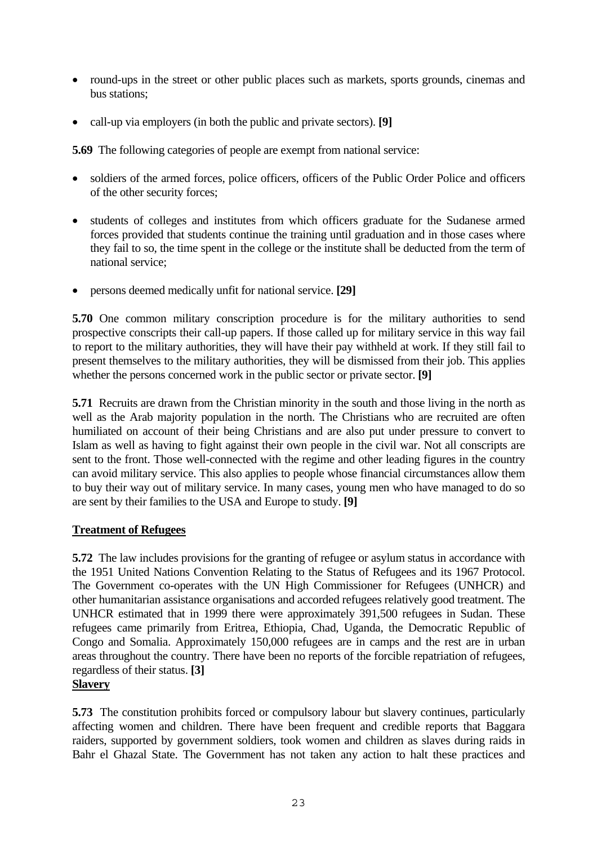- <span id="page-22-0"></span>• round-ups in the street or other public places such as markets, sports grounds, cinemas and bus stations;
- call-up via employers (in both the public and private sectors). **[9]**

**5.69** The following categories of people are exempt from national service:

- soldiers of the armed forces, police officers, officers of the Public Order Police and officers of the other security forces;
- students of colleges and institutes from which officers graduate for the Sudanese armed forces provided that students continue the training until graduation and in those cases where they fail to so, the time spent in the college or the institute shall be deducted from the term of national service;
- persons deemed medically unfit for national service. **[29]**

**5.70** One common military conscription procedure is for the military authorities to send prospective conscripts their call-up papers. If those called up for military service in this way fail to report to the military authorities, they will have their pay withheld at work. If they still fail to present themselves to the military authorities, they will be dismissed from their job. This applies whether the persons concerned work in the public sector or private sector. **[9]** 

**5.71** Recruits are drawn from the Christian minority in the south and those living in the north as well as the Arab majority population in the north. The Christians who are recruited are often humiliated on account of their being Christians and are also put under pressure to convert to Islam as well as having to fight against their own people in the civil war. Not all conscripts are sent to the front. Those well-connected with the regime and other leading figures in the country can avoid military service. This also applies to people whose financial circumstances allow them to buy their way out of military service. In many cases, young men who have managed to do so are sent by their families to the USA and Europe to study. **[9]** 

## **Treatment of Refugees**

**5.72** The law includes provisions for the granting of refugee or asylum status in accordance with the 1951 United Nations Convention Relating to the Status of Refugees and its 1967 Protocol. The Government co-operates with the UN High Commissioner for Refugees (UNHCR) and other humanitarian assistance organisations and accorded refugees relatively good treatment. The UNHCR estimated that in 1999 there were approximately 391,500 refugees in Sudan. These refugees came primarily from Eritrea, Ethiopia, Chad, Uganda, the Democratic Republic of Congo and Somalia. Approximately 150,000 refugees are in camps and the rest are in urban areas throughout the country. There have been no reports of the forcible repatriation of refugees, regardless of their status. **[3]** 

## **Slavery**

**5.73** The constitution prohibits forced or compulsory labour but slavery continues, particularly affecting women and children. There have been frequent and credible reports that Baggara raiders, supported by government soldiers, took women and children as slaves during raids in Bahr el Ghazal State. The Government has not taken any action to halt these practices and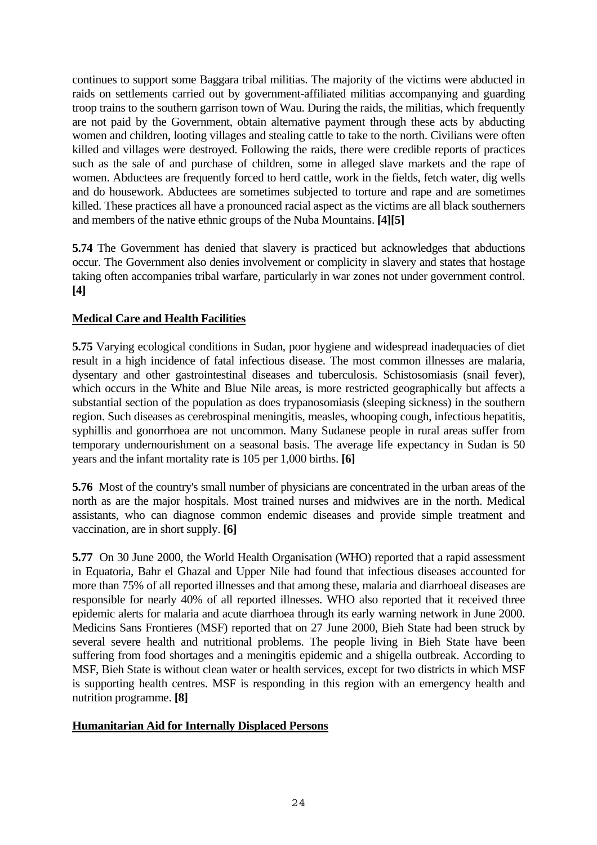<span id="page-23-0"></span>continues to support some Baggara tribal militias. The majority of the victims were abducted in raids on settlements carried out by government-affiliated militias accompanying and guarding troop trains to the southern garrison town of Wau. During the raids, the militias, which frequently are not paid by the Government, obtain alternative payment through these acts by abducting women and children, looting villages and stealing cattle to take to the north. Civilians were often killed and villages were destroyed. Following the raids, there were credible reports of practices such as the sale of and purchase of children, some in alleged slave markets and the rape of women. Abductees are frequently forced to herd cattle, work in the fields, fetch water, dig wells and do housework. Abductees are sometimes subjected to torture and rape and are sometimes killed. These practices all have a pronounced racial aspect as the victims are all black southerners and members of the native ethnic groups of the Nuba Mountains. **[4][5]** 

**5.74** The Government has denied that slavery is practiced but acknowledges that abductions occur. The Government also denies involvement or complicity in slavery and states that hostage taking often accompanies tribal warfare, particularly in war zones not under government control. **[4]** 

## **Medical Care and Health Facilities**

**5.75** Varying ecological conditions in Sudan, poor hygiene and widespread inadequacies of diet result in a high incidence of fatal infectious disease. The most common illnesses are malaria, dysentary and other gastrointestinal diseases and tuberculosis. Schistosomiasis (snail fever), which occurs in the White and Blue Nile areas, is more restricted geographically but affects a substantial section of the population as does trypanosomiasis (sleeping sickness) in the southern region. Such diseases as cerebrospinal meningitis, measles, whooping cough, infectious hepatitis, syphillis and gonorrhoea are not uncommon. Many Sudanese people in rural areas suffer from temporary undernourishment on a seasonal basis. The average life expectancy in Sudan is 50 years and the infant mortality rate is 105 per 1,000 births. **[6]** 

**5.76** Most of the country's small number of physicians are concentrated in the urban areas of the north as are the major hospitals. Most trained nurses and midwives are in the north. Medical assistants, who can diagnose common endemic diseases and provide simple treatment and vaccination, are in short supply. **[6]** 

**5.77** On 30 June 2000, the World Health Organisation (WHO) reported that a rapid assessment in Equatoria, Bahr el Ghazal and Upper Nile had found that infectious diseases accounted for more than 75% of all reported illnesses and that among these, malaria and diarrhoeal diseases are responsible for nearly 40% of all reported illnesses. WHO also reported that it received three epidemic alerts for malaria and acute diarrhoea through its early warning network in June 2000. Medicins Sans Frontieres (MSF) reported that on 27 June 2000, Bieh State had been struck by several severe health and nutritional problems. The people living in Bieh State have been suffering from food shortages and a meningitis epidemic and a shigella outbreak. According to MSF, Bieh State is without clean water or health services, except for two districts in which MSF is supporting health centres. MSF is responding in this region with an emergency health and nutrition programme. **[8]** 

#### **Humanitarian Aid for Internally Displaced Persons**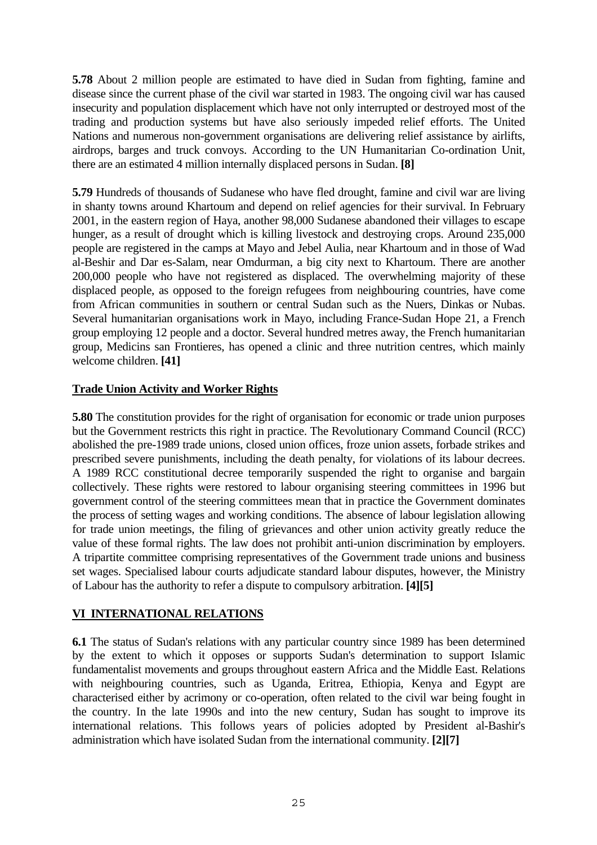<span id="page-24-0"></span>**5.78** About 2 million people are estimated to have died in Sudan from fighting, famine and disease since the current phase of the civil war started in 1983. The ongoing civil war has caused insecurity and population displacement which have not only interrupted or destroyed most of the trading and production systems but have also seriously impeded relief efforts. The United Nations and numerous non-government organisations are delivering relief assistance by airlifts, airdrops, barges and truck convoys. According to the UN Humanitarian Co-ordination Unit, there are an estimated 4 million internally displaced persons in Sudan. **[8]** 

**5.79** Hundreds of thousands of Sudanese who have fled drought, famine and civil war are living in shanty towns around Khartoum and depend on relief agencies for their survival. In February 2001, in the eastern region of Haya, another 98,000 Sudanese abandoned their villages to escape hunger, as a result of drought which is killing livestock and destroying crops. Around 235,000 people are registered in the camps at Mayo and Jebel Aulia, near Khartoum and in those of Wad al-Beshir and Dar es-Salam, near Omdurman, a big city next to Khartoum. There are another 200,000 people who have not registered as displaced. The overwhelming majority of these displaced people, as opposed to the foreign refugees from neighbouring countries, have come from African communities in southern or central Sudan such as the Nuers, Dinkas or Nubas. Several humanitarian organisations work in Mayo, including France-Sudan Hope 21, a French group employing 12 people and a doctor. Several hundred metres away, the French humanitarian group, Medicins san Frontieres, has opened a clinic and three nutrition centres, which mainly welcome children. **[41]** 

## **Trade Union Activity and Worker Rights**

**5.80** The constitution provides for the right of organisation for economic or trade union purposes but the Government restricts this right in practice. The Revolutionary Command Council (RCC) abolished the pre-1989 trade unions, closed union offices, froze union assets, forbade strikes and prescribed severe punishments, including the death penalty, for violations of its labour decrees. A 1989 RCC constitutional decree temporarily suspended the right to organise and bargain collectively. These rights were restored to labour organising steering committees in 1996 but government control of the steering committees mean that in practice the Government dominates the process of setting wages and working conditions. The absence of labour legislation allowing for trade union meetings, the filing of grievances and other union activity greatly reduce the value of these formal rights. The law does not prohibit anti-union discrimination by employers. A tripartite committee comprising representatives of the Government trade unions and business set wages. Specialised labour courts adjudicate standard labour disputes, however, the Ministry of Labour has the authority to refer a dispute to compulsory arbitration. **[4][5]** 

## **VI INTERNATIONAL RELATIONS**

**6.1** The status of Sudan's relations with any particular country since 1989 has been determined by the extent to which it opposes or supports Sudan's determination to support Islamic fundamentalist movements and groups throughout eastern Africa and the Middle East. Relations with neighbouring countries, such as Uganda, Eritrea, Ethiopia, Kenya and Egypt are characterised either by acrimony or co-operation, often related to the civil war being fought in the country. In the late 1990s and into the new century, Sudan has sought to improve its international relations. This follows years of policies adopted by President al-Bashir's administration which have isolated Sudan from the international community. **[2][7]**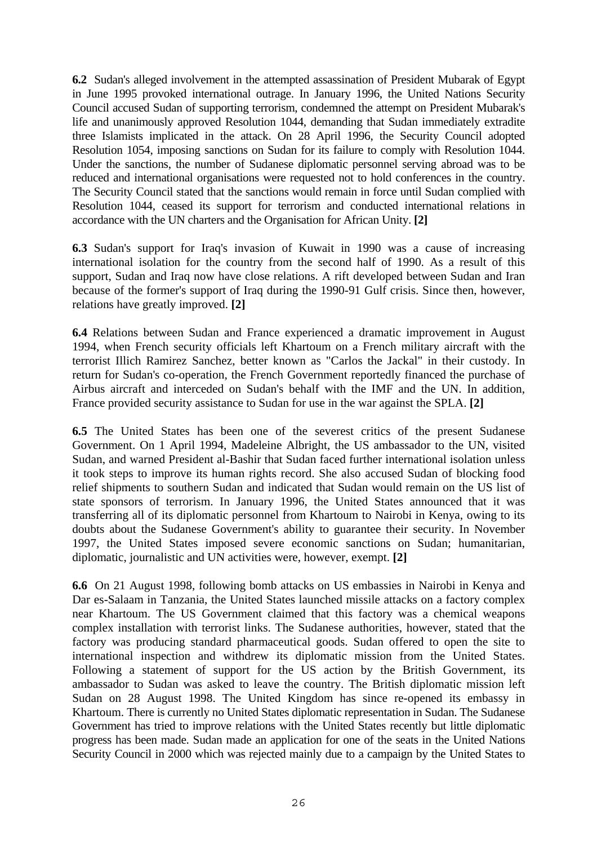**6.2** Sudan's alleged involvement in the attempted assassination of President Mubarak of Egypt in June 1995 provoked international outrage. In January 1996, the United Nations Security Council accused Sudan of supporting terrorism, condemned the attempt on President Mubarak's life and unanimously approved Resolution 1044, demanding that Sudan immediately extradite three Islamists implicated in the attack. On 28 April 1996, the Security Council adopted Resolution 1054, imposing sanctions on Sudan for its failure to comply with Resolution 1044. Under the sanctions, the number of Sudanese diplomatic personnel serving abroad was to be reduced and international organisations were requested not to hold conferences in the country. The Security Council stated that the sanctions would remain in force until Sudan complied with Resolution 1044, ceased its support for terrorism and conducted international relations in accordance with the UN charters and the Organisation for African Unity. **[2]** 

**6.3** Sudan's support for Iraq's invasion of Kuwait in 1990 was a cause of increasing international isolation for the country from the second half of 1990. As a result of this support, Sudan and Iraq now have close relations. A rift developed between Sudan and Iran because of the former's support of Iraq during the 1990-91 Gulf crisis. Since then, however, relations have greatly improved. **[2]** 

**6.4** Relations between Sudan and France experienced a dramatic improvement in August 1994, when French security officials left Khartoum on a French military aircraft with the terrorist Illich Ramirez Sanchez, better known as "Carlos the Jackal" in their custody. In return for Sudan's co-operation, the French Government reportedly financed the purchase of Airbus aircraft and interceded on Sudan's behalf with the IMF and the UN. In addition, France provided security assistance to Sudan for use in the war against the SPLA. **[2]** 

**6.5** The United States has been one of the severest critics of the present Sudanese Government. On 1 April 1994, Madeleine Albright, the US ambassador to the UN, visited Sudan, and warned President al-Bashir that Sudan faced further international isolation unless it took steps to improve its human rights record. She also accused Sudan of blocking food relief shipments to southern Sudan and indicated that Sudan would remain on the US list of state sponsors of terrorism. In January 1996, the United States announced that it was transferring all of its diplomatic personnel from Khartoum to Nairobi in Kenya, owing to its doubts about the Sudanese Government's ability to guarantee their security. In November 1997, the United States imposed severe economic sanctions on Sudan; humanitarian, diplomatic, journalistic and UN activities were, however, exempt. **[2]** 

**6.6** On 21 August 1998, following bomb attacks on US embassies in Nairobi in Kenya and Dar es-Salaam in Tanzania, the United States launched missile attacks on a factory complex near Khartoum. The US Government claimed that this factory was a chemical weapons complex installation with terrorist links. The Sudanese authorities, however, stated that the factory was producing standard pharmaceutical goods. Sudan offered to open the site to international inspection and withdrew its diplomatic mission from the United States. Following a statement of support for the US action by the British Government, its ambassador to Sudan was asked to leave the country. The British diplomatic mission left Sudan on 28 August 1998. The United Kingdom has since re-opened its embassy in Khartoum. There is currently no United States diplomatic representation in Sudan. The Sudanese Government has tried to improve relations with the United States recently but little diplomatic progress has been made. Sudan made an application for one of the seats in the United Nations Security Council in 2000 which was rejected mainly due to a campaign by the United States to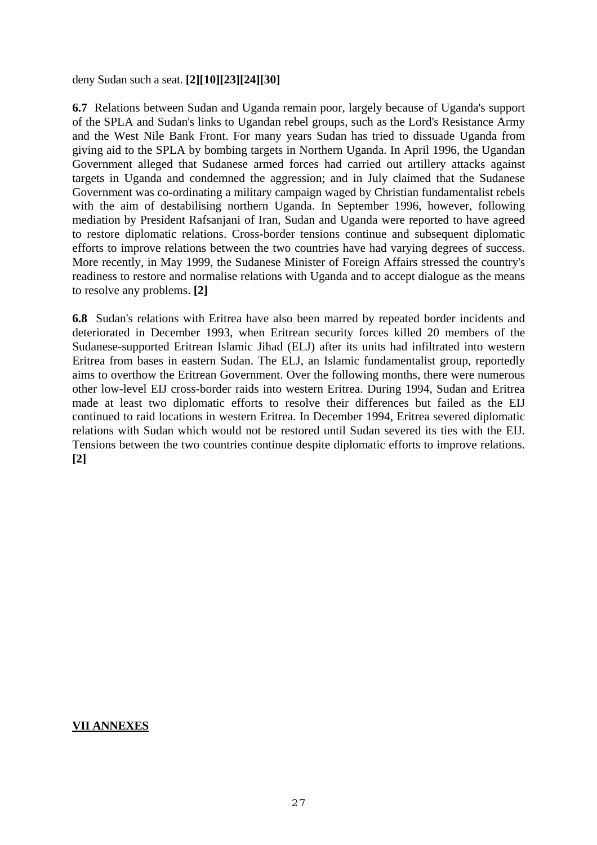deny Sudan such a seat. **[2][10][23][24][30]**

**6.7** Relations between Sudan and Uganda remain poor, largely because of Uganda's support of the SPLA and Sudan's links to Ugandan rebel groups, such as the Lord's Resistance Army and the West Nile Bank Front. For many years Sudan has tried to dissuade Uganda from giving aid to the SPLA by bombing targets in Northern Uganda. In April 1996, the Ugandan Government alleged that Sudanese armed forces had carried out artillery attacks against targets in Uganda and condemned the aggression; and in July claimed that the Sudanese Government was co-ordinating a military campaign waged by Christian fundamentalist rebels with the aim of destabilising northern Uganda. In September 1996, however, following mediation by President Rafsanjani of Iran, Sudan and Uganda were reported to have agreed to restore diplomatic relations. Cross-border tensions continue and subsequent diplomatic efforts to improve relations between the two countries have had varying degrees of success. More recently, in May 1999, the Sudanese Minister of Foreign Affairs stressed the country's readiness to restore and normalise relations with Uganda and to accept dialogue as the means to resolve any problems. **[2]** 

**6.8** Sudan's relations with Eritrea have also been marred by repeated border incidents and deteriorated in December 1993, when Eritrean security forces killed 20 members of the Sudanese-supported Eritrean Islamic Jihad (ELJ) after its units had infiltrated into western Eritrea from bases in eastern Sudan. The ELJ, an Islamic fundamentalist group, reportedly aims to overthow the Eritrean Government. Over the following months, there were numerous other low-level EIJ cross-border raids into western Eritrea. During 1994, Sudan and Eritrea made at least two diplomatic efforts to resolve their differences but failed as the EIJ continued to raid locations in western Eritrea. In December 1994, Eritrea severed diplomatic relations with Sudan which would not be restored until Sudan severed its ties with the EIJ. Tensions between the two countries continue despite diplomatic efforts to improve relations. **[2]** 

#### **VII ANNEXES**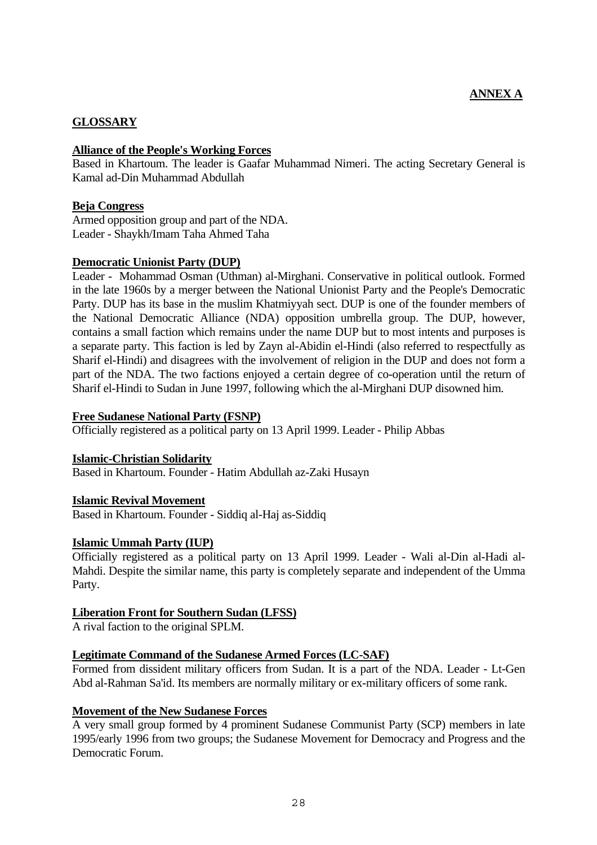## <span id="page-27-0"></span>**GLOSSARY**

#### **Alliance of the People's Working Forces**

Based in Khartoum. The leader is Gaafar Muhammad Nimeri. The acting Secretary General is Kamal ad-Din Muhammad Abdullah

#### **Beja Congress**

Armed opposition group and part of the NDA. Leader - Shaykh/Imam Taha Ahmed Taha

#### **Democratic Unionist Party (DUP)**

Leader - Mohammad Osman (Uthman) al-Mirghani. Conservative in political outlook. Formed in the late 1960s by a merger between the National Unionist Party and the People's Democratic Party. DUP has its base in the muslim Khatmiyyah sect. DUP is one of the founder members of the National Democratic Alliance (NDA) opposition umbrella group. The DUP, however, contains a small faction which remains under the name DUP but to most intents and purposes is a separate party. This faction is led by Zayn al-Abidin el-Hindi (also referred to respectfully as Sharif el-Hindi) and disagrees with the involvement of religion in the DUP and does not form a part of the NDA. The two factions enjoyed a certain degree of co-operation until the return of Sharif el-Hindi to Sudan in June 1997, following which the al-Mirghani DUP disowned him.

#### **Free Sudanese National Party (FSNP)**

Officially registered as a political party on 13 April 1999. Leader - Philip Abbas

#### **Islamic-Christian Solidarity**

Based in Khartoum. Founder - Hatim Abdullah az-Zaki Husayn

#### **Islamic Revival Movement**

Based in Khartoum. Founder - Siddiq al-Haj as-Siddiq

#### **Islamic Ummah Party (IUP)**

Officially registered as a political party on 13 April 1999. Leader - Wali al-Din al-Hadi al-Mahdi. Despite the similar name, this party is completely separate and independent of the Umma Party.

#### **Liberation Front for Southern Sudan (LFSS)**

A rival faction to the original SPLM.

#### **Legitimate Command of the Sudanese Armed Forces (LC-SAF)**

Formed from dissident military officers from Sudan. It is a part of the NDA. Leader - Lt-Gen Abd al-Rahman Sa'id. Its members are normally military or ex-military officers of some rank.

#### **Movement of the New Sudanese Forces**

A very small group formed by 4 prominent Sudanese Communist Party (SCP) members in late 1995/early 1996 from two groups; the Sudanese Movement for Democracy and Progress and the Democratic Forum.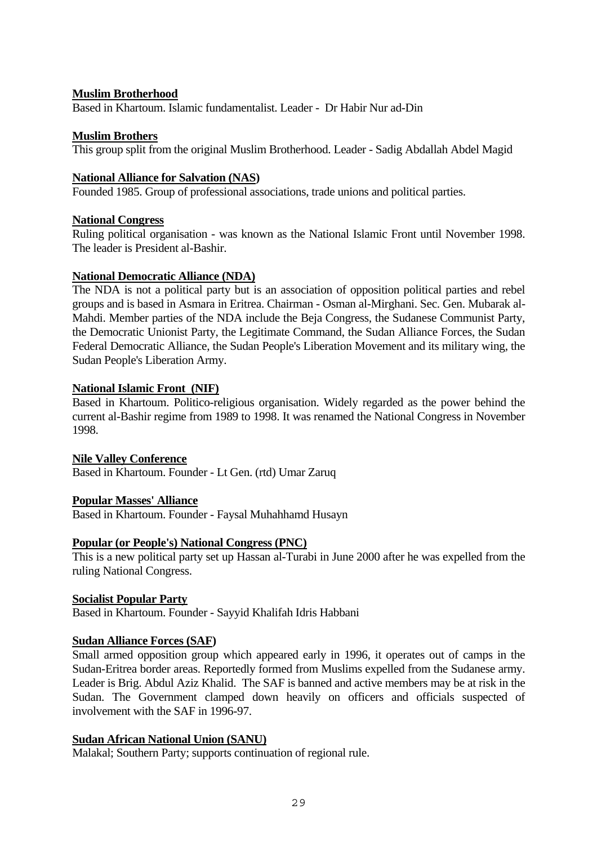#### **Muslim Brotherhood**

Based in Khartoum. Islamic fundamentalist. Leader - Dr Habir Nur ad-Din

#### **Muslim Brothers**

This group split from the original Muslim Brotherhood. Leader - Sadig Abdallah Abdel Magid

#### **National Alliance for Salvation (NAS)**

Founded 1985. Group of professional associations, trade unions and political parties.

#### **National Congress**

Ruling political organisation - was known as the National Islamic Front until November 1998. The leader is President al-Bashir.

#### **National Democratic Alliance (NDA)**

The NDA is not a political party but is an association of opposition political parties and rebel groups and is based in Asmara in Eritrea. Chairman - Osman al-Mirghani. Sec. Gen. Mubarak al-Mahdi. Member parties of the NDA include the Beja Congress, the Sudanese Communist Party, the Democratic Unionist Party, the Legitimate Command, the Sudan Alliance Forces, the Sudan Federal Democratic Alliance, the Sudan People's Liberation Movement and its military wing, the Sudan People's Liberation Army.

#### **National Islamic Front (NIF)**

Based in Khartoum. Politico-religious organisation. Widely regarded as the power behind the current al-Bashir regime from 1989 to 1998. It was renamed the National Congress in November 1998.

#### **Nile Valley Conference**

Based in Khartoum. Founder - Lt Gen. (rtd) Umar Zaruq

#### **Popular Masses' Alliance**

Based in Khartoum. Founder - Faysal Muhahhamd Husayn

## **Popular (or People's) National Congress (PNC)**

This is a new political party set up Hassan al-Turabi in June 2000 after he was expelled from the ruling National Congress.

#### **Socialist Popular Party**

Based in Khartoum. Founder - Sayyid Khalifah Idris Habbani

## **Sudan Alliance Forces (SAF)**

Small armed opposition group which appeared early in 1996, it operates out of camps in the Sudan-Eritrea border areas. Reportedly formed from Muslims expelled from the Sudanese army. Leader is Brig. Abdul Aziz Khalid. The SAF is banned and active members may be at risk in the Sudan. The Government clamped down heavily on officers and officials suspected of involvement with the SAF in 1996-97.

#### **Sudan African National Union (SANU)**

Malakal; Southern Party; supports continuation of regional rule.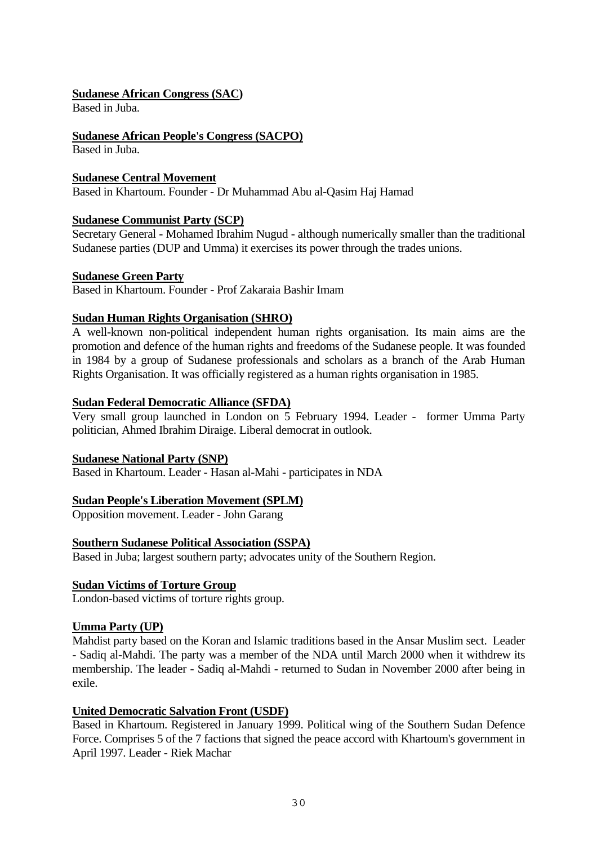## **Sudanese African Congress (SAC)**

Based in Juba.

## **Sudanese African People's Congress (SACPO)**

Based in Juba.

## **Sudanese Central Movement**

Based in Khartoum. Founder - Dr Muhammad Abu al-Qasim Haj Hamad

## **Sudanese Communist Party (SCP)**

Secretary General - Mohamed Ibrahim Nugud - although numerically smaller than the traditional Sudanese parties (DUP and Umma) it exercises its power through the trades unions.

## **Sudanese Green Party**

Based in Khartoum. Founder - Prof Zakaraia Bashir Imam

## **Sudan Human Rights Organisation (SHRO)**

A well-known non-political independent human rights organisation. Its main aims are the promotion and defence of the human rights and freedoms of the Sudanese people. It was founded in 1984 by a group of Sudanese professionals and scholars as a branch of the Arab Human Rights Organisation. It was officially registered as a human rights organisation in 1985.

## **Sudan Federal Democratic Alliance (SFDA)**

Very small group launched in London on 5 February 1994. Leader - former Umma Party politician, Ahmed Ibrahim Diraige. Liberal democrat in outlook.

## **Sudanese National Party (SNP)**

Based in Khartoum. Leader - Hasan al-Mahi - participates in NDA

## **Sudan People's Liberation Movement (SPLM)**

Opposition movement. Leader - John Garang

## **Southern Sudanese Political Association (SSPA)**

Based in Juba; largest southern party; advocates unity of the Southern Region.

## **Sudan Victims of Torture Group**

London-based victims of torture rights group.

## **Umma Party (UP)**

Mahdist party based on the Koran and Islamic traditions based in the Ansar Muslim sect. Leader - Sadiq al-Mahdi. The party was a member of the NDA until March 2000 when it withdrew its membership. The leader - Sadiq al-Mahdi - returned to Sudan in November 2000 after being in exile.

## **United Democratic Salvation Front (USDF)**

Based in Khartoum. Registered in January 1999. Political wing of the Southern Sudan Defence Force. Comprises 5 of the 7 factions that signed the peace accord with Khartoum's government in April 1997. Leader - Riek Machar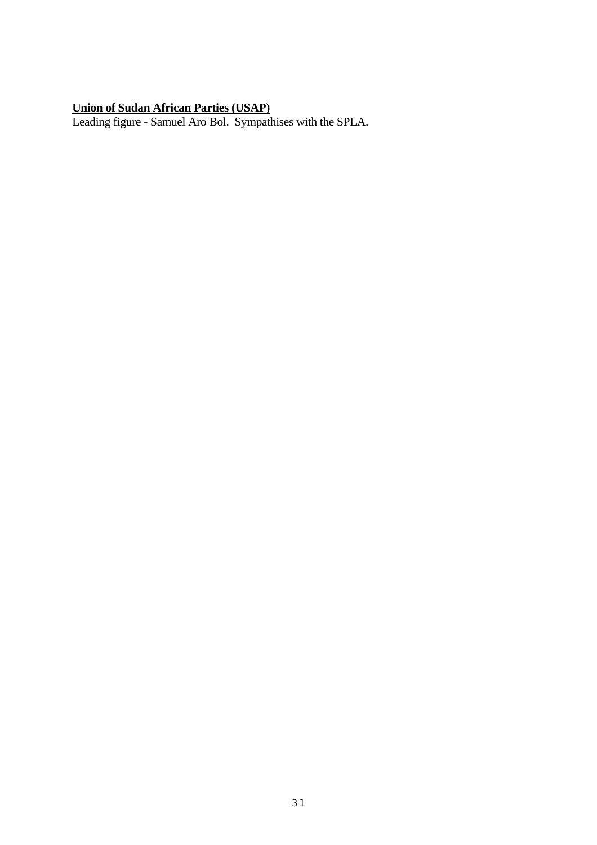#### **Union of Sudan African Parties (USAP)**

Leading figure - Samuel Aro Bol. Sympathises with the SPLA.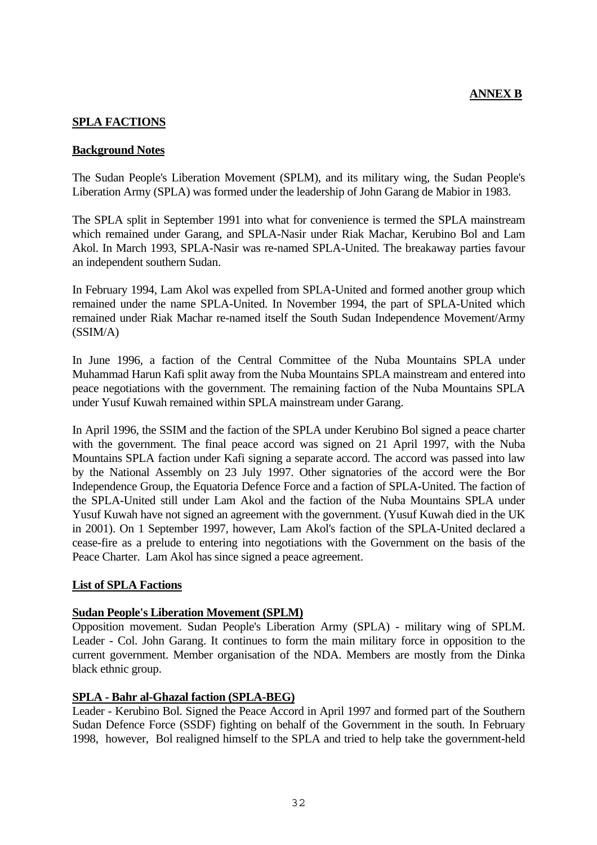## **ANNEX B**

#### <span id="page-31-0"></span>**SPLA FACTIONS**

#### **Background Notes**

The Sudan People's Liberation Movement (SPLM), and its military wing, the Sudan People's Liberation Army (SPLA) was formed under the leadership of John Garang de Mabior in 1983.

The SPLA split in September 1991 into what for convenience is termed the SPLA mainstream which remained under Garang, and SPLA-Nasir under Riak Machar, Kerubino Bol and Lam Akol. In March 1993, SPLA-Nasir was re-named SPLA-United. The breakaway parties favour an independent southern Sudan.

In February 1994, Lam Akol was expelled from SPLA-United and formed another group which remained under the name SPLA-United. In November 1994, the part of SPLA-United which remained under Riak Machar re-named itself the South Sudan Independence Movement/Army (SSIM/A)

In June 1996, a faction of the Central Committee of the Nuba Mountains SPLA under Muhammad Harun Kafi split away from the Nuba Mountains SPLA mainstream and entered into peace negotiations with the government. The remaining faction of the Nuba Mountains SPLA under Yusuf Kuwah remained within SPLA mainstream under Garang.

In April 1996, the SSIM and the faction of the SPLA under Kerubino Bol signed a peace charter with the government. The final peace accord was signed on 21 April 1997, with the Nuba Mountains SPLA faction under Kafi signing a separate accord. The accord was passed into law by the National Assembly on 23 July 1997. Other signatories of the accord were the Bor Independence Group, the Equatoria Defence Force and a faction of SPLA-United. The faction of the SPLA-United still under Lam Akol and the faction of the Nuba Mountains SPLA under Yusuf Kuwah have not signed an agreement with the government. (Yusuf Kuwah died in the UK in 2001). On 1 September 1997, however, Lam Akol's faction of the SPLA-United declared a cease-fire as a prelude to entering into negotiations with the Government on the basis of the Peace Charter. Lam Akol has since signed a peace agreement.

#### **List of SPLA Factions**

#### **Sudan People's Liberation Movement (SPLM)**

Opposition movement. Sudan People's Liberation Army (SPLA) - military wing of SPLM. Leader - Col. John Garang. It continues to form the main military force in opposition to the current government. Member organisation of the NDA. Members are mostly from the Dinka black ethnic group.

#### **SPLA - Bahr al-Ghazal faction (SPLA-BEG)**

Leader - Kerubino Bol. Signed the Peace Accord in April 1997 and formed part of the Southern Sudan Defence Force (SSDF) fighting on behalf of the Government in the south. In February 1998, however, Bol realigned himself to the SPLA and tried to help take the government-held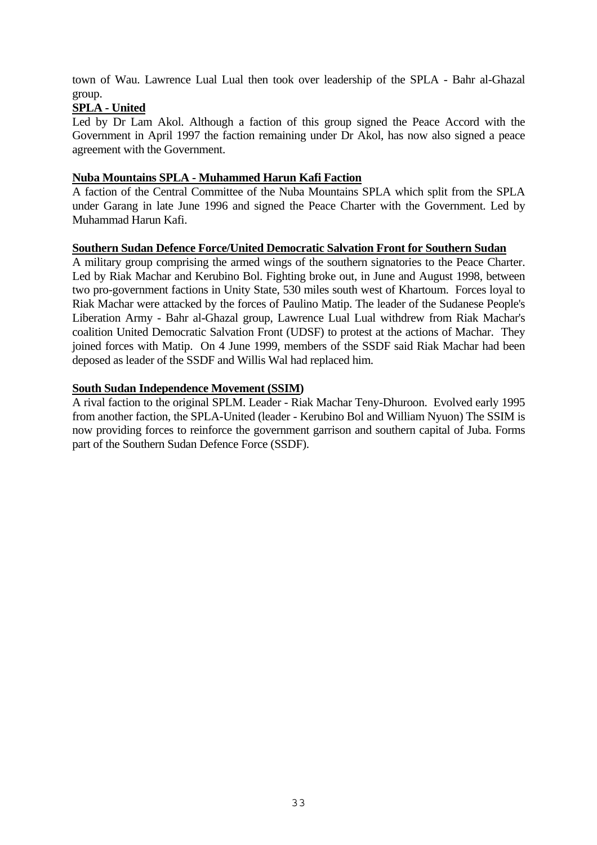town of Wau. Lawrence Lual Lual then took over leadership of the SPLA - Bahr al-Ghazal group.

## **SPLA - United**

Led by Dr Lam Akol. Although a faction of this group signed the Peace Accord with the Government in April 1997 the faction remaining under Dr Akol, has now also signed a peace agreement with the Government.

## **Nuba Mountains SPLA - Muhammed Harun Kafi Faction**

A faction of the Central Committee of the Nuba Mountains SPLA which split from the SPLA under Garang in late June 1996 and signed the Peace Charter with the Government. Led by Muhammad Harun Kafi.

#### **Southern Sudan Defence Force/United Democratic Salvation Front for Southern Sudan**

A military group comprising the armed wings of the southern signatories to the Peace Charter. Led by Riak Machar and Kerubino Bol. Fighting broke out, in June and August 1998, between two pro-government factions in Unity State, 530 miles south west of Khartoum. Forces loyal to Riak Machar were attacked by the forces of Paulino Matip. The leader of the Sudanese People's Liberation Army - Bahr al-Ghazal group, Lawrence Lual Lual withdrew from Riak Machar's coalition United Democratic Salvation Front (UDSF) to protest at the actions of Machar. They joined forces with Matip. On 4 June 1999, members of the SSDF said Riak Machar had been deposed as leader of the SSDF and Willis Wal had replaced him.

#### **South Sudan Independence Movement (SSIM)**

A rival faction to the original SPLM. Leader - Riak Machar Teny-Dhuroon. Evolved early 1995 from another faction, the SPLA-United (leader - Kerubino Bol and William Nyuon) The SSIM is now providing forces to reinforce the government garrison and southern capital of Juba. Forms part of the Southern Sudan Defence Force (SSDF).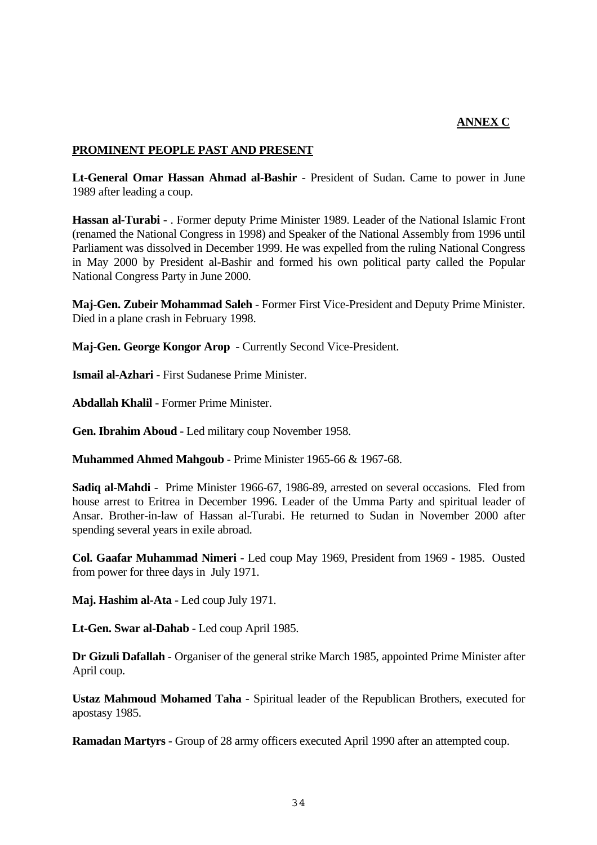#### **ANNEX C**

#### <span id="page-33-0"></span>**PROMINENT PEOPLE PAST AND PRESENT**

**Lt-General Omar Hassan Ahmad al-Bashir** - President of Sudan. Came to power in June 1989 after leading a coup.

**Hassan al-Turabi** - . Former deputy Prime Minister 1989. Leader of the National Islamic Front (renamed the National Congress in 1998) and Speaker of the National Assembly from 1996 until Parliament was dissolved in December 1999. He was expelled from the ruling National Congress in May 2000 by President al-Bashir and formed his own political party called the Popular National Congress Party in June 2000.

**Maj-Gen. Zubeir Mohammad Saleh** - Former First Vice-President and Deputy Prime Minister. Died in a plane crash in February 1998.

**Maj-Gen. George Kongor Arop** - Currently Second Vice-President.

**Ismail al-Azhari** - First Sudanese Prime Minister.

**Abdallah Khalil** - Former Prime Minister.

**Gen. Ibrahim Aboud** - Led military coup November 1958.

**Muhammed Ahmed Mahgoub** - Prime Minister 1965-66 & 1967-68.

**Sadiq al-Mahdi** - Prime Minister 1966-67, 1986-89, arrested on several occasions. Fled from house arrest to Eritrea in December 1996. Leader of the Umma Party and spiritual leader of Ansar. Brother-in-law of Hassan al-Turabi. He returned to Sudan in November 2000 after spending several years in exile abroad.

**Col. Gaafar Muhammad Nimeri** - Led coup May 1969, President from 1969 - 1985. Ousted from power for three days in July 1971.

**Maj. Hashim al-Ata** - Led coup July 1971.

**Lt-Gen. Swar al-Dahab** - Led coup April 1985.

**Dr Gizuli Dafallah** - Organiser of the general strike March 1985, appointed Prime Minister after April coup.

**Ustaz Mahmoud Mohamed Taha** - Spiritual leader of the Republican Brothers, executed for apostasy 1985.

**Ramadan Martyrs** - Group of 28 army officers executed April 1990 after an attempted coup.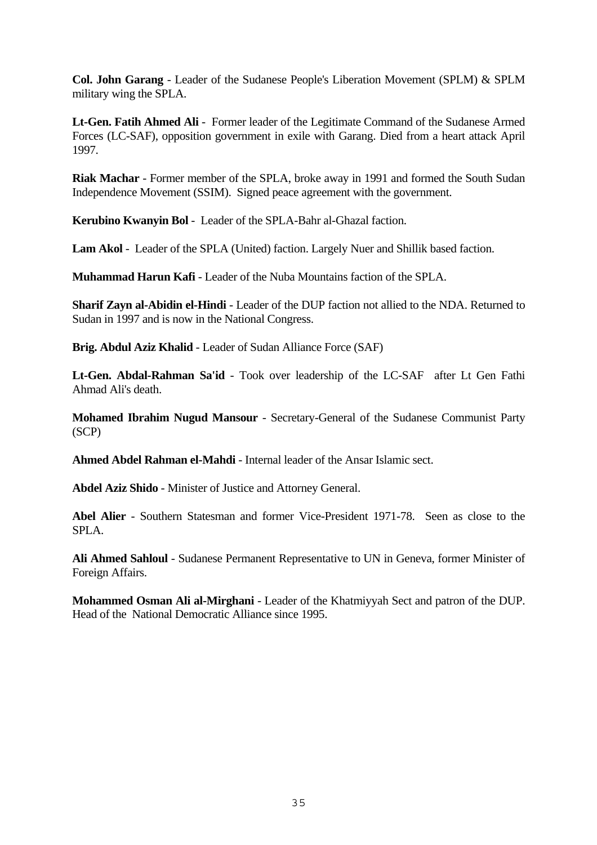**Col. John Garang** - Leader of the Sudanese People's Liberation Movement (SPLM) & SPLM military wing the SPLA.

**Lt-Gen. Fatih Ahmed Ali** - Former leader of the Legitimate Command of the Sudanese Armed Forces (LC-SAF), opposition government in exile with Garang. Died from a heart attack April 1997.

**Riak Machar** - Former member of the SPLA, broke away in 1991 and formed the South Sudan Independence Movement (SSIM). Signed peace agreement with the government.

**Kerubino Kwanyin Bol** - Leader of the SPLA-Bahr al-Ghazal faction.

**Lam Akol** - Leader of the SPLA (United) faction. Largely Nuer and Shillik based faction.

**Muhammad Harun Kafi** - Leader of the Nuba Mountains faction of the SPLA.

**Sharif Zayn al-Abidin el-Hindi** - Leader of the DUP faction not allied to the NDA. Returned to Sudan in 1997 and is now in the National Congress.

**Brig. Abdul Aziz Khalid** - Leader of Sudan Alliance Force (SAF)

**Lt-Gen. Abdal-Rahman Sa'id** - Took over leadership of the LC-SAF after Lt Gen Fathi Ahmad Ali's death.

**Mohamed Ibrahim Nugud Mansour** - Secretary-General of the Sudanese Communist Party (SCP)

**Ahmed Abdel Rahman el-Mahdi** - Internal leader of the Ansar Islamic sect.

**Abdel Aziz Shido** - Minister of Justice and Attorney General.

**Abel Alier** - Southern Statesman and former Vice-President 1971-78. Seen as close to the SPLA.

**Ali Ahmed Sahloul** - Sudanese Permanent Representative to UN in Geneva, former Minister of Foreign Affairs.

**Mohammed Osman Ali al-Mirghani** - Leader of the Khatmiyyah Sect and patron of the DUP. Head of the National Democratic Alliance since 1995.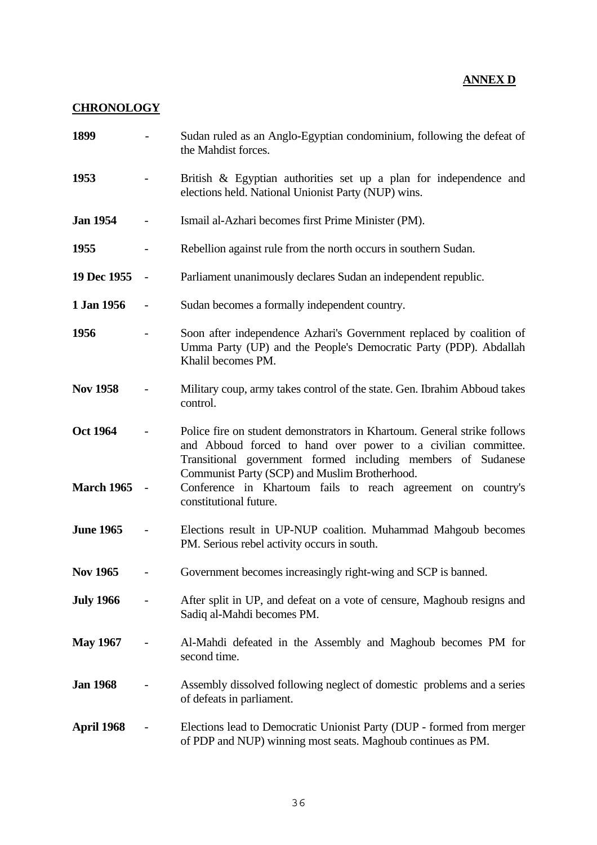## **ANNEX D**

## <span id="page-35-0"></span>**CHRONOLOGY**

| 1899                                 |                          | Sudan ruled as an Anglo-Egyptian condominium, following the defeat of<br>the Mahdist forces.                                                                                                                                                                                                                                                         |
|--------------------------------------|--------------------------|------------------------------------------------------------------------------------------------------------------------------------------------------------------------------------------------------------------------------------------------------------------------------------------------------------------------------------------------------|
| 1953                                 |                          | British & Egyptian authorities set up a plan for independence and<br>elections held. National Unionist Party (NUP) wins.                                                                                                                                                                                                                             |
| <b>Jan 1954</b>                      |                          | Ismail al-Azhari becomes first Prime Minister (PM).                                                                                                                                                                                                                                                                                                  |
| 1955                                 |                          | Rebellion against rule from the north occurs in southern Sudan.                                                                                                                                                                                                                                                                                      |
| 19 Dec 1955                          | $\overline{\phantom{a}}$ | Parliament unanimously declares Sudan an independent republic.                                                                                                                                                                                                                                                                                       |
| 1 Jan 1956                           |                          | Sudan becomes a formally independent country.                                                                                                                                                                                                                                                                                                        |
| 1956                                 |                          | Soon after independence Azhari's Government replaced by coalition of<br>Umma Party (UP) and the People's Democratic Party (PDP). Abdallah<br>Khalil becomes PM.                                                                                                                                                                                      |
| <b>Nov 1958</b>                      |                          | Military coup, army takes control of the state. Gen. Ibrahim Abboud takes<br>control.                                                                                                                                                                                                                                                                |
| <b>Oct 1964</b><br><b>March 1965</b> |                          | Police fire on student demonstrators in Khartoum. General strike follows<br>and Abboud forced to hand over power to a civilian committee.<br>Transitional government formed including members of Sudanese<br>Communist Party (SCP) and Muslim Brotherhood.<br>Conference in Khartoum fails to reach agreement on country's<br>constitutional future. |
| <b>June 1965</b>                     |                          | Elections result in UP-NUP coalition. Muhammad Mahgoub becomes<br>PM. Serious rebel activity occurs in south.                                                                                                                                                                                                                                        |
| <b>Nov 1965</b>                      |                          | Government becomes increasingly right-wing and SCP is banned.                                                                                                                                                                                                                                                                                        |
| <b>July 1966</b>                     |                          | After split in UP, and defeat on a vote of censure, Maghoub resigns and<br>Sadiq al-Mahdi becomes PM.                                                                                                                                                                                                                                                |
| <b>May 1967</b>                      |                          | Al-Mahdi defeated in the Assembly and Maghoub becomes PM for<br>second time.                                                                                                                                                                                                                                                                         |
| <b>Jan 1968</b>                      |                          | Assembly dissolved following neglect of domestic problems and a series<br>of defeats in parliament.                                                                                                                                                                                                                                                  |
| April 1968                           |                          | Elections lead to Democratic Unionist Party (DUP - formed from merger<br>of PDP and NUP) winning most seats. Maghoub continues as PM.                                                                                                                                                                                                                |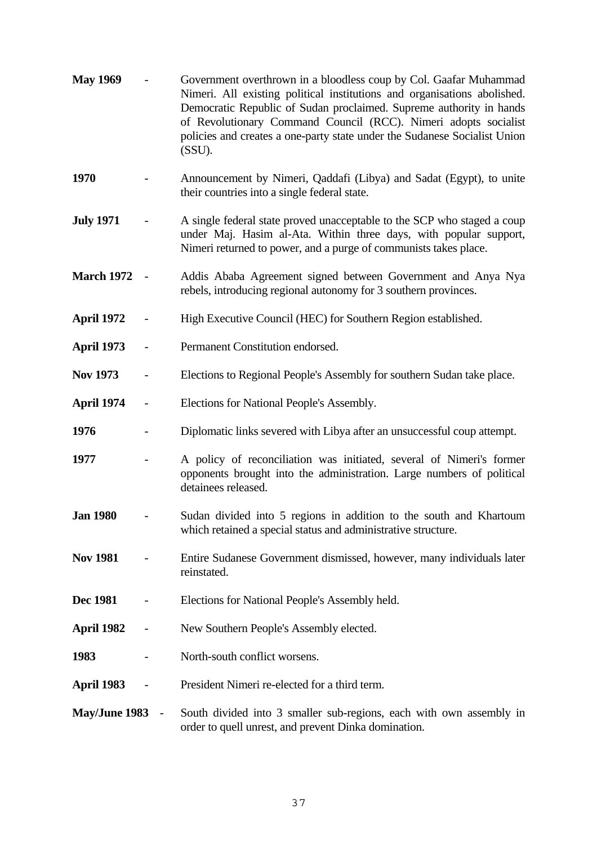| <b>May 1969</b>   |                          | Government overthrown in a bloodless coup by Col. Gaafar Muhammad<br>Nimeri. All existing political institutions and organisations abolished.<br>Democratic Republic of Sudan proclaimed. Supreme authority in hands<br>of Revolutionary Command Council (RCC). Nimeri adopts socialist<br>policies and creates a one-party state under the Sudanese Socialist Union<br>(SSU). |
|-------------------|--------------------------|--------------------------------------------------------------------------------------------------------------------------------------------------------------------------------------------------------------------------------------------------------------------------------------------------------------------------------------------------------------------------------|
| 1970              |                          | Announcement by Nimeri, Qaddafi (Libya) and Sadat (Egypt), to unite<br>their countries into a single federal state.                                                                                                                                                                                                                                                            |
| <b>July 1971</b>  |                          | A single federal state proved unacceptable to the SCP who staged a coup<br>under Maj. Hasim al-Ata. Within three days, with popular support,<br>Nimeri returned to power, and a purge of communists takes place.                                                                                                                                                               |
| <b>March 1972</b> |                          | Addis Ababa Agreement signed between Government and Anya Nya<br>rebels, introducing regional autonomy for 3 southern provinces.                                                                                                                                                                                                                                                |
| April 1972        |                          | High Executive Council (HEC) for Southern Region established.                                                                                                                                                                                                                                                                                                                  |
| <b>April 1973</b> | $\qquad \qquad -$        | Permanent Constitution endorsed.                                                                                                                                                                                                                                                                                                                                               |
| <b>Nov 1973</b>   | $\overline{\phantom{0}}$ | Elections to Regional People's Assembly for southern Sudan take place.                                                                                                                                                                                                                                                                                                         |
| April 1974        | $\overline{\phantom{0}}$ | Elections for National People's Assembly.                                                                                                                                                                                                                                                                                                                                      |
| 1976              |                          | Diplomatic links severed with Libya after an unsuccessful coup attempt.                                                                                                                                                                                                                                                                                                        |
| 1977              |                          | A policy of reconciliation was initiated, several of Nimeri's former<br>opponents brought into the administration. Large numbers of political<br>detainees released.                                                                                                                                                                                                           |
| <b>Jan 1980</b>   |                          | Sudan divided into 5 regions in addition to the south and Khartoum<br>which retained a special status and administrative structure.                                                                                                                                                                                                                                            |
| <b>Nov 1981</b>   |                          | Entire Sudanese Government dismissed, however, many individuals later<br>reinstated.                                                                                                                                                                                                                                                                                           |
| <b>Dec 1981</b>   |                          | Elections for National People's Assembly held.                                                                                                                                                                                                                                                                                                                                 |
| April 1982        |                          | New Southern People's Assembly elected.                                                                                                                                                                                                                                                                                                                                        |
| 1983              |                          | North-south conflict worsens.                                                                                                                                                                                                                                                                                                                                                  |
| <b>April 1983</b> |                          | President Nimeri re-elected for a third term.                                                                                                                                                                                                                                                                                                                                  |
| May/June 1983     |                          | South divided into 3 smaller sub-regions, each with own assembly in<br>order to quell unrest, and prevent Dinka domination.                                                                                                                                                                                                                                                    |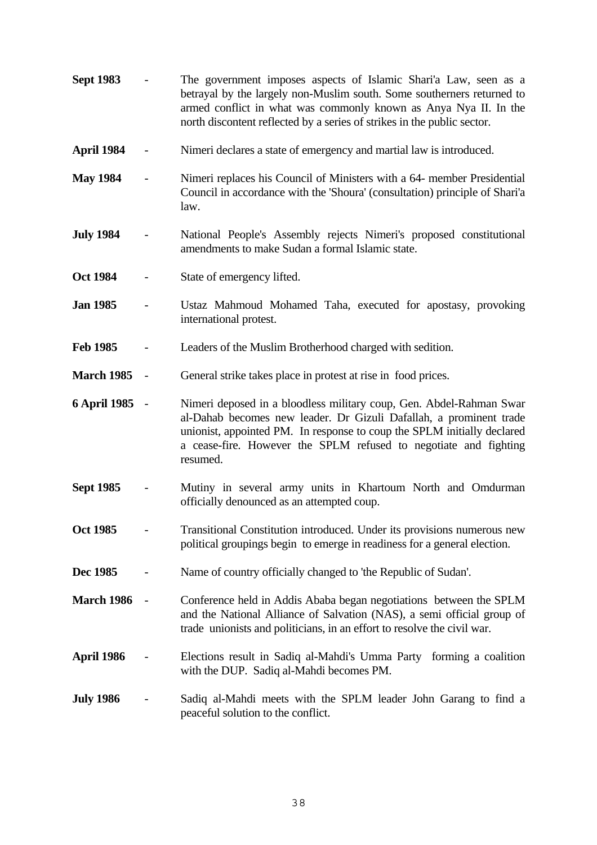| <b>Sept 1983</b>    |                          | The government imposes aspects of Islamic Shari'a Law, seen as a<br>betrayal by the largely non-Muslim south. Some southerners returned to<br>armed conflict in what was commonly known as Anya Nya II. In the<br>north discontent reflected by a series of strikes in the public sector.            |
|---------------------|--------------------------|------------------------------------------------------------------------------------------------------------------------------------------------------------------------------------------------------------------------------------------------------------------------------------------------------|
| April 1984          |                          | Nimeri declares a state of emergency and martial law is introduced.                                                                                                                                                                                                                                  |
| <b>May 1984</b>     |                          | Nimeri replaces his Council of Ministers with a 64- member Presidential<br>Council in accordance with the 'Shoura' (consultation) principle of Shari'a<br>law.                                                                                                                                       |
| <b>July 1984</b>    |                          | National People's Assembly rejects Nimeri's proposed constitutional<br>amendments to make Sudan a formal Islamic state.                                                                                                                                                                              |
| <b>Oct 1984</b>     |                          | State of emergency lifted.                                                                                                                                                                                                                                                                           |
| <b>Jan 1985</b>     |                          | Ustaz Mahmoud Mohamed Taha, executed for apostasy, provoking<br>international protest.                                                                                                                                                                                                               |
| <b>Feb 1985</b>     |                          | Leaders of the Muslim Brotherhood charged with sedition.                                                                                                                                                                                                                                             |
| <b>March 1985</b>   | $\overline{\phantom{a}}$ | General strike takes place in protest at rise in food prices.                                                                                                                                                                                                                                        |
| <b>6 April 1985</b> | $\sim$                   | Nimeri deposed in a bloodless military coup, Gen. Abdel-Rahman Swar<br>al-Dahab becomes new leader. Dr Gizuli Dafallah, a prominent trade<br>unionist, appointed PM. In response to coup the SPLM initially declared<br>a cease-fire. However the SPLM refused to negotiate and fighting<br>resumed. |
| <b>Sept 1985</b>    |                          | Mutiny in several army units in Khartoum North and Omdurman<br>officially denounced as an attempted coup.                                                                                                                                                                                            |
| <b>Oct 1985</b>     |                          | Transitional Constitution introduced. Under its provisions numerous new<br>political groupings begin to emerge in readiness for a general election.                                                                                                                                                  |
| Dec 1985            |                          | Name of country officially changed to 'the Republic of Sudan'.                                                                                                                                                                                                                                       |
| <b>March 1986</b>   |                          | Conference held in Addis Ababa began negotiations between the SPLM<br>and the National Alliance of Salvation (NAS), a semi official group of<br>trade unionists and politicians, in an effort to resolve the civil war.                                                                              |
| April 1986          |                          | Elections result in Sadiq al-Mahdi's Umma Party forming a coalition<br>with the DUP. Sadiq al-Mahdi becomes PM.                                                                                                                                                                                      |
| <b>July 1986</b>    |                          | Sadiq al-Mahdi meets with the SPLM leader John Garang to find a<br>peaceful solution to the conflict.                                                                                                                                                                                                |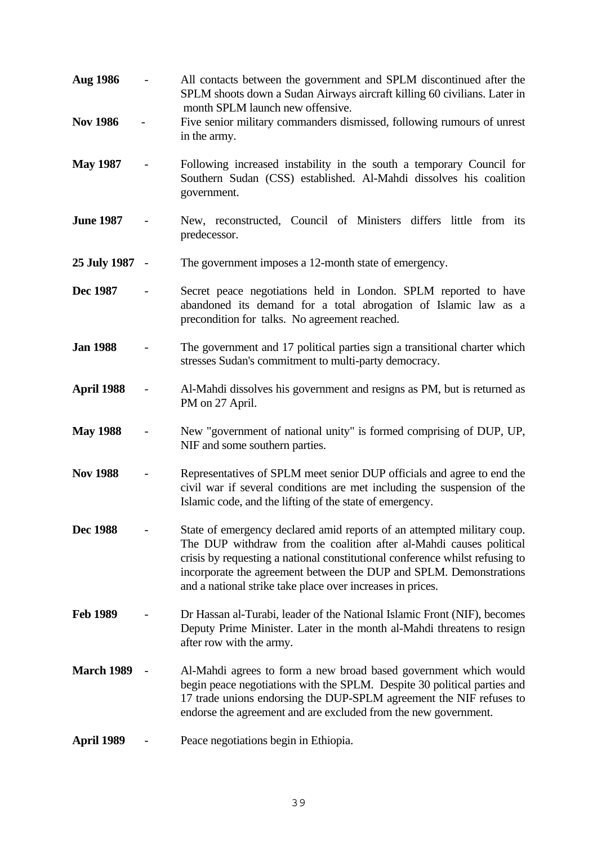| <b>Aug 1986</b>   | All contacts between the government and SPLM discontinued after the<br>SPLM shoots down a Sudan Airways aircraft killing 60 civilians. Later in<br>month SPLM launch new offensive.                                                                                                                                                                                |
|-------------------|--------------------------------------------------------------------------------------------------------------------------------------------------------------------------------------------------------------------------------------------------------------------------------------------------------------------------------------------------------------------|
| <b>Nov 1986</b>   | Five senior military commanders dismissed, following rumours of unrest<br>in the army.                                                                                                                                                                                                                                                                             |
| <b>May 1987</b>   | Following increased instability in the south a temporary Council for<br>Southern Sudan (CSS) established. Al-Mahdi dissolves his coalition<br>government.                                                                                                                                                                                                          |
| <b>June 1987</b>  | New, reconstructed, Council of Ministers differs little from its<br>predecessor.                                                                                                                                                                                                                                                                                   |
| 25 July 1987 -    | The government imposes a 12-month state of emergency.                                                                                                                                                                                                                                                                                                              |
| Dec 1987          | Secret peace negotiations held in London. SPLM reported to have<br>abandoned its demand for a total abrogation of Islamic law as a<br>precondition for talks. No agreement reached.                                                                                                                                                                                |
| <b>Jan 1988</b>   | The government and 17 political parties sign a transitional charter which<br>stresses Sudan's commitment to multi-party democracy.                                                                                                                                                                                                                                 |
| April 1988        | Al-Mahdi dissolves his government and resigns as PM, but is returned as<br>PM on 27 April.                                                                                                                                                                                                                                                                         |
| <b>May 1988</b>   | New "government of national unity" is formed comprising of DUP, UP,<br>NIF and some southern parties.                                                                                                                                                                                                                                                              |
| <b>Nov 1988</b>   | Representatives of SPLM meet senior DUP officials and agree to end the<br>civil war if several conditions are met including the suspension of the<br>Islamic code, and the lifting of the state of emergency.                                                                                                                                                      |
| <b>Dec 1988</b>   | State of emergency declared amid reports of an attempted military coup.<br>The DUP withdraw from the coalition after al-Mahdi causes political<br>crisis by requesting a national constitutional conference whilst refusing to<br>incorporate the agreement between the DUP and SPLM. Demonstrations<br>and a national strike take place over increases in prices. |
| <b>Feb 1989</b>   | Dr Hassan al-Turabi, leader of the National Islamic Front (NIF), becomes<br>Deputy Prime Minister. Later in the month al-Mahdi threatens to resign<br>after row with the army.                                                                                                                                                                                     |
| <b>March 1989</b> | Al-Mahdi agrees to form a new broad based government which would<br>begin peace negotiations with the SPLM. Despite 30 political parties and<br>17 trade unions endorsing the DUP-SPLM agreement the NIF refuses to<br>endorse the agreement and are excluded from the new government.                                                                             |
| April 1989        | Peace negotiations begin in Ethiopia.                                                                                                                                                                                                                                                                                                                              |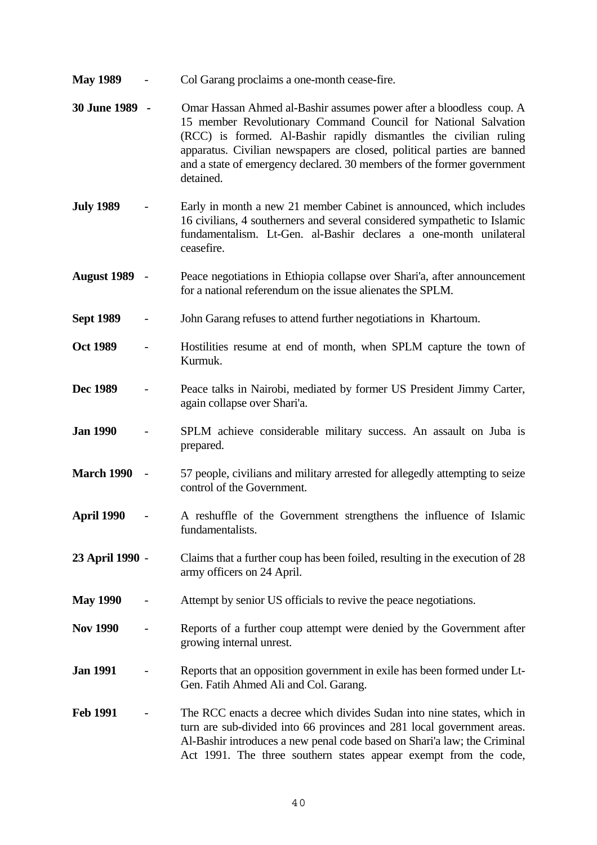**May 1989** - Col Garang proclaims a one-month cease-fire. **30 June 1989 -** Omar Hassan Ahmed al-Bashir assumes power after a bloodless coup. A 15 member Revolutionary Command Council for National Salvation (RCC) is formed. Al-Bashir rapidly dismantles the civilian ruling apparatus. Civilian newspapers are closed, political parties are banned and a state of emergency declared. 30 members of the former government detained. **July 1989** - Early in month a new 21 member Cabinet is announced, which includes 16 civilians, 4 southerners and several considered sympathetic to Islamic fundamentalism. Lt-Gen. al-Bashir declares a one-month unilateral ceasefire. **August 1989** - Peace negotiations in Ethiopia collapse over Shari'a, after announcement for a national referendum on the issue alienates the SPLM. **Sept 1989** - John Garang refuses to attend further negotiations in Khartoum. **Oct 1989** - Hostilities resume at end of month, when SPLM capture the town of Kurmuk. **Dec 1989** - Peace talks in Nairobi, mediated by former US President Jimmy Carter, again collapse over Shari'a. **Jan 1990** - SPLM achieve considerable military success. An assault on Juba is prepared. **March 1990** - 57 people, civilians and military arrested for allegedly attempting to seize control of the Government. **April 1990** - A reshuffle of the Government strengthens the influence of Islamic fundamentalists. **23 April 1990** - Claims that a further coup has been foiled, resulting in the execution of 28 army officers on 24 April. **May 1990** - Attempt by senior US officials to revive the peace negotiations. **Nov 1990** - Reports of a further coup attempt were denied by the Government after growing internal unrest. **Jan 1991** - Reports that an opposition government in exile has been formed under Lt-Gen. Fatih Ahmed Ali and Col. Garang. **Feb 1991** - The RCC enacts a decree which divides Sudan into nine states, which in turn are sub-divided into 66 provinces and 281 local government areas. Al-Bashir introduces a new penal code based on Shari'a law; the Criminal Act 1991. The three southern states appear exempt from the code,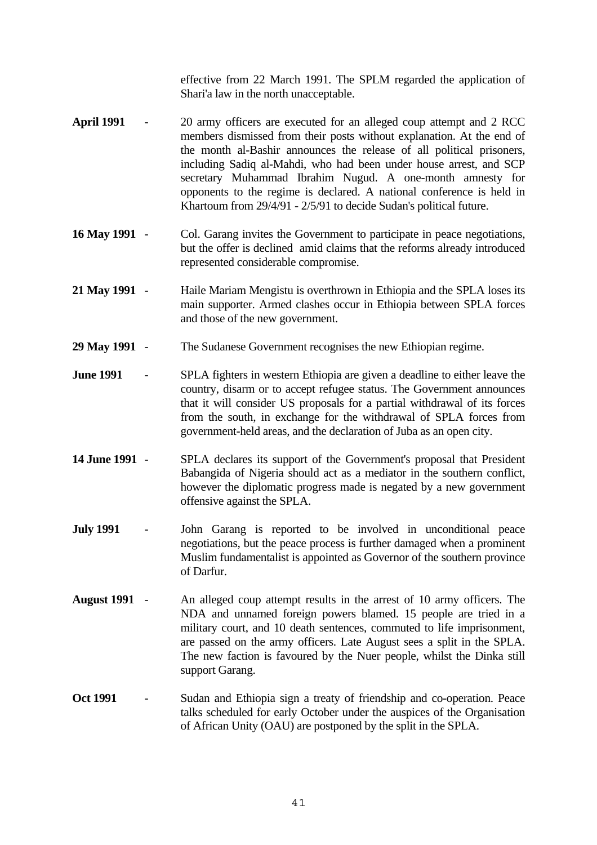effective from 22 March 1991. The SPLM regarded the application of Shari'a law in the north unacceptable.

- **April 1991** 20 army officers are executed for an alleged coup attempt and 2 RCC members dismissed from their posts without explanation. At the end of the month al-Bashir announces the release of all political prisoners, including Sadiq al-Mahdi, who had been under house arrest, and SCP secretary Muhammad Ibrahim Nugud. A one-month amnesty for opponents to the regime is declared. A national conference is held in Khartoum from 29/4/91 - 2/5/91 to decide Sudan's political future.
- **16 May 1991** Col. Garang invites the Government to participate in peace negotiations, but the offer is declined amid claims that the reforms already introduced represented considerable compromise.
- **21 May 1991** Haile Mariam Mengistu is overthrown in Ethiopia and the SPLA loses its main supporter. Armed clashes occur in Ethiopia between SPLA forces and those of the new government.
- **29 May 1991** The Sudanese Government recognises the new Ethiopian regime.
- **June 1991** SPLA fighters in western Ethiopia are given a deadline to either leave the country, disarm or to accept refugee status. The Government announces that it will consider US proposals for a partial withdrawal of its forces from the south, in exchange for the withdrawal of SPLA forces from government-held areas, and the declaration of Juba as an open city.
- **14 June 1991** SPLA declares its support of the Government's proposal that President Babangida of Nigeria should act as a mediator in the southern conflict, however the diplomatic progress made is negated by a new government offensive against the SPLA.
- **July 1991** John Garang is reported to be involved in unconditional peace negotiations, but the peace process is further damaged when a prominent Muslim fundamentalist is appointed as Governor of the southern province of Darfur.
- **August 1991** An alleged coup attempt results in the arrest of 10 army officers. The NDA and unnamed foreign powers blamed. 15 people are tried in a military court, and 10 death sentences, commuted to life imprisonment, are passed on the army officers. Late August sees a split in the SPLA. The new faction is favoured by the Nuer people, whilst the Dinka still support Garang.
- **Oct 1991** Sudan and Ethiopia sign a treaty of friendship and co-operation. Peace talks scheduled for early October under the auspices of the Organisation of African Unity (OAU) are postponed by the split in the SPLA.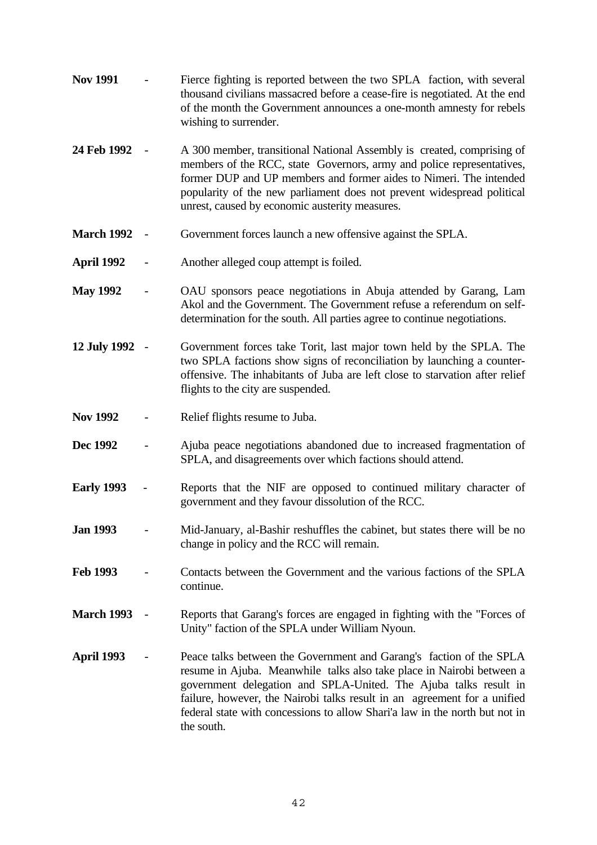- **Nov 1991** Fierce fighting is reported between the two SPLA faction, with several thousand civilians massacred before a cease-fire is negotiated. At the end of the month the Government announces a one-month amnesty for rebels wishing to surrender.
- **24 Feb 1992** A 300 member, transitional National Assembly is created, comprising of members of the RCC, state Governors, army and police representatives, former DUP and UP members and former aides to Nimeri. The intended popularity of the new parliament does not prevent widespread political unrest, caused by economic austerity measures.
- **March 1992** Government forces launch a new offensive against the SPLA.
- **April 1992** Another alleged coup attempt is foiled.
- **May 1992** OAU sponsors peace negotiations in Abuja attended by Garang, Lam Akol and the Government. The Government refuse a referendum on selfdetermination for the south. All parties agree to continue negotiations.
- **12 July 1992** Government forces take Torit, last major town held by the SPLA. The two SPLA factions show signs of reconciliation by launching a counteroffensive. The inhabitants of Juba are left close to starvation after relief flights to the city are suspended.
- Nov 1992 Relief flights resume to Juba.
- **Dec 1992** Ajuba peace negotiations abandoned due to increased fragmentation of SPLA, and disagreements over which factions should attend.
- **Early 1993**  Reports that the NIF are opposed to continued military character of government and they favour dissolution of the RCC.
- **Jan 1993** Mid-January, al-Bashir reshuffles the cabinet, but states there will be no change in policy and the RCC will remain.
- **Feb 1993** Contacts between the Government and the various factions of the SPLA continue.
- **March 1993** Reports that Garang's forces are engaged in fighting with the "Forces of Unity" faction of the SPLA under William Nyoun.
- **April 1993** Peace talks between the Government and Garang's faction of the SPLA resume in Ajuba. Meanwhile talks also take place in Nairobi between a government delegation and SPLA-United. The Ajuba talks result in failure, however, the Nairobi talks result in an agreement for a unified federal state with concessions to allow Shari'a law in the north but not in the south.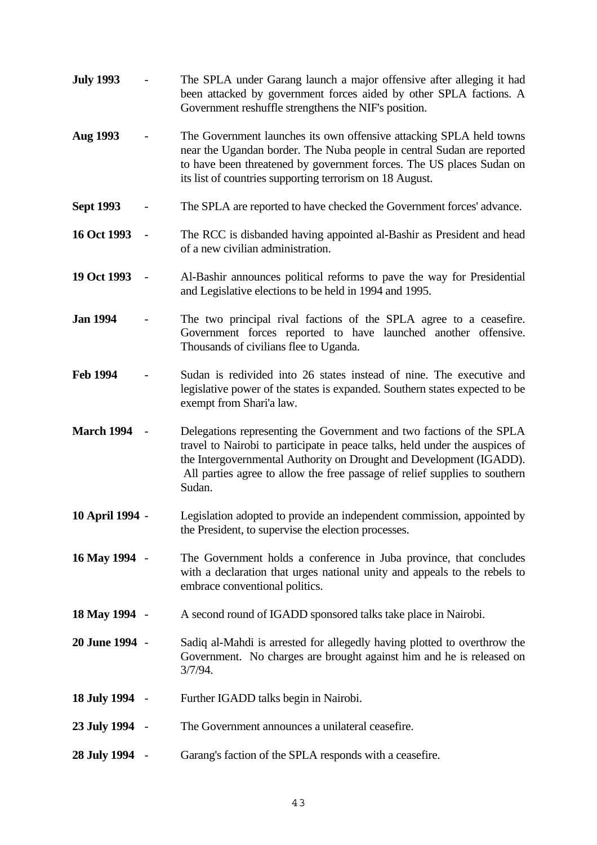**July 1993** - The SPLA under Garang launch a major offensive after alleging it had been attacked by government forces aided by other SPLA factions. A Government reshuffle strengthens the NIF's position. **Aug 1993** - The Government launches its own offensive attacking SPLA held towns near the Ugandan border. The Nuba people in central Sudan are reported to have been threatened by government forces. The US places Sudan on its list of countries supporting terrorism on 18 August. **Sept 1993** - The SPLA are reported to have checked the Government forces' advance. **16 Oct 1993** - The RCC is disbanded having appointed al-Bashir as President and head of a new civilian administration. **19 Oct 1993** - Al-Bashir announces political reforms to pave the way for Presidential and Legislative elections to be held in 1994 and 1995. **Jan 1994** - The two principal rival factions of the SPLA agree to a ceasefire. Government forces reported to have launched another offensive. Thousands of civilians flee to Uganda. **Feb 1994** - Sudan is redivided into 26 states instead of nine. The executive and legislative power of the states is expanded. Southern states expected to be exempt from Shari'a law. **March 1994** - Delegations representing the Government and two factions of the SPLA travel to Nairobi to participate in peace talks, held under the auspices of the Intergovernmental Authority on Drought and Development (IGADD). All parties agree to allow the free passage of relief supplies to southern Sudan. **10 April 1994** - Legislation adopted to provide an independent commission, appointed by the President, to supervise the election processes. **16 May 1994** - The Government holds a conference in Juba province, that concludes with a declaration that urges national unity and appeals to the rebels to embrace conventional politics. **18 May 1994** - A second round of IGADD sponsored talks take place in Nairobi. **20 June 1994** - Sadiq al-Mahdi is arrested for allegedly having plotted to overthrow the Government. No charges are brought against him and he is released on 3/7/94. **18 July 1994** - Further IGADD talks begin in Nairobi. **23 July 1994** - The Government announces a unilateral ceasefire. **28 July 1994** - Garang's faction of the SPLA responds with a ceasefire.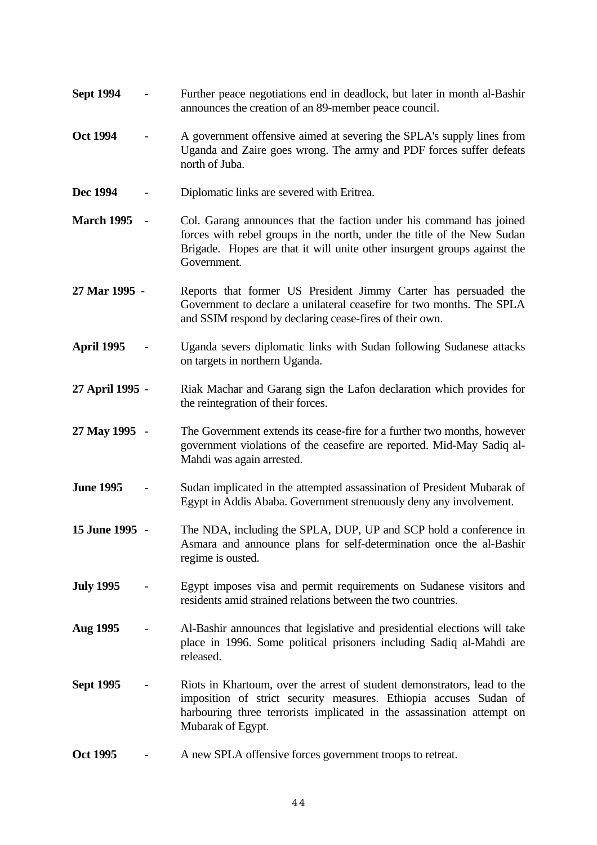- **Sept 1994** Further peace negotiations end in deadlock, but later in month al-Bashir announces the creation of an 89-member peace council.
- **Oct 1994** A government offensive aimed at severing the SPLA's supply lines from Uganda and Zaire goes wrong. The army and PDF forces suffer defeats north of Juba.
- **Dec 1994** Diplomatic links are severed with Eritrea.
- **March 1995** Col. Garang announces that the faction under his command has joined forces with rebel groups in the north, under the title of the New Sudan Brigade. Hopes are that it will unite other insurgent groups against the Government.
- **27 Mar 1995**  Reports that former US President Jimmy Carter has persuaded the Government to declare a unilateral ceasefire for two months. The SPLA and SSIM respond by declaring cease-fires of their own.
- **April 1995** Uganda severs diplomatic links with Sudan following Sudanese attacks on targets in northern Uganda.
- **27 April 1995** Riak Machar and Garang sign the Lafon declaration which provides for the reintegration of their forces.
- **27 May 1995** The Government extends its cease-fire for a further two months, however government violations of the ceasefire are reported. Mid-May Sadiq al-Mahdi was again arrested.
- **June 1995** Sudan implicated in the attempted assassination of President Mubarak of Egypt in Addis Ababa. Government strenuously deny any involvement.
- **15 June 1995** The NDA, including the SPLA, DUP, UP and SCP hold a conference in Asmara and announce plans for self-determination once the al-Bashir regime is ousted.
- **July 1995** Egypt imposes visa and permit requirements on Sudanese visitors and residents amid strained relations between the two countries.
- **Aug 1995** Al-Bashir announces that legislative and presidential elections will take place in 1996. Some political prisoners including Sadiq al-Mahdi are released.
- **Sept 1995** Riots in Khartoum, over the arrest of student demonstrators, lead to the imposition of strict security measures. Ethiopia accuses Sudan of harbouring three terrorists implicated in the assassination attempt on Mubarak of Egypt.
- **Oct 1995** A new SPLA offensive forces government troops to retreat.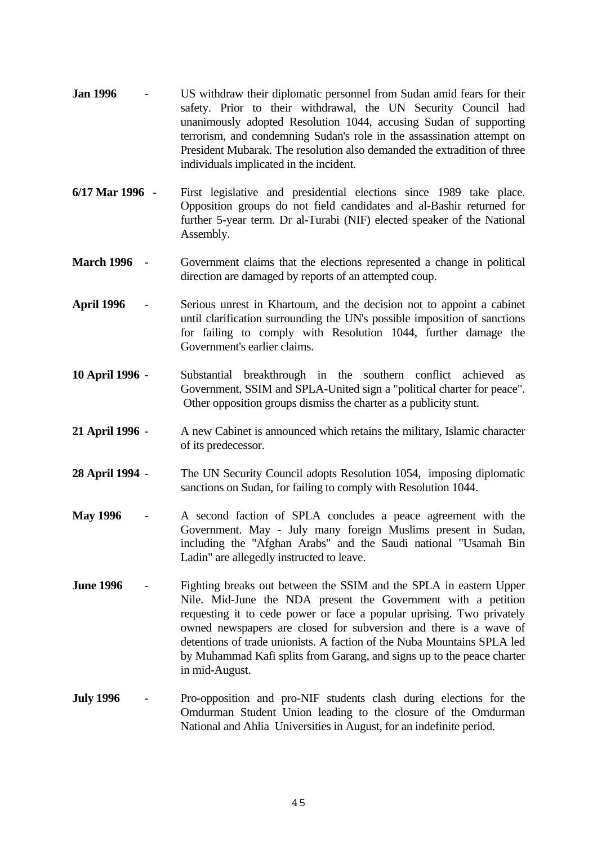- **Jan 1996** US withdraw their diplomatic personnel from Sudan amid fears for their safety. Prior to their withdrawal, the UN Security Council had unanimously adopted Resolution 1044, accusing Sudan of supporting terrorism, and condemning Sudan's role in the assassination attempt on President Mubarak. The resolution also demanded the extradition of three individuals implicated in the incident.
- **6/17 Mar 1996**  First legislative and presidential elections since 1989 take place. Opposition groups do not field candidates and al-Bashir returned for further 5-year term. Dr al-Turabi (NIF) elected speaker of the National Assembly.
- **March 1996** Government claims that the elections represented a change in political direction are damaged by reports of an attempted coup.
- **April 1996** Serious unrest in Khartoum, and the decision not to appoint a cabinet until clarification surrounding the UN's possible imposition of sanctions for failing to comply with Resolution 1044, further damage the Government's earlier claims.
- **10 April 1996** Substantial breakthrough in the southern conflict achieved as Government, SSIM and SPLA-United sign a "political charter for peace". Other opposition groups dismiss the charter as a publicity stunt.
- **21 April 1996** A new Cabinet is announced which retains the military, Islamic character of its predecessor.
- **28 April 1994** The UN Security Council adopts Resolution 1054, imposing diplomatic sanctions on Sudan, for failing to comply with Resolution 1044.
- **May 1996** A second faction of SPLA concludes a peace agreement with the Government. May - July many foreign Muslims present in Sudan, including the "Afghan Arabs" and the Saudi national "Usamah Bin Ladin" are allegedly instructed to leave.
- **June 1996** Fighting breaks out between the SSIM and the SPLA in eastern Upper Nile. Mid-June the NDA present the Government with a petition requesting it to cede power or face a popular uprising. Two privately owned newspapers are closed for subversion and there is a wave of detentions of trade unionists. A faction of the Nuba Mountains SPLA led by Muhammad Kafi splits from Garang, and signs up to the peace charter in mid-August.
- **July 1996** Pro-opposition and pro-NIF students clash during elections for the Omdurman Student Union leading to the closure of the Omdurman National and Ahlia Universities in August, for an indefinite period.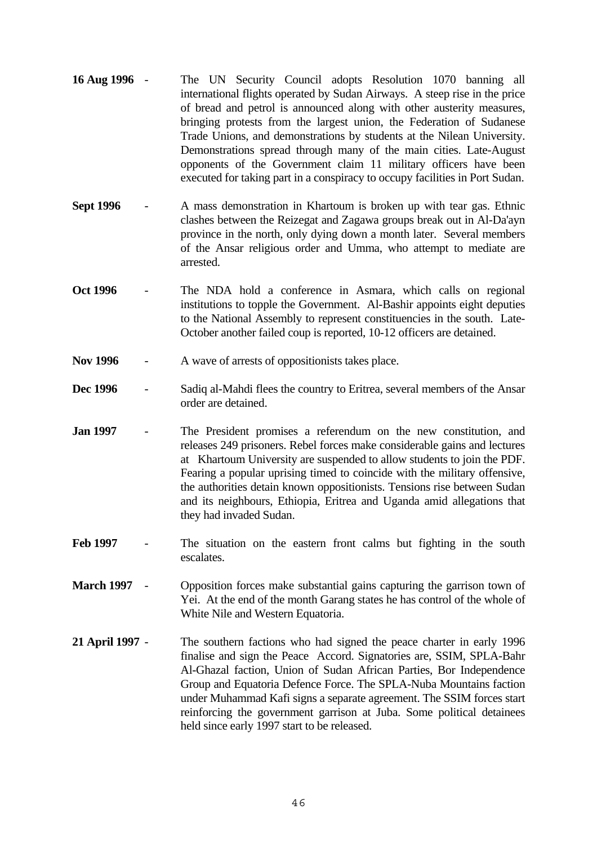- **16 Aug 1996** The UN Security Council adopts Resolution 1070 banning all international flights operated by Sudan Airways. A steep rise in the price of bread and petrol is announced along with other austerity measures, bringing protests from the largest union, the Federation of Sudanese Trade Unions, and demonstrations by students at the Nilean University. Demonstrations spread through many of the main cities. Late-August opponents of the Government claim 11 military officers have been executed for taking part in a conspiracy to occupy facilities in Port Sudan.
- **Sept 1996** A mass demonstration in Khartoum is broken up with tear gas. Ethnic clashes between the Reizegat and Zagawa groups break out in Al-Da'ayn province in the north, only dying down a month later. Several members of the Ansar religious order and Umma, who attempt to mediate are arrested.
- **Oct 1996** The NDA hold a conference in Asmara, which calls on regional institutions to topple the Government. Al-Bashir appoints eight deputies to the National Assembly to represent constituencies in the south. Late-October another failed coup is reported, 10-12 officers are detained.
- Nov 1996 A wave of arrests of oppositionists takes place.
- **Dec 1996** Sadiq al-Mahdi flees the country to Eritrea, several members of the Ansar order are detained.
- **Jan 1997** The President promises a referendum on the new constitution, and releases 249 prisoners. Rebel forces make considerable gains and lectures at Khartoum University are suspended to allow students to join the PDF. Fearing a popular uprising timed to coincide with the military offensive, the authorities detain known oppositionists. Tensions rise between Sudan and its neighbours, Ethiopia, Eritrea and Uganda amid allegations that they had invaded Sudan.
- **Feb 1997** The situation on the eastern front calms but fighting in the south escalates.
- **March 1997** Opposition forces make substantial gains capturing the garrison town of Yei. At the end of the month Garang states he has control of the whole of White Nile and Western Equatoria.
- **21 April 1997** The southern factions who had signed the peace charter in early 1996 finalise and sign the Peace Accord. Signatories are, SSIM, SPLA-Bahr Al-Ghazal faction, Union of Sudan African Parties, Bor Independence Group and Equatoria Defence Force. The SPLA-Nuba Mountains faction under Muhammad Kafi signs a separate agreement. The SSIM forces start reinforcing the government garrison at Juba. Some political detainees held since early 1997 start to be released.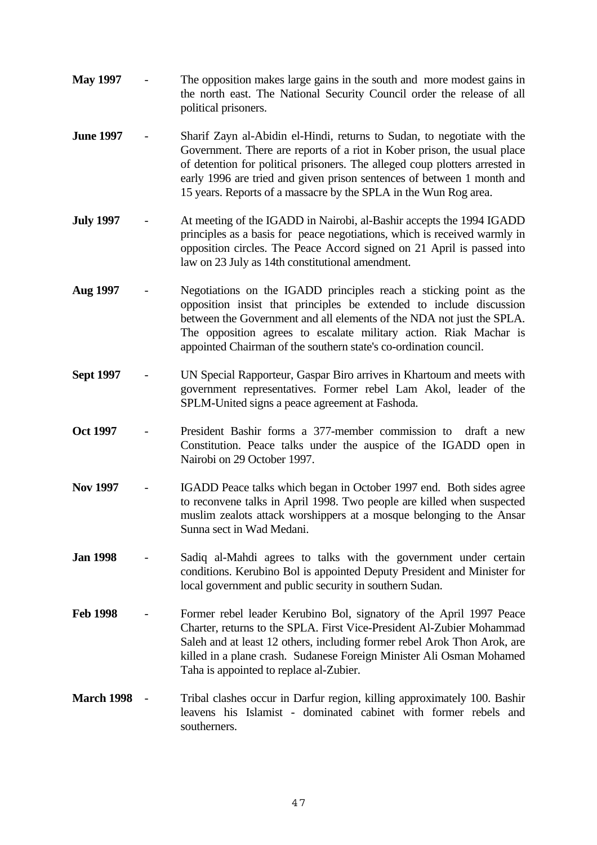- **May 1997** The opposition makes large gains in the south and more modest gains in the north east. The National Security Council order the release of all political prisoners.
- **June 1997** Sharif Zayn al-Abidin el-Hindi, returns to Sudan, to negotiate with the Government. There are reports of a riot in Kober prison, the usual place of detention for political prisoners. The alleged coup plotters arrested in early 1996 are tried and given prison sentences of between 1 month and 15 years. Reports of a massacre by the SPLA in the Wun Rog area.
- **July 1997** At meeting of the IGADD in Nairobi, al-Bashir accepts the 1994 IGADD principles as a basis for peace negotiations, which is received warmly in opposition circles. The Peace Accord signed on 21 April is passed into law on 23 July as 14th constitutional amendment.
- **Aug 1997** Negotiations on the IGADD principles reach a sticking point as the opposition insist that principles be extended to include discussion between the Government and all elements of the NDA not just the SPLA. The opposition agrees to escalate military action. Riak Machar is appointed Chairman of the southern state's co-ordination council.
- **Sept 1997** UN Special Rapporteur, Gaspar Biro arrives in Khartoum and meets with government representatives. Former rebel Lam Akol, leader of the SPLM-United signs a peace agreement at Fashoda.
- **Oct 1997** President Bashir forms a 377-member commission to draft a new Constitution. Peace talks under the auspice of the IGADD open in Nairobi on 29 October 1997.
- **Nov 1997** IGADD Peace talks which began in October 1997 end. Both sides agree to reconvene talks in April 1998. Two people are killed when suspected muslim zealots attack worshippers at a mosque belonging to the Ansar Sunna sect in Wad Medani.
- **Jan 1998** Sadiq al-Mahdi agrees to talks with the government under certain conditions. Kerubino Bol is appointed Deputy President and Minister for local government and public security in southern Sudan.
- **Feb 1998** Former rebel leader Kerubino Bol, signatory of the April 1997 Peace Charter, returns to the SPLA. First Vice-President Al-Zubier Mohammad Saleh and at least 12 others, including former rebel Arok Thon Arok, are killed in a plane crash. Sudanese Foreign Minister Ali Osman Mohamed Taha is appointed to replace al-Zubier.
- **March 1998** Tribal clashes occur in Darfur region, killing approximately 100. Bashir leavens his Islamist - dominated cabinet with former rebels and southerners.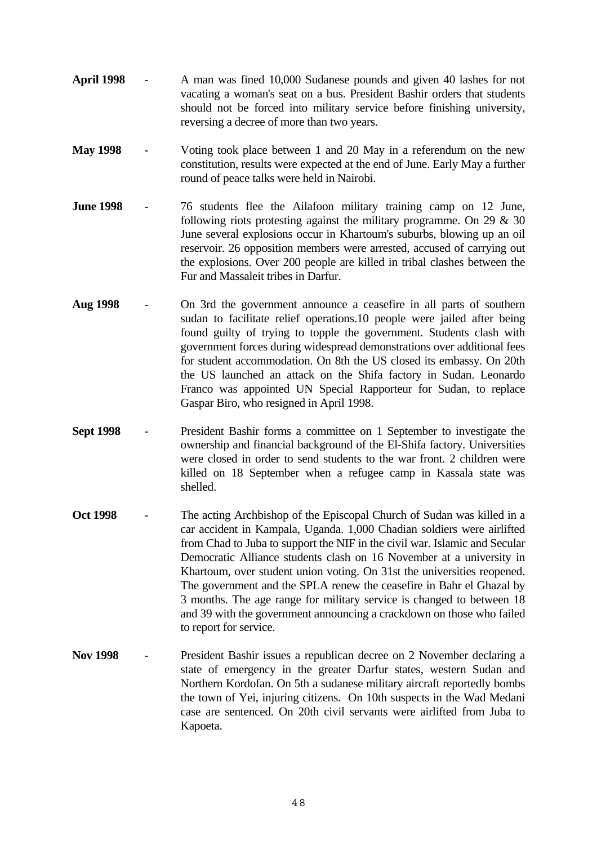- **April 1998** A man was fined 10,000 Sudanese pounds and given 40 lashes for not vacating a woman's seat on a bus. President Bashir orders that students should not be forced into military service before finishing university, reversing a decree of more than two years.
- **May 1998** Voting took place between 1 and 20 May in a referendum on the new constitution, results were expected at the end of June. Early May a further round of peace talks were held in Nairobi.
- **June 1998** 76 students flee the Ailafoon military training camp on 12 June, following riots protesting against the military programme. On  $29 \& 30$ June several explosions occur in Khartoum's suburbs, blowing up an oil reservoir. 26 opposition members were arrested, accused of carrying out the explosions. Over 200 people are killed in tribal clashes between the Fur and Massaleit tribes in Darfur.
- **Aug 1998** On 3rd the government announce a ceasefire in all parts of southern sudan to facilitate relief operations.10 people were jailed after being found guilty of trying to topple the government. Students clash with government forces during widespread demonstrations over additional fees for student accommodation. On 8th the US closed its embassy. On 20th the US launched an attack on the Shifa factory in Sudan. Leonardo Franco was appointed UN Special Rapporteur for Sudan, to replace Gaspar Biro, who resigned in April 1998.
- **Sept 1998** President Bashir forms a committee on 1 September to investigate the ownership and financial background of the El-Shifa factory. Universities were closed in order to send students to the war front. 2 children were killed on 18 September when a refugee camp in Kassala state was shelled.
- **Oct 1998** The acting Archbishop of the Episcopal Church of Sudan was killed in a car accident in Kampala, Uganda. 1,000 Chadian soldiers were airlifted from Chad to Juba to support the NIF in the civil war. Islamic and Secular Democratic Alliance students clash on 16 November at a university in Khartoum, over student union voting. On 31st the universities reopened. The government and the SPLA renew the ceasefire in Bahr el Ghazal by 3 months. The age range for military service is changed to between 18 and 39 with the government announcing a crackdown on those who failed to report for service.
- **Nov 1998** President Bashir issues a republican decree on 2 November declaring a state of emergency in the greater Darfur states, western Sudan and Northern Kordofan. On 5th a sudanese military aircraft reportedly bombs the town of Yei, injuring citizens. On 10th suspects in the Wad Medani case are sentenced. On 20th civil servants were airlifted from Juba to Kapoeta.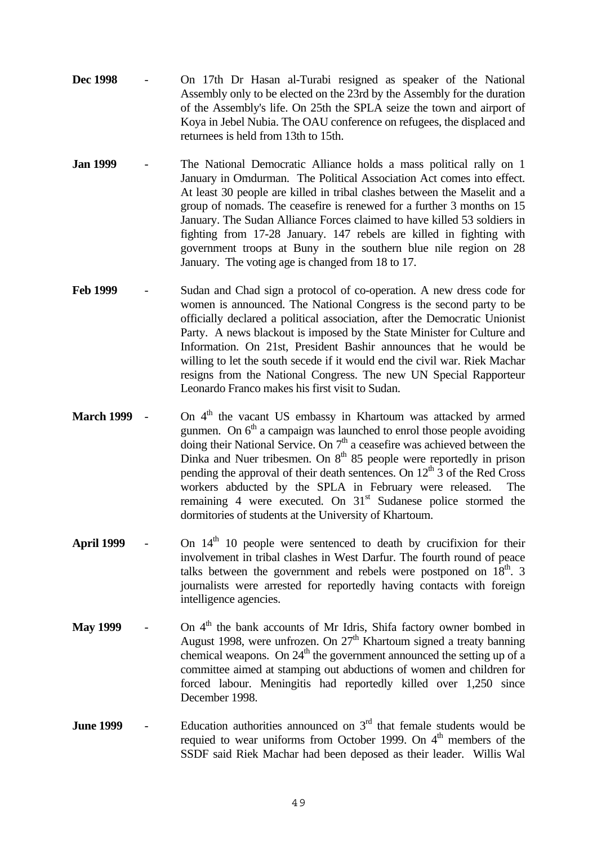- **Dec 1998** On 17th Dr Hasan al-Turabi resigned as speaker of the National Assembly only to be elected on the 23rd by the Assembly for the duration of the Assembly's life. On 25th the SPLA seize the town and airport of Koya in Jebel Nubia. The OAU conference on refugees, the displaced and returnees is held from 13th to 15th.
- **Jan 1999** The National Democratic Alliance holds a mass political rally on 1 January in Omdurman. The Political Association Act comes into effect. At least 30 people are killed in tribal clashes between the Maselit and a group of nomads. The ceasefire is renewed for a further 3 months on 15 January. The Sudan Alliance Forces claimed to have killed 53 soldiers in fighting from 17-28 January. 147 rebels are killed in fighting with government troops at Buny in the southern blue nile region on 28 January. The voting age is changed from 18 to 17.
- **Feb 1999** Sudan and Chad sign a protocol of co-operation. A new dress code for women is announced. The National Congress is the second party to be officially declared a political association, after the Democratic Unionist Party. A news blackout is imposed by the State Minister for Culture and Information. On 21st, President Bashir announces that he would be willing to let the south secede if it would end the civil war. Riek Machar resigns from the National Congress. The new UN Special Rapporteur Leonardo Franco makes his first visit to Sudan.
- **March 1999** On 4<sup>th</sup> the vacant US embassy in Khartoum was attacked by armed gunmen. On  $6<sup>th</sup>$  a campaign was launched to enrol those people avoiding doing their National Service. On  $7<sup>th</sup>$  a ceasefire was achieved between the Dinka and Nuer tribesmen. On  $8<sup>th</sup> 85$  people were reportedly in prison pending the approval of their death sentences. On  $12<sup>th</sup>$  3 of the Red Cross workers abducted by the SPLA in February were released. The remaining 4 were executed. On  $31<sup>st</sup>$  Sudanese police stormed the dormitories of students at the University of Khartoum.
- **April 1999** On  $14<sup>th</sup>$  10 people were sentenced to death by crucifixion for their involvement in tribal clashes in West Darfur. The fourth round of peace talks between the government and rebels were postponed on  $18<sup>th</sup>$ . 3 journalists were arrested for reportedly having contacts with foreign intelligence agencies.
- **May 1999** On 4<sup>th</sup> the bank accounts of Mr Idris, Shifa factory owner bombed in August 1998, were unfrozen. On  $27<sup>th</sup>$  Khartoum signed a treaty banning chemical weapons. On  $24<sup>th</sup>$  the government announced the setting up of a committee aimed at stamping out abductions of women and children for forced labour. Meningitis had reportedly killed over 1,250 since December 1998.
- **June 1999** Education authorities announced on 3<sup>rd</sup> that female students would be requied to wear uniforms from October 1999. On  $4<sup>th</sup>$  members of the SSDF said Riek Machar had been deposed as their leader. Willis Wal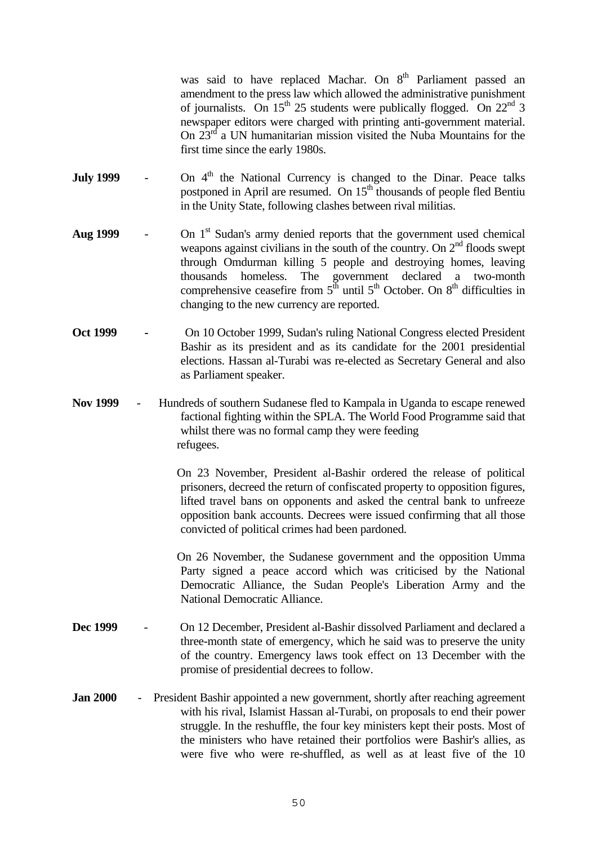was said to have replaced Machar. On 8<sup>th</sup> Parliament passed an amendment to the press law which allowed the administrative punishment of journalists. On  $15<sup>th</sup> 25$  students were publically flogged. On  $22<sup>nd</sup> 3$ newspaper editors were charged with printing anti-government material. On 23rd a UN humanitarian mission visited the Nuba Mountains for the first time since the early 1980s.

- **July 1999** On 4<sup>th</sup> the National Currency is changed to the Dinar. Peace talks postponed in April are resumed. On 15<sup>th</sup> thousands of people fled Bentiu in the Unity State, following clashes between rival militias.
- Aug 1999 On 1<sup>st</sup> Sudan's army denied reports that the government used chemical weapons against civilians in the south of the country. On  $2<sup>nd</sup>$  floods swept through Omdurman killing 5 people and destroying homes, leaving thousands homeless. The government declared a two-month comprehensive ceasefire from  $5<sup>th</sup>$  until  $5<sup>th</sup>$  October. On  $8<sup>th</sup>$  difficulties in changing to the new currency are reported.
- Oct 1999 On 10 October 1999, Sudan's ruling National Congress elected President Bashir as its president and as its candidate for the 2001 presidential elections. Hassan al-Turabi was re-elected as Secretary General and also as Parliament speaker.
- **Nov 1999**  Hundreds of southern Sudanese fled to Kampala in Uganda to escape renewed factional fighting within the SPLA. The World Food Programme said that whilst there was no formal camp they were feeding refugees.

 On 23 November, President al-Bashir ordered the release of political prisoners, decreed the return of confiscated property to opposition figures, lifted travel bans on opponents and asked the central bank to unfreeze opposition bank accounts. Decrees were issued confirming that all those convicted of political crimes had been pardoned.

 On 26 November, the Sudanese government and the opposition Umma Party signed a peace accord which was criticised by the National Democratic Alliance, the Sudan People's Liberation Army and the National Democratic Alliance.

- **Dec 1999** On 12 December, President al-Bashir dissolved Parliament and declared a three-month state of emergency, which he said was to preserve the unity of the country. Emergency laws took effect on 13 December with the promise of presidential decrees to follow.
- **Jan 2000** President Bashir appointed a new government, shortly after reaching agreement with his rival, Islamist Hassan al-Turabi, on proposals to end their power struggle. In the reshuffle, the four key ministers kept their posts. Most of the ministers who have retained their portfolios were Bashir's allies, as were five who were re-shuffled, as well as at least five of the 10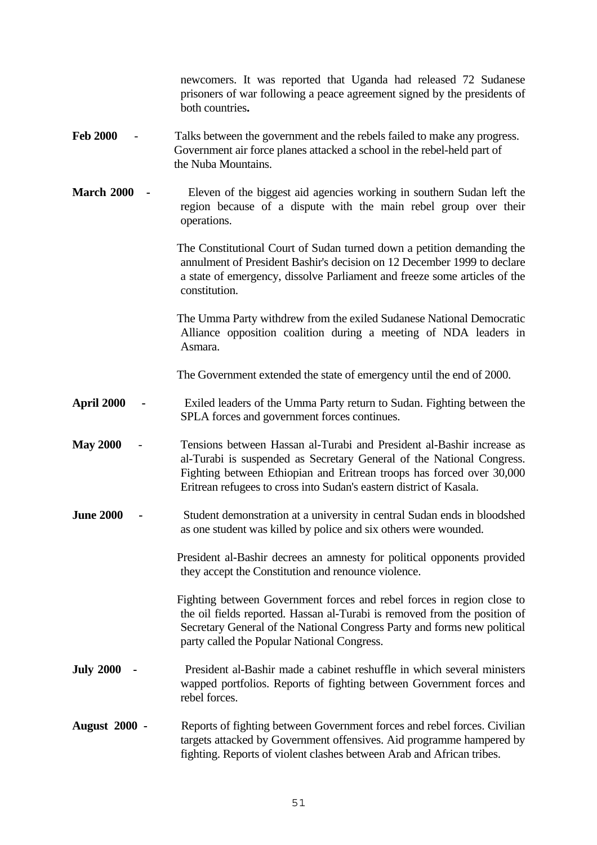newcomers. It was reported that Uganda had released 72 Sudanese prisoners of war following a peace agreement signed by the presidents of both countries**.** 

#### **Feb 2000** - Talks between the government and the rebels failed to make any progress. Government air force planes attacked a school in the rebel-held part of the Nuba Mountains.

**March 2000** - Eleven of the biggest aid agencies working in southern Sudan left the region because of a dispute with the main rebel group over their operations.

> The Constitutional Court of Sudan turned down a petition demanding the annulment of President Bashir's decision on 12 December 1999 to declare a state of emergency, dissolve Parliament and freeze some articles of the constitution.

> The Umma Party withdrew from the exiled Sudanese National Democratic Alliance opposition coalition during a meeting of NDA leaders in Asmara.

The Government extended the state of emergency until the end of 2000.

- **April 2000** Exiled leaders of the Umma Party return to Sudan. Fighting between the SPLA forces and government forces continues.
- **May 2000**  Tensions between Hassan al-Turabi and President al-Bashir increase as al-Turabi is suspended as Secretary General of the National Congress. Fighting between Ethiopian and Eritrean troops has forced over 30,000 Eritrean refugees to cross into Sudan's eastern district of Kasala.
- **June 2000** Student demonstration at a university in central Sudan ends in bloodshed as one student was killed by police and six others were wounded.

 President al-Bashir decrees an amnesty for political opponents provided they accept the Constitution and renounce violence.

 Fighting between Government forces and rebel forces in region close to the oil fields reported. Hassan al-Turabi is removed from the position of Secretary General of the National Congress Party and forms new political party called the Popular National Congress.

- **July 2000** President al-Bashir made a cabinet reshuffle in which several ministers wapped portfolios. Reports of fighting between Government forces and rebel forces.
- **August 2000** Reports of fighting between Government forces and rebel forces. Civilian targets attacked by Government offensives. Aid programme hampered by fighting. Reports of violent clashes between Arab and African tribes.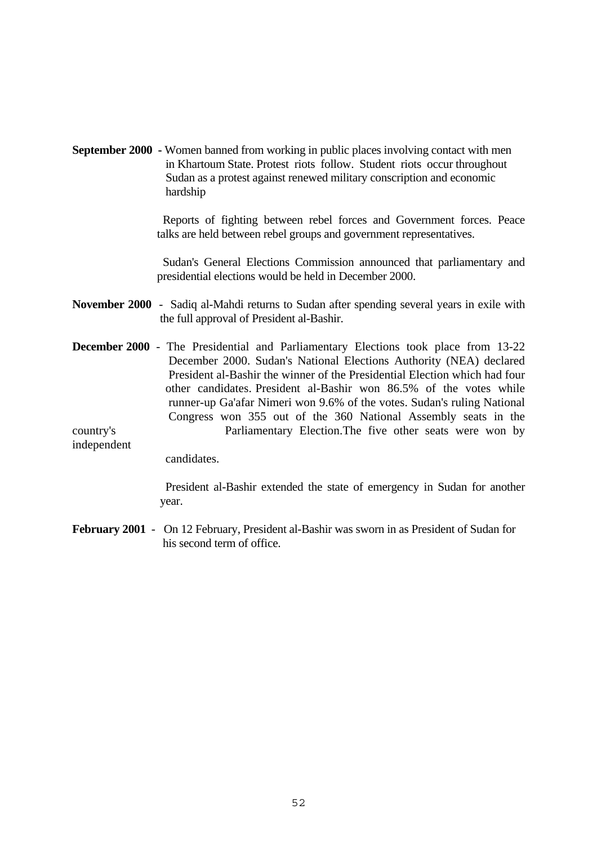**September 2000 -** Women banned from working in public places involving contact with men in Khartoum State. Protest riots follow. Student riots occur throughout Sudan as a protest against renewed military conscription and economic hardship

> Reports of fighting between rebel forces and Government forces. Peace talks are held between rebel groups and government representatives.

> Sudan's General Elections Commission announced that parliamentary and presidential elections would be held in December 2000.

- **November 2000** Sadiq al-Mahdi returns to Sudan after spending several years in exile with the full approval of President al-Bashir.
- **December 2000** The Presidential and Parliamentary Elections took place from 13-22 December 2000. Sudan's National Elections Authority (NEA) declared President al-Bashir the winner of the Presidential Election which had four other candidates. President al-Bashir won 86.5% of the votes while runner-up Ga'afar Nimeri won 9.6% of the votes. Sudan's ruling National Congress won 355 out of the 360 National Assembly seats in the country's Parliamentary Election.The five other seats were won by

independent

candidates.

 President al-Bashir extended the state of emergency in Sudan for another year.

**February 2001** - On 12 February, President al-Bashir was sworn in as President of Sudan for his second term of office.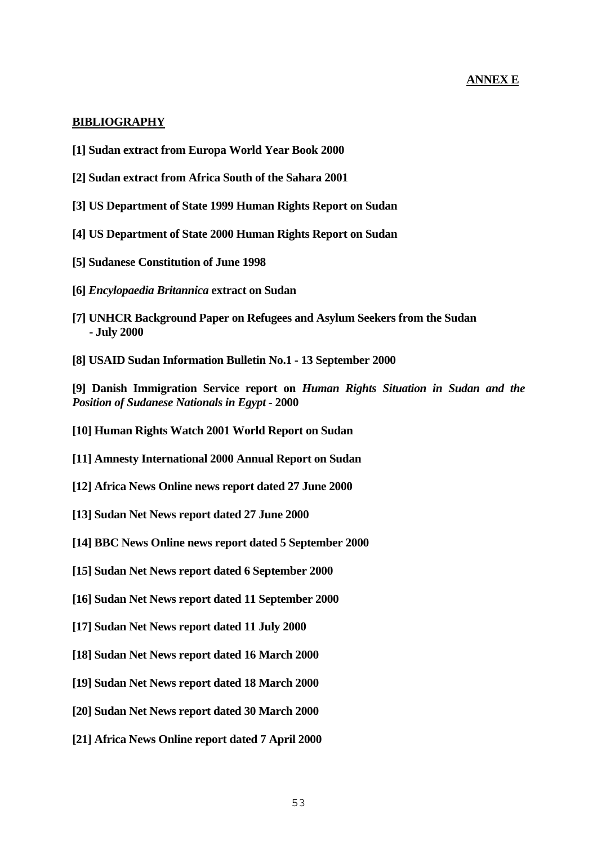## **ANNEX E**

#### <span id="page-52-0"></span>**BIBLIOGRAPHY**

- **[1] Sudan extract from Europa World Year Book 2000**
- **[2] Sudan extract from Africa South of the Sahara 2001**
- **[3] US Department of State 1999 Human Rights Report on Sudan**
- **[4] US Department of State 2000 Human Rights Report on Sudan**
- **[5] Sudanese Constitution of June 1998**
- **[6]** *Encylopaedia Britannica* **extract on Sudan**
- **[7] UNHCR Background Paper on Refugees and Asylum Seekers from the Sudan - July 2000**
- **[8] USAID Sudan Information Bulletin No.1 13 September 2000**

**[9] Danish Immigration Service report on** *Human Rights Situation in Sudan and the Position of Sudanese Nationals in Egypt -* **2000**

- **[10] Human Rights Watch 2001 World Report on Sudan**
- **[11] Amnesty International 2000 Annual Report on Sudan**
- **[12] Africa News Online news report dated 27 June 2000**
- **[13] Sudan Net News report dated 27 June 2000**
- **[14] BBC News Online news report dated 5 September 2000**
- **[15] Sudan Net News report dated 6 September 2000**
- **[16] Sudan Net News report dated 11 September 2000**
- **[17] Sudan Net News report dated 11 July 2000**
- **[18] Sudan Net News report dated 16 March 2000**
- **[19] Sudan Net News report dated 18 March 2000**
- **[20] Sudan Net News report dated 30 March 2000**
- **[21] Africa News Online report dated 7 April 2000**